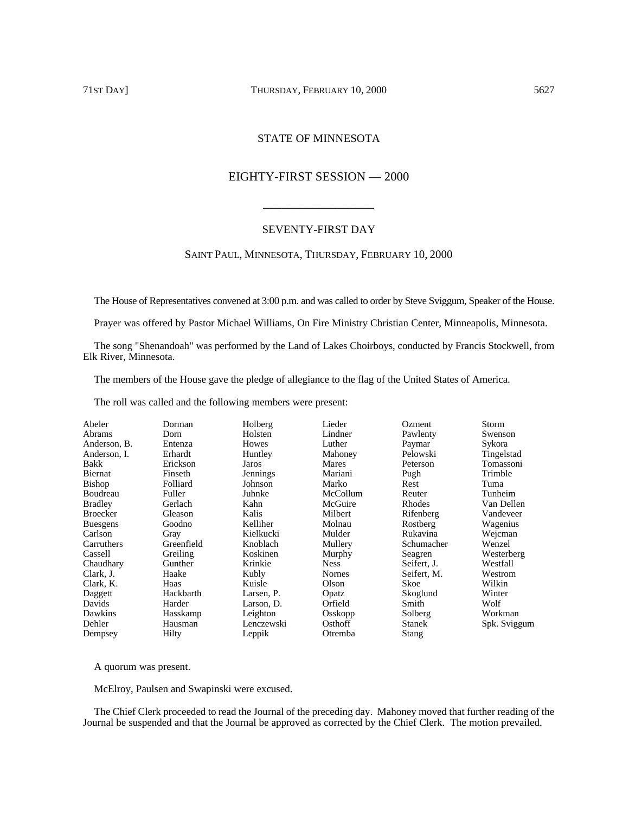# STATE OF MINNESOTA

# EIGHTY-FIRST SESSION — 2000

# SEVENTY-FIRST DAY

\_\_\_\_\_\_\_\_\_\_\_\_\_\_\_\_\_\_

# SAINT PAUL, MINNESOTA, THURSDAY, FEBRUARY 10, 2000

The House of Representatives convened at 3:00 p.m. and was called to order by Steve Sviggum, Speaker of the House.

Prayer was offered by Pastor Michael Williams, On Fire Ministry Christian Center, Minneapolis, Minnesota.

The song "Shenandoah" was performed by the Land of Lakes Choirboys, conducted by Francis Stockwell, from Elk River, Minnesota.

The members of the House gave the pledge of allegiance to the flag of the United States of America.

The roll was called and the following members were present:

| Abeler          | Dorman     | Holberg      | Lieder        | Ozment        | Storm        |
|-----------------|------------|--------------|---------------|---------------|--------------|
| Abrams          | Dorn       | Holsten      | Lindner       | Pawlenty      | Swenson      |
| Anderson, B.    | Entenza    | <b>Howes</b> | Luther        | Paymar        | Sykora       |
| Anderson, I.    | Erhardt    | Huntley      | Mahoney       | Pelowski      | Tingelstad   |
| Bakk            | Erickson   | Jaros        | Mares         | Peterson      | Tomassoni    |
| Biernat         | Finseth    | Jennings     | Mariani       | Pugh          | Trimble      |
| Bishop          | Folliard   | Johnson      | Marko         | Rest          | Tuma         |
| Boudreau        | Fuller     | Juhnke       | McCollum      | Reuter        | Tunheim      |
| <b>Bradley</b>  | Gerlach    | Kahn         | McGuire       | Rhodes        | Van Dellen   |
| <b>Broecker</b> | Gleason    | Kalis        | Milbert       | Rifenberg     | Vandeveer    |
| <b>Buesgens</b> | Goodno     | Kelliher     | Molnau        | Rostberg      | Wagenius     |
| Carlson         | Gray       | Kielkucki    | Mulder        | Rukavina      | Wejcman      |
| Carruthers      | Greenfield | Knoblach     | Mullery       | Schumacher    | Wenzel       |
| Cassell         | Greiling   | Koskinen     | Murphy        | Seagren       | Westerberg   |
| Chaudhary       | Gunther    | Krinkie      | <b>Ness</b>   | Seifert, J.   | Westfall     |
| Clark, J.       | Haake      | Kubly        | <b>Nornes</b> | Seifert, M.   | Westrom      |
| Clark, K.       | Haas       | Kuisle       | Olson         | Skoe          | Wilkin       |
| Daggett         | Hackbarth  | Larsen, P.   | Opatz         | Skoglund      | Winter       |
| Davids          | Harder     | Larson, D.   | Orfield       | Smith         | Wolf         |
| Dawkins         | Hasskamp   | Leighton     | Osskopp       | Solberg       | Workman      |
| Dehler          | Hausman    | Lenczewski   | Osthoff       | <b>Stanek</b> | Spk. Sviggum |
| Dempsey         | Hilty      | Leppik       | Otremba       | <b>Stang</b>  |              |

A quorum was present.

McElroy, Paulsen and Swapinski were excused.

The Chief Clerk proceeded to read the Journal of the preceding day. Mahoney moved that further reading of the Journal be suspended and that the Journal be approved as corrected by the Chief Clerk. The motion prevailed.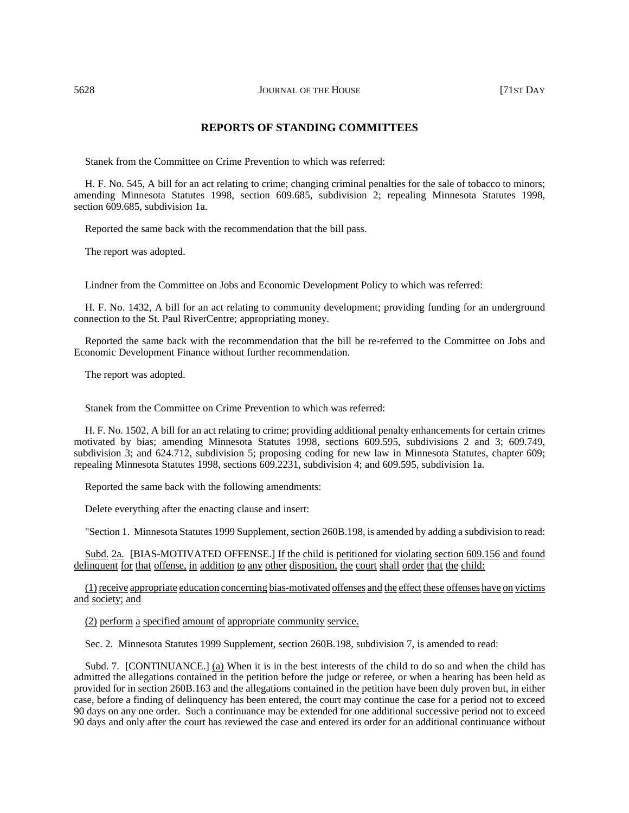# **REPORTS OF STANDING COMMITTEES**

Stanek from the Committee on Crime Prevention to which was referred:

H. F. No. 545, A bill for an act relating to crime; changing criminal penalties for the sale of tobacco to minors; amending Minnesota Statutes 1998, section 609.685, subdivision 2; repealing Minnesota Statutes 1998, section 609.685, subdivision 1a.

Reported the same back with the recommendation that the bill pass.

The report was adopted.

Lindner from the Committee on Jobs and Economic Development Policy to which was referred:

H. F. No. 1432, A bill for an act relating to community development; providing funding for an underground connection to the St. Paul RiverCentre; appropriating money.

Reported the same back with the recommendation that the bill be re-referred to the Committee on Jobs and Economic Development Finance without further recommendation.

The report was adopted.

Stanek from the Committee on Crime Prevention to which was referred:

H. F. No. 1502, A bill for an act relating to crime; providing additional penalty enhancements for certain crimes motivated by bias; amending Minnesota Statutes 1998, sections 609.595, subdivisions 2 and 3; 609.749, subdivision 3; and 624.712, subdivision 5; proposing coding for new law in Minnesota Statutes, chapter 609; repealing Minnesota Statutes 1998, sections 609.2231, subdivision 4; and 609.595, subdivision 1a.

Reported the same back with the following amendments:

Delete everything after the enacting clause and insert:

"Section 1. Minnesota Statutes 1999 Supplement, section 260B.198, is amended by adding a subdivision to read:

Subd. 2a. [BIAS-MOTIVATED OFFENSE.] If the child is petitioned for violating section 609.156 and found delinquent for that offense, in addition to any other disposition, the court shall order that the child:

(1) receive appropriate education concerning bias-motivated offenses and the effect these offenses have on victims and society; and

(2) perform a specified amount of appropriate community service.

Sec. 2. Minnesota Statutes 1999 Supplement, section 260B.198, subdivision 7, is amended to read:

Subd. 7. [CONTINUANCE.] (a) When it is in the best interests of the child to do so and when the child has admitted the allegations contained in the petition before the judge or referee, or when a hearing has been held as provided for in section 260B.163 and the allegations contained in the petition have been duly proven but, in either case, before a finding of delinquency has been entered, the court may continue the case for a period not to exceed 90 days on any one order. Such a continuance may be extended for one additional successive period not to exceed 90 days and only after the court has reviewed the case and entered its order for an additional continuance without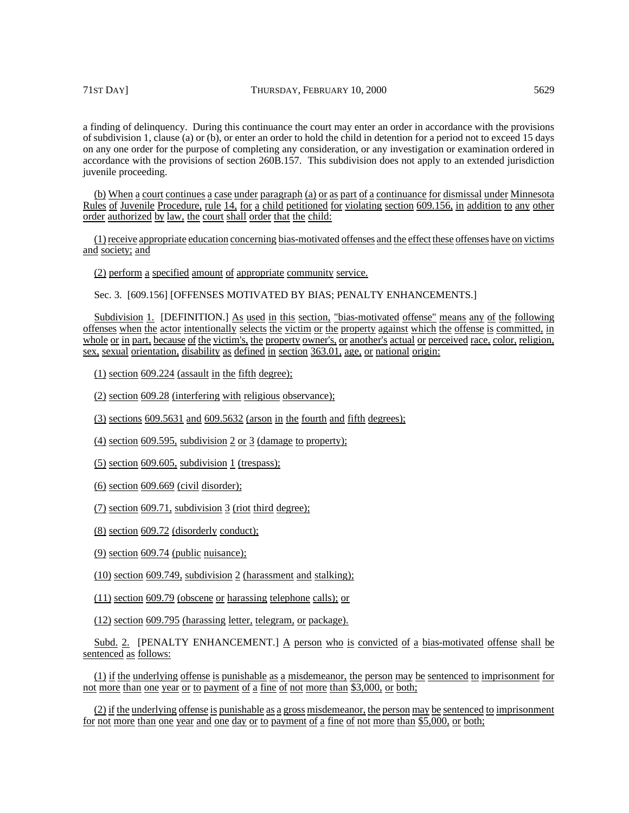a finding of delinquency. During this continuance the court may enter an order in accordance with the provisions of subdivision 1, clause (a) or (b), or enter an order to hold the child in detention for a period not to exceed 15 days on any one order for the purpose of completing any consideration, or any investigation or examination ordered in accordance with the provisions of section 260B.157. This subdivision does not apply to an extended jurisdiction juvenile proceeding.

(b) When a court continues a case under paragraph (a) or as part of a continuance for dismissal under Minnesota Rules of Juvenile Procedure, rule 14, for a child petitioned for violating section 609.156, in addition to any other order authorized by law, the court shall order that the child:

(1) receive appropriate education concerning bias-motivated offenses and the effect these offenses have on victims and society; and

(2) perform a specified amount of appropriate community service.

Sec. 3. [609.156] [OFFENSES MOTIVATED BY BIAS; PENALTY ENHANCEMENTS.]

Subdivision 1. [DEFINITION.] As used in this section, "bias-motivated offense" means any of the following offenses when the actor intentionally selects the victim or the property against which the offense is committed, in whole or in part, because of the victim's, the property owner's, or another's actual or perceived race, color, religion, sex, sexual orientation, disability <u>as defined in section</u> 363.01, age, or national origin:

(1) section 609.224 (assault in the fifth degree);

(2) section 609.28 (interfering with religious observance);

(3) sections 609.5631 and 609.5632 (arson in the fourth and fifth degrees);

(4) section 609.595, subdivision  $2$  or  $3$  (damage to property);

 $(5)$  section 609.605, subdivision 1 (trespass);

(6) section 609.669 (civil disorder);

(7) section  $609.71$ , subdivision 3 (riot third degree);

(8) section 609.72 (disorderly conduct);

(9) section 609.74 (public nuisance);

(10) section 609.749, subdivision 2 (harassment and stalking);

(11) section 609.79 (obscene or harassing telephone calls); or

(12) section 609.795 (harassing letter, telegram, or package).

Subd. 2. [PENALTY ENHANCEMENT.] A person who is convicted of a bias-motivated offense shall be sentenced as follows:

(1) if the underlying offense is punishable as a misdemeanor, the person may be sentenced to imprisonment for not more than one year or to payment of a fine of not more than \$3,000, or both;

(2) if the underlying offense is punishable as a gross misdemeanor, the person may be sentenced to imprisonment for not more than one year and one day or to payment of a fine of not more than \$5,000, or both;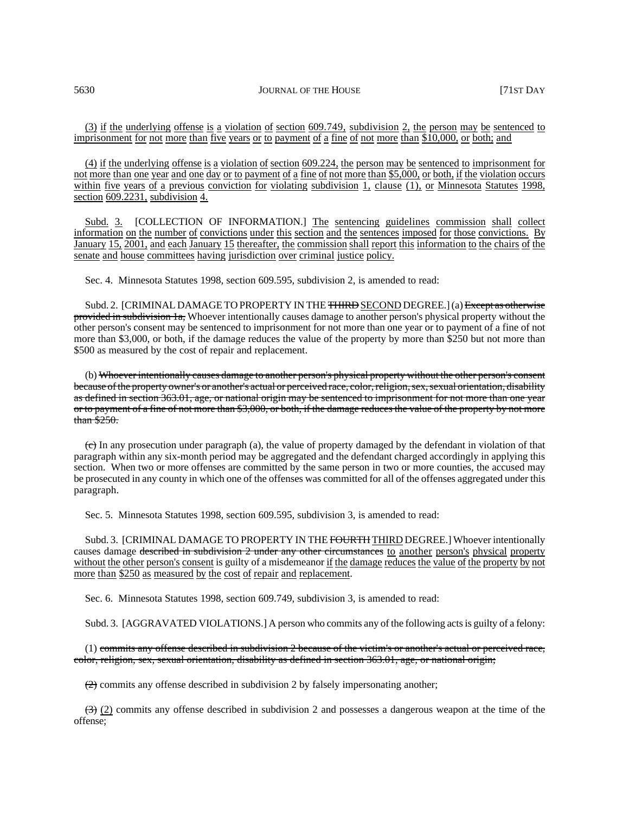(3) if the underlying offense is a violation of section 609.749, subdivision 2, the person may be sentenced to imprisonment for not more than five years or to payment of a fine of not more than \$10,000, or both; and

(4) if the underlying offense is a violation of section 609.224, the person may be sentenced to imprisonment for not more than one year and one day or to payment of a fine of not more than \$5,000, or both, if the violation occurs within five years of a previous conviction for violating subdivision 1, clause (1), or Minnesota Statutes 1998, section 609.2231, subdivision 4.

Subd. 3. [COLLECTION OF INFORMATION.] The sentencing guidelines commission shall collect information on the number of convictions under this section and the sentences imposed for those convictions. By January 15, 2001, and each January 15 thereafter, the commission shall report this information to the chairs of the senate and house committees having jurisdiction over criminal justice policy.

Sec. 4. Minnesota Statutes 1998, section 609.595, subdivision 2, is amended to read:

Subd. 2. [CRIMINAL DAMAGE TO PROPERTY IN THE THIRD SECOND DEGREE.] (a) Except as otherwise provided in subdivision 1a, Whoever intentionally causes damage to another person's physical property without the other person's consent may be sentenced to imprisonment for not more than one year or to payment of a fine of not more than \$3,000, or both, if the damage reduces the value of the property by more than \$250 but not more than \$500 as measured by the cost of repair and replacement.

(b) Whoever intentionally causes damage to another person's physical property without the other person's consent because of the property owner's or another's actual or perceived race, color, religion, sex, sexual orientation, disability as defined in section 363.01, age, or national origin may be sentenced to imprisonment for not more than one year or to payment of a fine of not more than \$3,000, or both, if the damage reduces the value of the property by not more than \$250.

(c) In any prosecution under paragraph (a), the value of property damaged by the defendant in violation of that paragraph within any six-month period may be aggregated and the defendant charged accordingly in applying this section. When two or more offenses are committed by the same person in two or more counties, the accused may be prosecuted in any county in which one of the offenses was committed for all of the offenses aggregated under this paragraph.

Sec. 5. Minnesota Statutes 1998, section 609.595, subdivision 3, is amended to read:

Subd. 3. [CRIMINAL DAMAGE TO PROPERTY IN THE FOURTH THIRD DEGREE.] Whoever intentionally causes damage described in subdivision 2 under any other circumstances to another person's physical property without the other person's consent is guilty of a misdemeanor if the damage reduces the value of the property by not more than \$250 as measured by the cost of repair and replacement.

Sec. 6. Minnesota Statutes 1998, section 609.749, subdivision 3, is amended to read:

Subd. 3. [AGGRAVATED VIOLATIONS.] A person who commits any of the following acts is guilty of a felony:

(1) commits any offense described in subdivision 2 because of the victim's or another's actual or perceived race, color, religion, sex, sexual orientation, disability as defined in section 363.01, age, or national origin;

 $(2)$  commits any offense described in subdivision 2 by falsely impersonating another;

 $(3)$  (2) commits any offense described in subdivision 2 and possesses a dangerous weapon at the time of the offense;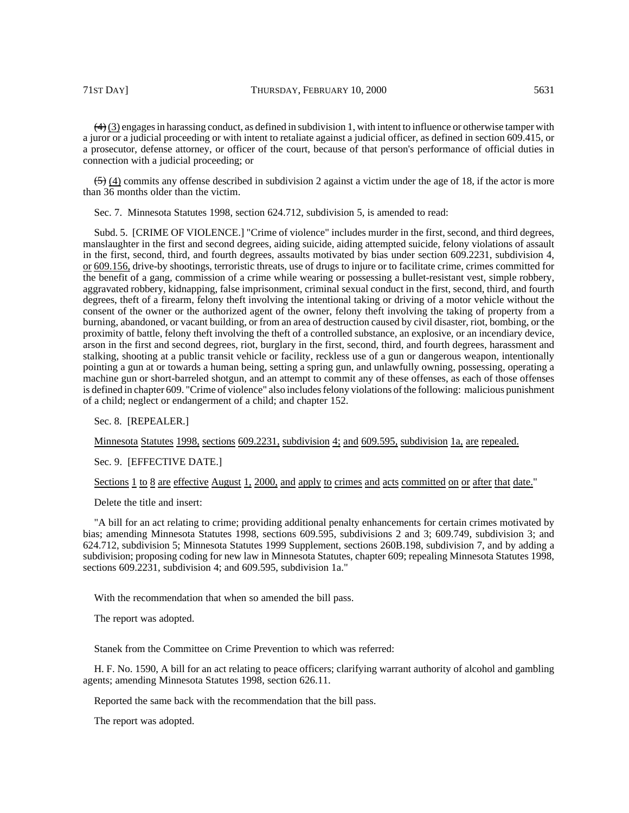$(4)$  (3) engages in harassing conduct, as defined in subdivision 1, with intent to influence or otherwise tamper with a juror or a judicial proceeding or with intent to retaliate against a judicial officer, as defined in section 609.415, or a prosecutor, defense attorney, or officer of the court, because of that person's performance of official duties in connection with a judicial proceeding; or

 $(5)$  (4) commits any offense described in subdivision 2 against a victim under the age of 18, if the actor is more than 36 months older than the victim.

Sec. 7. Minnesota Statutes 1998, section 624.712, subdivision 5, is amended to read:

Subd. 5. [CRIME OF VIOLENCE.] "Crime of violence" includes murder in the first, second, and third degrees, manslaughter in the first and second degrees, aiding suicide, aiding attempted suicide, felony violations of assault in the first, second, third, and fourth degrees, assaults motivated by bias under section 609.2231, subdivision 4, or 609.156, drive-by shootings, terroristic threats, use of drugs to injure or to facilitate crime, crimes committed for the benefit of a gang, commission of a crime while wearing or possessing a bullet-resistant vest, simple robbery, aggravated robbery, kidnapping, false imprisonment, criminal sexual conduct in the first, second, third, and fourth degrees, theft of a firearm, felony theft involving the intentional taking or driving of a motor vehicle without the consent of the owner or the authorized agent of the owner, felony theft involving the taking of property from a burning, abandoned, or vacant building, or from an area of destruction caused by civil disaster, riot, bombing, or the proximity of battle, felony theft involving the theft of a controlled substance, an explosive, or an incendiary device, arson in the first and second degrees, riot, burglary in the first, second, third, and fourth degrees, harassment and stalking, shooting at a public transit vehicle or facility, reckless use of a gun or dangerous weapon, intentionally pointing a gun at or towards a human being, setting a spring gun, and unlawfully owning, possessing, operating a machine gun or short-barreled shotgun, and an attempt to commit any of these offenses, as each of those offenses is defined in chapter 609. "Crime of violence" also includes felony violations of the following: malicious punishment of a child; neglect or endangerment of a child; and chapter 152.

Sec. 8. [REPEALER.]

Minnesota Statutes 1998, sections 609.2231, subdivision 4; and 609.595, subdivision 1a, are repealed.

Sec. 9. [EFFECTIVE DATE.]

Sections 1 to 8 are effective August 1, 2000, and apply to crimes and acts committed on or after that date."

Delete the title and insert:

"A bill for an act relating to crime; providing additional penalty enhancements for certain crimes motivated by bias; amending Minnesota Statutes 1998, sections 609.595, subdivisions 2 and 3; 609.749, subdivision 3; and 624.712, subdivision 5; Minnesota Statutes 1999 Supplement, sections 260B.198, subdivision 7, and by adding a subdivision; proposing coding for new law in Minnesota Statutes, chapter 609; repealing Minnesota Statutes 1998, sections 609.2231, subdivision 4; and 609.595, subdivision 1a."

With the recommendation that when so amended the bill pass.

The report was adopted.

Stanek from the Committee on Crime Prevention to which was referred:

H. F. No. 1590, A bill for an act relating to peace officers; clarifying warrant authority of alcohol and gambling agents; amending Minnesota Statutes 1998, section 626.11.

Reported the same back with the recommendation that the bill pass.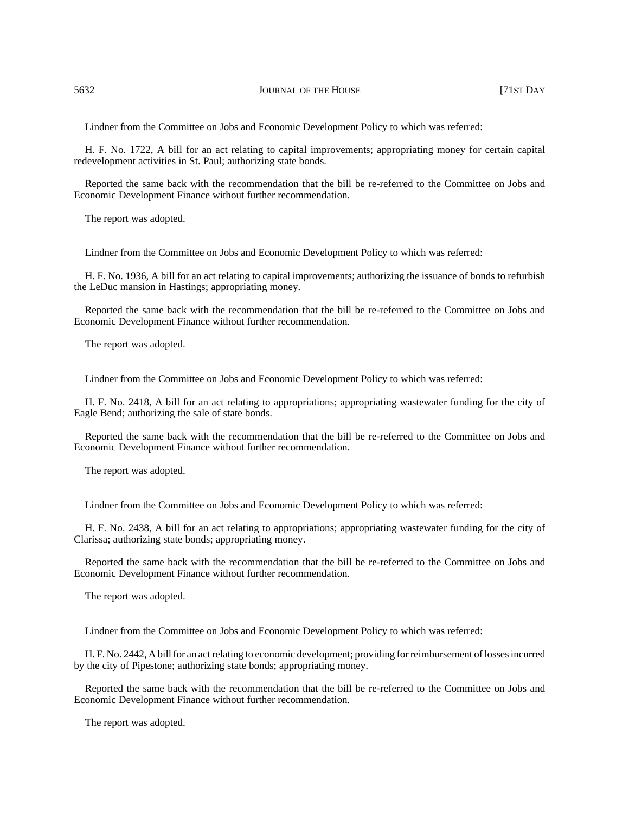Lindner from the Committee on Jobs and Economic Development Policy to which was referred:

H. F. No. 1722, A bill for an act relating to capital improvements; appropriating money for certain capital redevelopment activities in St. Paul; authorizing state bonds.

Reported the same back with the recommendation that the bill be re-referred to the Committee on Jobs and Economic Development Finance without further recommendation.

The report was adopted.

Lindner from the Committee on Jobs and Economic Development Policy to which was referred:

H. F. No. 1936, A bill for an act relating to capital improvements; authorizing the issuance of bonds to refurbish the LeDuc mansion in Hastings; appropriating money.

Reported the same back with the recommendation that the bill be re-referred to the Committee on Jobs and Economic Development Finance without further recommendation.

The report was adopted.

Lindner from the Committee on Jobs and Economic Development Policy to which was referred:

H. F. No. 2418, A bill for an act relating to appropriations; appropriating wastewater funding for the city of Eagle Bend; authorizing the sale of state bonds.

Reported the same back with the recommendation that the bill be re-referred to the Committee on Jobs and Economic Development Finance without further recommendation.

The report was adopted.

Lindner from the Committee on Jobs and Economic Development Policy to which was referred:

H. F. No. 2438, A bill for an act relating to appropriations; appropriating wastewater funding for the city of Clarissa; authorizing state bonds; appropriating money.

Reported the same back with the recommendation that the bill be re-referred to the Committee on Jobs and Economic Development Finance without further recommendation.

The report was adopted.

Lindner from the Committee on Jobs and Economic Development Policy to which was referred:

H. F. No. 2442, A bill for an act relating to economic development; providing for reimbursement of losses incurred by the city of Pipestone; authorizing state bonds; appropriating money.

Reported the same back with the recommendation that the bill be re-referred to the Committee on Jobs and Economic Development Finance without further recommendation.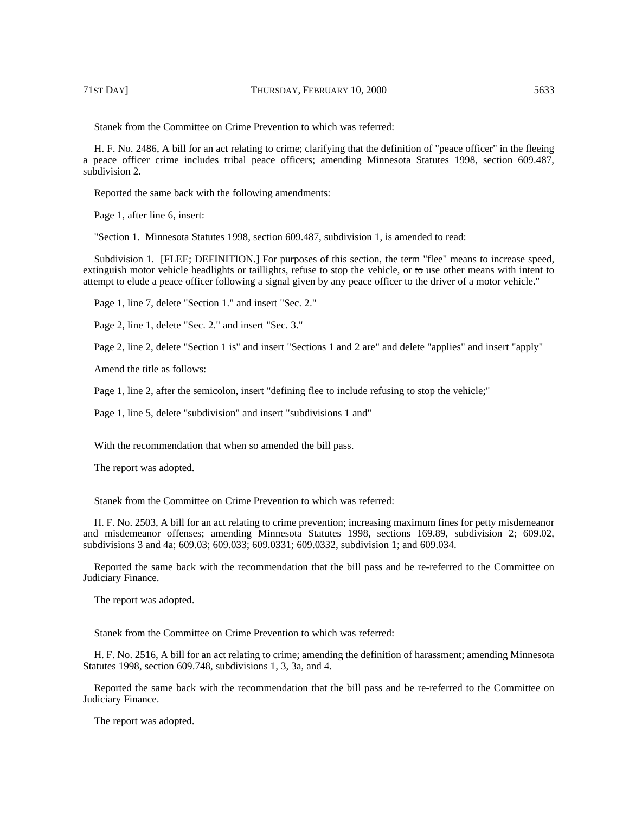Stanek from the Committee on Crime Prevention to which was referred:

H. F. No. 2486, A bill for an act relating to crime; clarifying that the definition of "peace officer" in the fleeing a peace officer crime includes tribal peace officers; amending Minnesota Statutes 1998, section 609.487, subdivision 2.

Reported the same back with the following amendments:

Page 1, after line 6, insert:

"Section 1. Minnesota Statutes 1998, section 609.487, subdivision 1, is amended to read:

Subdivision 1. [FLEE; DEFINITION.] For purposes of this section, the term "flee" means to increase speed, extinguish motor vehicle headlights or taillights, refuse to stop the vehicle, or to use other means with intent to attempt to elude a peace officer following a signal given by any peace officer to the driver of a motor vehicle."

Page 1, line 7, delete "Section 1." and insert "Sec. 2."

Page 2, line 1, delete "Sec. 2." and insert "Sec. 3."

Page 2, line 2, delete "Section 1 is" and insert "Sections 1 and 2 are" and delete "applies" and insert "apply"

Amend the title as follows:

Page 1, line 2, after the semicolon, insert "defining flee to include refusing to stop the vehicle;"

Page 1, line 5, delete "subdivision" and insert "subdivisions 1 and"

With the recommendation that when so amended the bill pass.

The report was adopted.

Stanek from the Committee on Crime Prevention to which was referred:

H. F. No. 2503, A bill for an act relating to crime prevention; increasing maximum fines for petty misdemeanor and misdemeanor offenses; amending Minnesota Statutes 1998, sections 169.89, subdivision 2; 609.02, subdivisions 3 and 4a; 609.03; 609.033; 609.0331; 609.0332, subdivision 1; and 609.034.

Reported the same back with the recommendation that the bill pass and be re-referred to the Committee on Judiciary Finance.

The report was adopted.

Stanek from the Committee on Crime Prevention to which was referred:

H. F. No. 2516, A bill for an act relating to crime; amending the definition of harassment; amending Minnesota Statutes 1998, section 609.748, subdivisions 1, 3, 3a, and 4.

Reported the same back with the recommendation that the bill pass and be re-referred to the Committee on Judiciary Finance.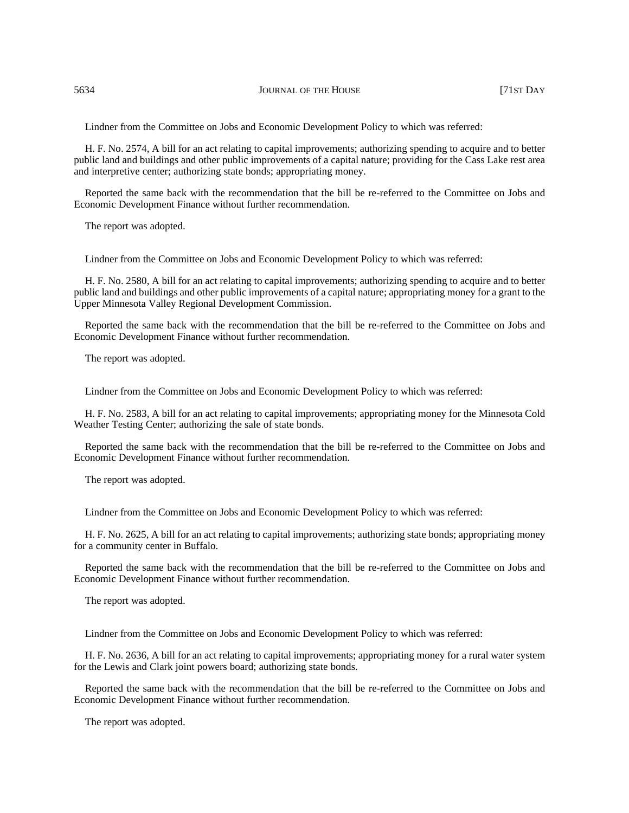5634 JOURNAL OF THE HOUSE 171ST DAY

Lindner from the Committee on Jobs and Economic Development Policy to which was referred:

H. F. No. 2574, A bill for an act relating to capital improvements; authorizing spending to acquire and to better public land and buildings and other public improvements of a capital nature; providing for the Cass Lake rest area and interpretive center; authorizing state bonds; appropriating money.

Reported the same back with the recommendation that the bill be re-referred to the Committee on Jobs and Economic Development Finance without further recommendation.

The report was adopted.

Lindner from the Committee on Jobs and Economic Development Policy to which was referred:

H. F. No. 2580, A bill for an act relating to capital improvements; authorizing spending to acquire and to better public land and buildings and other public improvements of a capital nature; appropriating money for a grant to the Upper Minnesota Valley Regional Development Commission.

Reported the same back with the recommendation that the bill be re-referred to the Committee on Jobs and Economic Development Finance without further recommendation.

The report was adopted.

Lindner from the Committee on Jobs and Economic Development Policy to which was referred:

H. F. No. 2583, A bill for an act relating to capital improvements; appropriating money for the Minnesota Cold Weather Testing Center; authorizing the sale of state bonds.

Reported the same back with the recommendation that the bill be re-referred to the Committee on Jobs and Economic Development Finance without further recommendation.

The report was adopted.

Lindner from the Committee on Jobs and Economic Development Policy to which was referred:

H. F. No. 2625, A bill for an act relating to capital improvements; authorizing state bonds; appropriating money for a community center in Buffalo.

Reported the same back with the recommendation that the bill be re-referred to the Committee on Jobs and Economic Development Finance without further recommendation.

The report was adopted.

Lindner from the Committee on Jobs and Economic Development Policy to which was referred:

H. F. No. 2636, A bill for an act relating to capital improvements; appropriating money for a rural water system for the Lewis and Clark joint powers board; authorizing state bonds.

Reported the same back with the recommendation that the bill be re-referred to the Committee on Jobs and Economic Development Finance without further recommendation.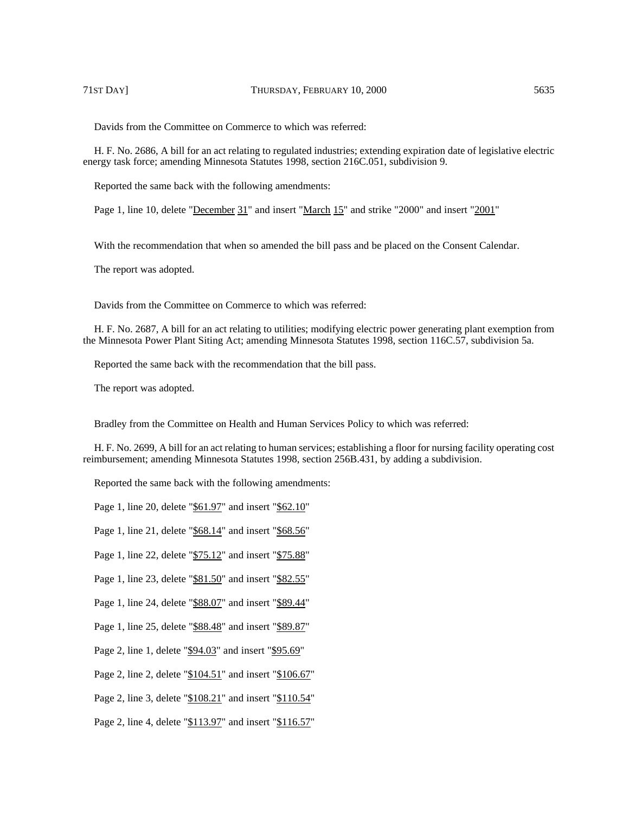Davids from the Committee on Commerce to which was referred:

H. F. No. 2686, A bill for an act relating to regulated industries; extending expiration date of legislative electric energy task force; amending Minnesota Statutes 1998, section 216C.051, subdivision 9.

Reported the same back with the following amendments:

Page 1, line 10, delete "December 31" and insert "March 15" and strike "2000" and insert "2001"

With the recommendation that when so amended the bill pass and be placed on the Consent Calendar.

The report was adopted.

Davids from the Committee on Commerce to which was referred:

H. F. No. 2687, A bill for an act relating to utilities; modifying electric power generating plant exemption from the Minnesota Power Plant Siting Act; amending Minnesota Statutes 1998, section 116C.57, subdivision 5a.

Reported the same back with the recommendation that the bill pass.

The report was adopted.

Bradley from the Committee on Health and Human Services Policy to which was referred:

H. F. No. 2699, A bill for an act relating to human services; establishing a floor for nursing facility operating cost reimbursement; amending Minnesota Statutes 1998, section 256B.431, by adding a subdivision.

Reported the same back with the following amendments:

Page 1, line 20, delete "\$61.97" and insert "\$62.10"

Page 1, line 21, delete "\$68.14" and insert "\$68.56"

Page 1, line 22, delete "\$75.12" and insert "\$75.88"

Page 1, line 23, delete "\$81.50" and insert "\$82.55"

Page 1, line 24, delete "\$88.07" and insert "\$89.44"

Page 1, line 25, delete "\$88.48" and insert "\$89.87"

Page 2, line 1, delete "\$94.03" and insert "\$95.69"

Page 2, line 2, delete "\$104.51" and insert "\$106.67"

Page 2, line 3, delete "\$108.21" and insert "\$110.54"

Page 2, line 4, delete "\$113.97" and insert "\$116.57"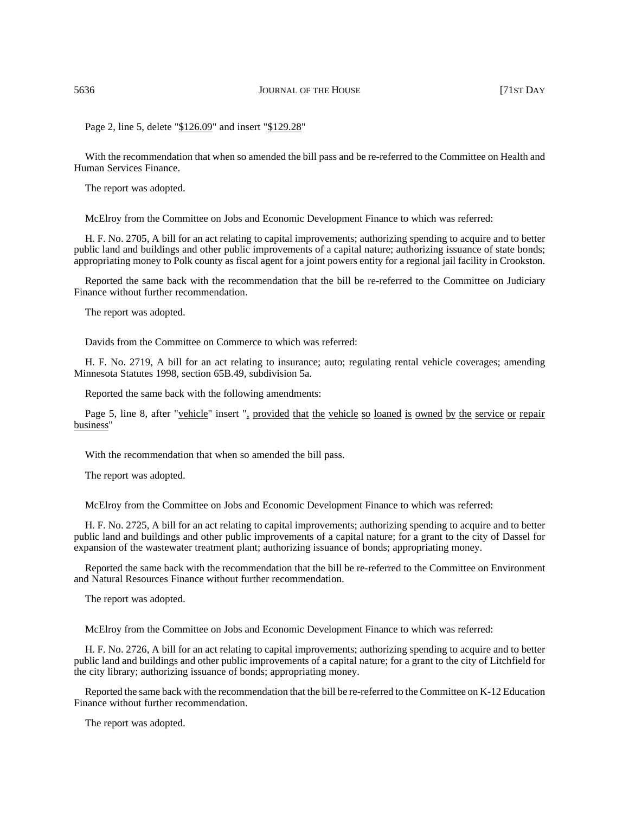Page 2, line 5, delete "\$126.09" and insert "\$129.28"

With the recommendation that when so amended the bill pass and be re-referred to the Committee on Health and Human Services Finance.

The report was adopted.

McElroy from the Committee on Jobs and Economic Development Finance to which was referred:

H. F. No. 2705, A bill for an act relating to capital improvements; authorizing spending to acquire and to better public land and buildings and other public improvements of a capital nature; authorizing issuance of state bonds; appropriating money to Polk county as fiscal agent for a joint powers entity for a regional jail facility in Crookston.

Reported the same back with the recommendation that the bill be re-referred to the Committee on Judiciary Finance without further recommendation.

The report was adopted.

Davids from the Committee on Commerce to which was referred:

H. F. No. 2719, A bill for an act relating to insurance; auto; regulating rental vehicle coverages; amending Minnesota Statutes 1998, section 65B.49, subdivision 5a.

Reported the same back with the following amendments:

Page 5, line 8, after "vehicle" insert ", provided that the vehicle so loaned is owned by the service or repair business"

With the recommendation that when so amended the bill pass.

The report was adopted.

McElroy from the Committee on Jobs and Economic Development Finance to which was referred:

H. F. No. 2725, A bill for an act relating to capital improvements; authorizing spending to acquire and to better public land and buildings and other public improvements of a capital nature; for a grant to the city of Dassel for expansion of the wastewater treatment plant; authorizing issuance of bonds; appropriating money.

Reported the same back with the recommendation that the bill be re-referred to the Committee on Environment and Natural Resources Finance without further recommendation.

The report was adopted.

McElroy from the Committee on Jobs and Economic Development Finance to which was referred:

H. F. No. 2726, A bill for an act relating to capital improvements; authorizing spending to acquire and to better public land and buildings and other public improvements of a capital nature; for a grant to the city of Litchfield for the city library; authorizing issuance of bonds; appropriating money.

Reported the same back with the recommendation that the bill be re-referred to the Committee on K-12 Education Finance without further recommendation.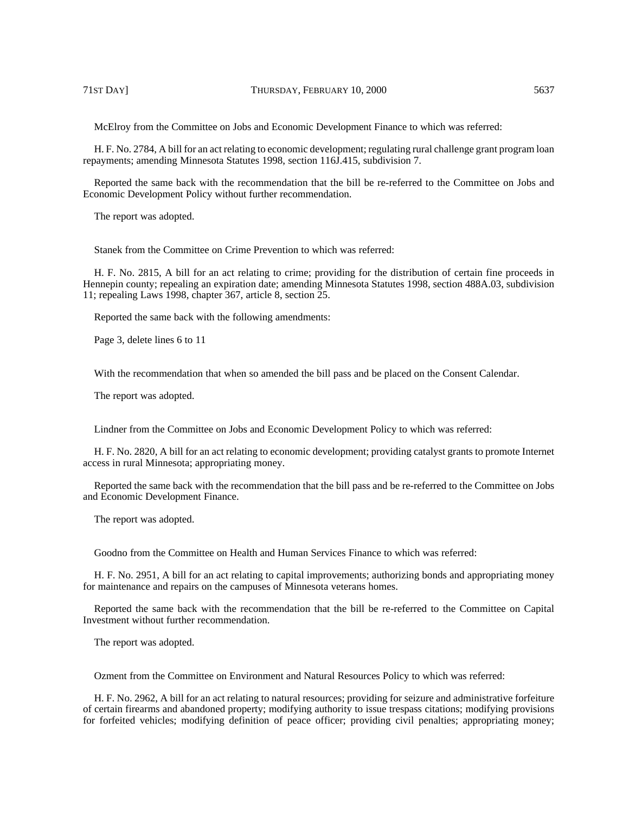McElroy from the Committee on Jobs and Economic Development Finance to which was referred:

H. F. No. 2784, A bill for an act relating to economic development; regulating rural challenge grant program loan repayments; amending Minnesota Statutes 1998, section 116J.415, subdivision 7.

Reported the same back with the recommendation that the bill be re-referred to the Committee on Jobs and Economic Development Policy without further recommendation.

The report was adopted.

Stanek from the Committee on Crime Prevention to which was referred:

H. F. No. 2815, A bill for an act relating to crime; providing for the distribution of certain fine proceeds in Hennepin county; repealing an expiration date; amending Minnesota Statutes 1998, section 488A.03, subdivision 11; repealing Laws 1998, chapter 367, article 8, section 25.

Reported the same back with the following amendments:

Page 3, delete lines 6 to 11

With the recommendation that when so amended the bill pass and be placed on the Consent Calendar.

The report was adopted.

Lindner from the Committee on Jobs and Economic Development Policy to which was referred:

H. F. No. 2820, A bill for an act relating to economic development; providing catalyst grants to promote Internet access in rural Minnesota; appropriating money.

Reported the same back with the recommendation that the bill pass and be re-referred to the Committee on Jobs and Economic Development Finance.

The report was adopted.

Goodno from the Committee on Health and Human Services Finance to which was referred:

H. F. No. 2951, A bill for an act relating to capital improvements; authorizing bonds and appropriating money for maintenance and repairs on the campuses of Minnesota veterans homes.

Reported the same back with the recommendation that the bill be re-referred to the Committee on Capital Investment without further recommendation.

The report was adopted.

Ozment from the Committee on Environment and Natural Resources Policy to which was referred:

H. F. No. 2962, A bill for an act relating to natural resources; providing for seizure and administrative forfeiture of certain firearms and abandoned property; modifying authority to issue trespass citations; modifying provisions for forfeited vehicles; modifying definition of peace officer; providing civil penalties; appropriating money;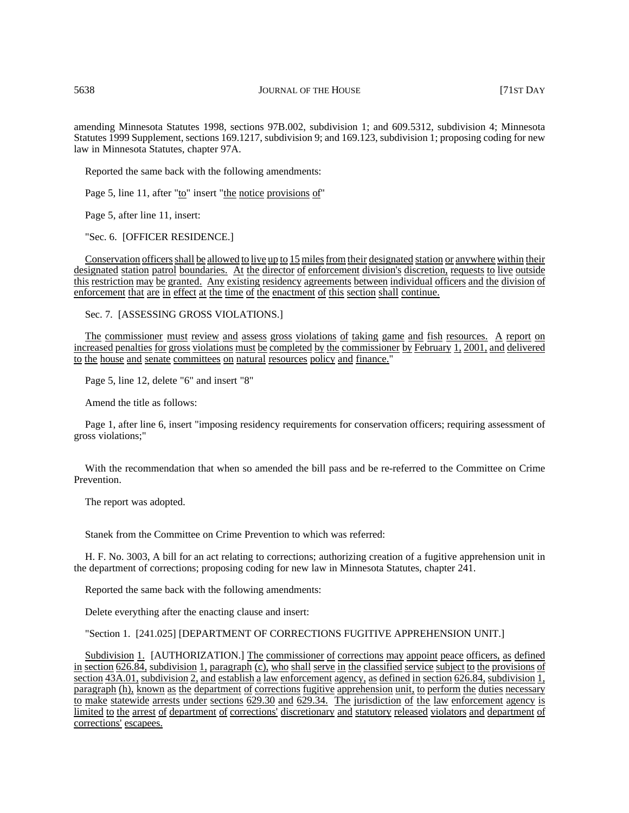amending Minnesota Statutes 1998, sections 97B.002, subdivision 1; and 609.5312, subdivision 4; Minnesota Statutes 1999 Supplement, sections 169.1217, subdivision 9; and 169.123, subdivision 1; proposing coding for new law in Minnesota Statutes, chapter 97A.

Reported the same back with the following amendments:

Page 5, line 11, after "to" insert "the notice provisions of"

Page 5, after line 11, insert:

"Sec. 6. [OFFICER RESIDENCE.]

Conservation officers shall be allowed to live up to 15 miles from their designated station or anywhere within their designated station patrol boundaries. At the director of enforcement division's discretion, requests to live outside this restriction may be granted. Any existing residency agreements between individual officers and the division of enforcement that are in effect at the time of the enactment of this section shall continue.

Sec. 7. [ASSESSING GROSS VIOLATIONS.]

The commissioner must review and assess gross violations of taking game and fish resources. A report on increased penalties for gross violations must be completed by the commissioner by February 1, 2001, and delivered to the house and senate committees on natural resources policy and finance."

Page 5, line 12, delete "6" and insert "8"

Amend the title as follows:

Page 1, after line 6, insert "imposing residency requirements for conservation officers; requiring assessment of gross violations;"

With the recommendation that when so amended the bill pass and be re-referred to the Committee on Crime Prevention.

The report was adopted.

Stanek from the Committee on Crime Prevention to which was referred:

H. F. No. 3003, A bill for an act relating to corrections; authorizing creation of a fugitive apprehension unit in the department of corrections; proposing coding for new law in Minnesota Statutes, chapter 241.

Reported the same back with the following amendments:

Delete everything after the enacting clause and insert:

"Section 1. [241.025] [DEPARTMENT OF CORRECTIONS FUGITIVE APPREHENSION UNIT.]

Subdivision 1. [AUTHORIZATION.] The commissioner of corrections may appoint peace officers, as defined in section 626.84, subdivision 1, paragraph (c), who shall serve in the classified service subject to the provisions of section 43A.01, subdivision 2, and establish a law enforcement agency, as defined in section 626.84, subdivision 1, paragraph (h), known as the department of corrections fugitive apprehension unit, to perform the duties necessary to make statewide arrests under sections 629.30 and 629.34. The jurisdiction of the law enforcement agency is limited to the arrest of department of corrections' discretionary and statutory released violators and department of corrections' escapees.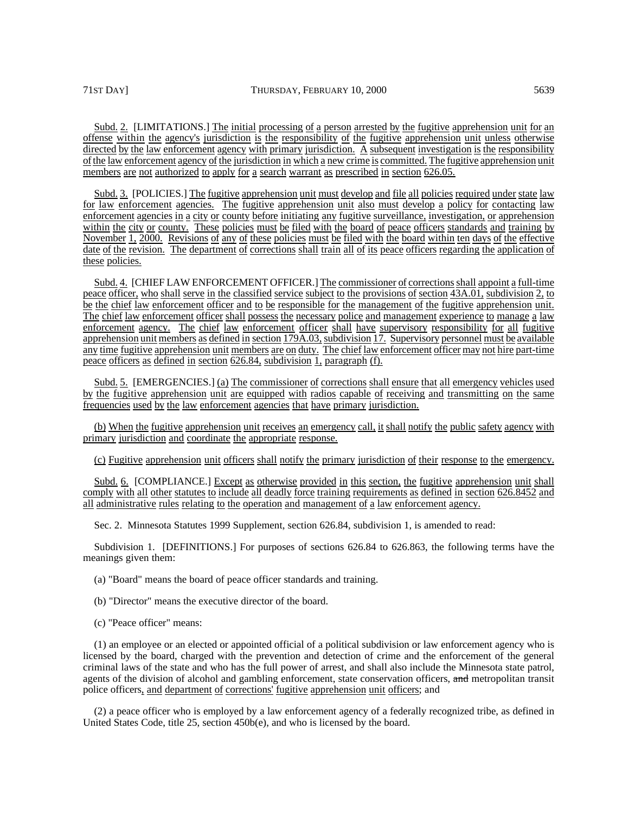Subd. 2. [LIMITATIONS.] The initial processing of a person arrested by the fugitive apprehension unit for an offense within the agency's jurisdiction is the responsibility of the fugitive apprehension unit unless otherwise directed by the law enforcement agency with primary jurisdiction. A subsequent investigation is the responsibility ofthe law enforcement agency of the jurisdiction in which a new crime is committed. The fugitive apprehension unit members are not authorized to apply for a search warrant as prescribed in section 626.05.

Subd. 3. [POLICIES.] The fugitive apprehension unit must develop and file all policies required under state law for law enforcement agencies. The fugitive apprehension unit also must develop a policy for contacting law enforcement agencies in a city or county before initiating any fugitive surveillance, investigation, or apprehension within the city or county. These policies must be filed with the board of peace officers standards and training by November 1, 2000. Revisions of any of these policies must be filed with the board within ten days of the effective date of the revision. The department of corrections shall train all of its peace officers regarding the application of these policies.

Subd. 4. [CHIEF LAW ENFORCEMENT OFFICER.] The commissioner of correctionsshall appoint a full-time peace officer, who shall serve in the classified service subject to the provisions of section 43A.01, subdivision 2, to be the chief law enforcement officer and to be responsible for the management of the fugitive apprehension unit. The chief law enforcement officer shall possess the necessary police and management experience to manage a law enforcement agency. The chief law enforcement officer shall have supervisory responsibility for all fugitive apprehension unit members as defined in section 179A.03, subdivision 17. Supervisory personnel must be available any time fugitive apprehension unit members are on duty. The chief law enforcement officer may not hire part-time peace officers as defined in section 626.84, subdivision 1, paragraph (f).

Subd. 5. [EMERGENCIES.] (a) The commissioner of corrections shall ensure that all emergency vehicles used by the fugitive apprehension unit are equipped with radios capable of receiving and transmitting on the same frequencies used by the law enforcement agencies that have primary jurisdiction.

(b) When the fugitive apprehension unit receives an emergency call, it shall notify the public safety agency with primary jurisdiction and coordinate the appropriate response.

(c) Fugitive apprehension unit officers shall notify the primary jurisdiction of their response to the emergency.

Subd. 6. [COMPLIANCE.] Except as otherwise provided in this section, the fugitive apprehension unit shall comply with all other statutes to include all deadly force training requirements as defined in section 626.8452 and all administrative rules relating to the operation and management of a law enforcement agency.

Sec. 2. Minnesota Statutes 1999 Supplement, section 626.84, subdivision 1, is amended to read:

Subdivision 1. [DEFINITIONS.] For purposes of sections 626.84 to 626.863, the following terms have the meanings given them:

(a) "Board" means the board of peace officer standards and training.

- (b) "Director" means the executive director of the board.
- (c) "Peace officer" means:

(1) an employee or an elected or appointed official of a political subdivision or law enforcement agency who is licensed by the board, charged with the prevention and detection of crime and the enforcement of the general criminal laws of the state and who has the full power of arrest, and shall also include the Minnesota state patrol, agents of the division of alcohol and gambling enforcement, state conservation officers, and metropolitan transit police officers, and department of corrections' fugitive apprehension unit officers; and

(2) a peace officer who is employed by a law enforcement agency of a federally recognized tribe, as defined in United States Code, title 25, section 450b(e), and who is licensed by the board.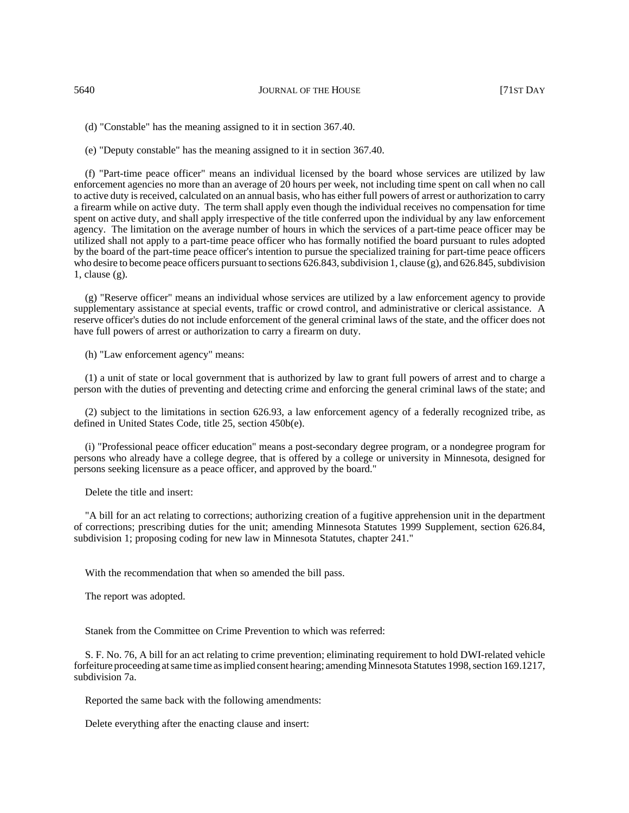(d) "Constable" has the meaning assigned to it in section 367.40.

(e) "Deputy constable" has the meaning assigned to it in section 367.40.

(f) "Part-time peace officer" means an individual licensed by the board whose services are utilized by law enforcement agencies no more than an average of 20 hours per week, not including time spent on call when no call to active duty is received, calculated on an annual basis, who has either full powers of arrest or authorization to carry a firearm while on active duty. The term shall apply even though the individual receives no compensation for time spent on active duty, and shall apply irrespective of the title conferred upon the individual by any law enforcement agency. The limitation on the average number of hours in which the services of a part-time peace officer may be utilized shall not apply to a part-time peace officer who has formally notified the board pursuant to rules adopted by the board of the part-time peace officer's intention to pursue the specialized training for part-time peace officers who desire to become peace officers pursuant to sections 626.843, subdivision 1, clause (g), and 626.845, subdivision 1, clause  $(g)$ .

(g) "Reserve officer" means an individual whose services are utilized by a law enforcement agency to provide supplementary assistance at special events, traffic or crowd control, and administrative or clerical assistance. A reserve officer's duties do not include enforcement of the general criminal laws of the state, and the officer does not have full powers of arrest or authorization to carry a firearm on duty.

(h) "Law enforcement agency" means:

(1) a unit of state or local government that is authorized by law to grant full powers of arrest and to charge a person with the duties of preventing and detecting crime and enforcing the general criminal laws of the state; and

(2) subject to the limitations in section 626.93, a law enforcement agency of a federally recognized tribe, as defined in United States Code, title 25, section 450b(e).

(i) "Professional peace officer education" means a post-secondary degree program, or a nondegree program for persons who already have a college degree, that is offered by a college or university in Minnesota, designed for persons seeking licensure as a peace officer, and approved by the board."

Delete the title and insert:

"A bill for an act relating to corrections; authorizing creation of a fugitive apprehension unit in the department of corrections; prescribing duties for the unit; amending Minnesota Statutes 1999 Supplement, section 626.84, subdivision 1; proposing coding for new law in Minnesota Statutes, chapter 241."

With the recommendation that when so amended the bill pass.

The report was adopted.

Stanek from the Committee on Crime Prevention to which was referred:

S. F. No. 76, A bill for an act relating to crime prevention; eliminating requirement to hold DWI-related vehicle forfeiture proceeding at same time as implied consent hearing; amending Minnesota Statutes 1998, section 169.1217, subdivision 7a.

Reported the same back with the following amendments:

Delete everything after the enacting clause and insert: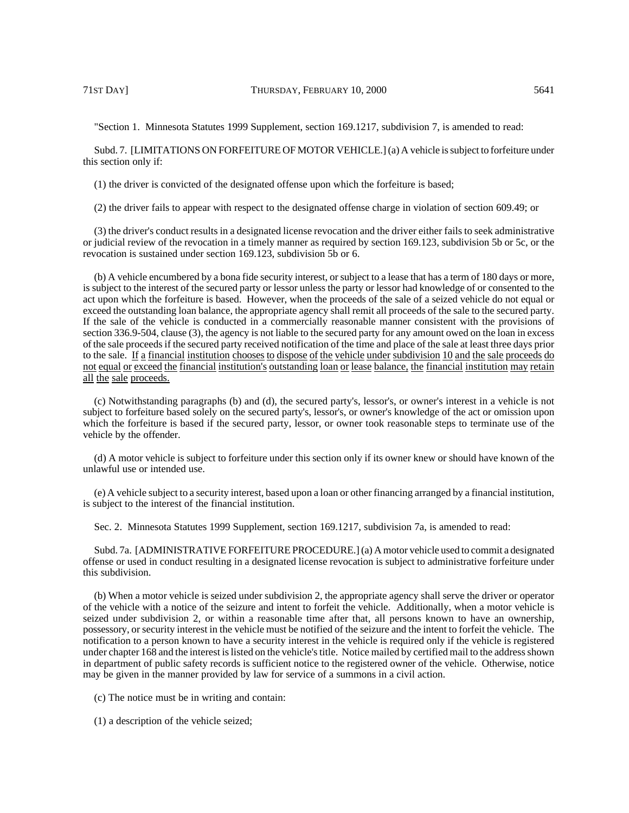"Section 1. Minnesota Statutes 1999 Supplement, section 169.1217, subdivision 7, is amended to read:

Subd. 7. [LIMITATIONS ON FORFEITURE OF MOTOR VEHICLE.] (a) A vehicle is subject to forfeiture under this section only if:

(1) the driver is convicted of the designated offense upon which the forfeiture is based;

(2) the driver fails to appear with respect to the designated offense charge in violation of section 609.49; or

(3) the driver's conduct results in a designated license revocation and the driver either fails to seek administrative or judicial review of the revocation in a timely manner as required by section 169.123, subdivision 5b or 5c, or the revocation is sustained under section 169.123, subdivision 5b or 6.

(b) A vehicle encumbered by a bona fide security interest, or subject to a lease that has a term of 180 days or more, is subject to the interest of the secured party or lessor unless the party or lessor had knowledge of or consented to the act upon which the forfeiture is based. However, when the proceeds of the sale of a seized vehicle do not equal or exceed the outstanding loan balance, the appropriate agency shall remit all proceeds of the sale to the secured party. If the sale of the vehicle is conducted in a commercially reasonable manner consistent with the provisions of section 336.9-504, clause (3), the agency is not liable to the secured party for any amount owed on the loan in excess of the sale proceeds if the secured party received notification of the time and place of the sale at least three days prior to the sale. If a financial institution chooses to dispose of the vehicle under subdivision 10 and the sale proceeds do not equal or exceed the financial institution's outstanding loan or lease balance, the financial institution may retain all the sale proceeds.

(c) Notwithstanding paragraphs (b) and (d), the secured party's, lessor's, or owner's interest in a vehicle is not subject to forfeiture based solely on the secured party's, lessor's, or owner's knowledge of the act or omission upon which the forfeiture is based if the secured party, lessor, or owner took reasonable steps to terminate use of the vehicle by the offender.

(d) A motor vehicle is subject to forfeiture under this section only if its owner knew or should have known of the unlawful use or intended use.

(e) A vehicle subject to a security interest, based upon a loan or other financing arranged by a financial institution, is subject to the interest of the financial institution.

Sec. 2. Minnesota Statutes 1999 Supplement, section 169.1217, subdivision 7a, is amended to read:

Subd. 7a. [ADMINISTRATIVE FORFEITURE PROCEDURE.] (a) A motor vehicle used to commit a designated offense or used in conduct resulting in a designated license revocation is subject to administrative forfeiture under this subdivision.

(b) When a motor vehicle is seized under subdivision 2, the appropriate agency shall serve the driver or operator of the vehicle with a notice of the seizure and intent to forfeit the vehicle. Additionally, when a motor vehicle is seized under subdivision 2, or within a reasonable time after that, all persons known to have an ownership, possessory, or security interest in the vehicle must be notified of the seizure and the intent to forfeit the vehicle. The notification to a person known to have a security interest in the vehicle is required only if the vehicle is registered under chapter 168 and the interest is listed on the vehicle's title. Notice mailed by certified mail to the address shown in department of public safety records is sufficient notice to the registered owner of the vehicle. Otherwise, notice may be given in the manner provided by law for service of a summons in a civil action.

(c) The notice must be in writing and contain:

(1) a description of the vehicle seized;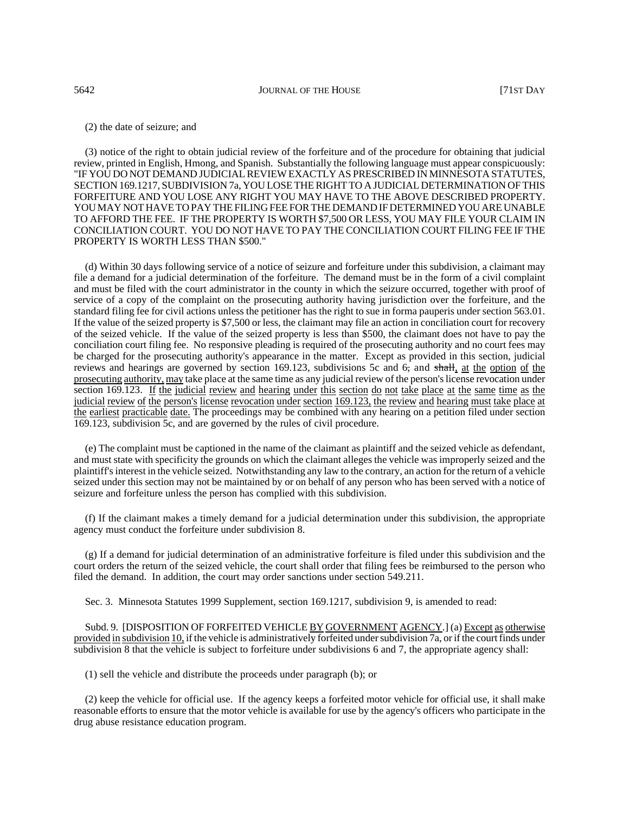(2) the date of seizure; and

(3) notice of the right to obtain judicial review of the forfeiture and of the procedure for obtaining that judicial review, printed in English, Hmong, and Spanish. Substantially the following language must appear conspicuously: "IF YOU DO NOT DEMAND JUDICIAL REVIEW EXACTLY AS PRESCRIBED IN MINNESOTA STATUTES, SECTION 169.1217, SUBDIVISION 7a, YOU LOSE THE RIGHT TO A JUDICIAL DETERMINATION OF THIS FORFEITURE AND YOU LOSE ANY RIGHT YOU MAY HAVE TO THE ABOVE DESCRIBED PROPERTY. YOU MAY NOT HAVE TO PAY THE FILING FEE FOR THE DEMAND IF DETERMINED YOU ARE UNABLE TO AFFORD THE FEE. IF THE PROPERTY IS WORTH \$7,500 OR LESS, YOU MAY FILE YOUR CLAIM IN CONCILIATION COURT. YOU DO NOT HAVE TO PAY THE CONCILIATION COURT FILING FEE IF THE PROPERTY IS WORTH LESS THAN \$500."

(d) Within 30 days following service of a notice of seizure and forfeiture under this subdivision, a claimant may file a demand for a judicial determination of the forfeiture. The demand must be in the form of a civil complaint and must be filed with the court administrator in the county in which the seizure occurred, together with proof of service of a copy of the complaint on the prosecuting authority having jurisdiction over the forfeiture, and the standard filing fee for civil actions unless the petitioner has the right to sue in forma pauperis under section 563.01. If the value of the seized property is \$7,500 or less, the claimant may file an action in conciliation court for recovery of the seized vehicle. If the value of the seized property is less than \$500, the claimant does not have to pay the conciliation court filing fee. No responsive pleading is required of the prosecuting authority and no court fees may be charged for the prosecuting authority's appearance in the matter. Except as provided in this section, judicial reviews and hearings are governed by section 169.123, subdivisions 5c and 6, and shall, at the option of the prosecuting authority, may take place at the same time as any judicial review of the person's license revocation under section 169.123. If the judicial review and hearing under this section do not take place at the same time as the judicial review of the person's license revocation under section 169.123, the review and hearing must take place at the earliest practicable date. The proceedings may be combined with any hearing on a petition filed under section 169.123, subdivision 5c, and are governed by the rules of civil procedure.

(e) The complaint must be captioned in the name of the claimant as plaintiff and the seized vehicle as defendant, and must state with specificity the grounds on which the claimant alleges the vehicle was improperly seized and the plaintiff's interest in the vehicle seized. Notwithstanding any law to the contrary, an action for the return of a vehicle seized under this section may not be maintained by or on behalf of any person who has been served with a notice of seizure and forfeiture unless the person has complied with this subdivision.

(f) If the claimant makes a timely demand for a judicial determination under this subdivision, the appropriate agency must conduct the forfeiture under subdivision 8.

(g) If a demand for judicial determination of an administrative forfeiture is filed under this subdivision and the court orders the return of the seized vehicle, the court shall order that filing fees be reimbursed to the person who filed the demand. In addition, the court may order sanctions under section 549.211.

Sec. 3. Minnesota Statutes 1999 Supplement, section 169.1217, subdivision 9, is amended to read:

Subd. 9. [DISPOSITION OF FORFEITED VEHICLE BY GOVERNMENT AGENCY.] (a) Except as otherwise provided in subdivision 10, if the vehicle is administratively forfeited under subdivision 7a, or if the court finds under subdivision 8 that the vehicle is subject to forfeiture under subdivisions 6 and 7, the appropriate agency shall:

(1) sell the vehicle and distribute the proceeds under paragraph (b); or

(2) keep the vehicle for official use. If the agency keeps a forfeited motor vehicle for official use, it shall make reasonable efforts to ensure that the motor vehicle is available for use by the agency's officers who participate in the drug abuse resistance education program.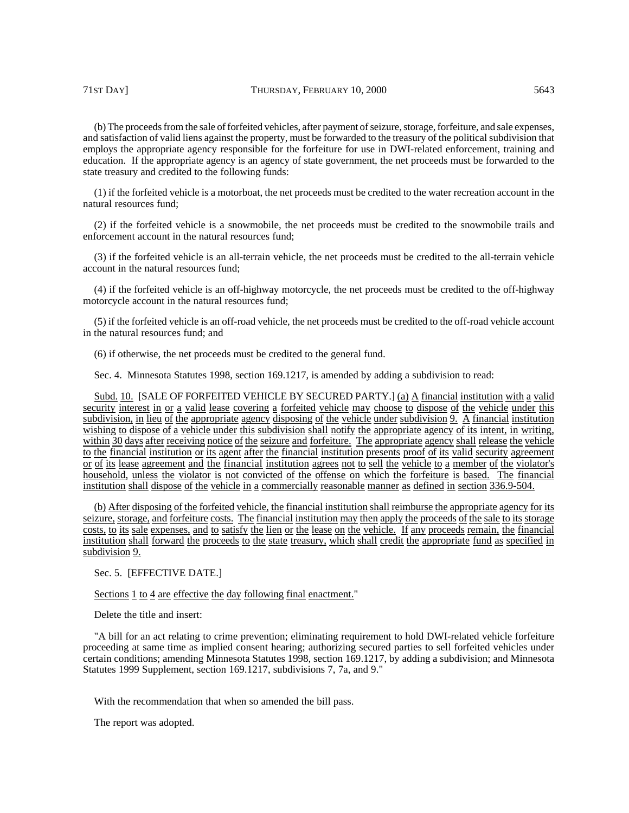(b) The proceeds from the sale of forfeited vehicles, after payment of seizure, storage, forfeiture, and sale expenses,

and satisfaction of valid liens against the property, must be forwarded to the treasury of the political subdivision that employs the appropriate agency responsible for the forfeiture for use in DWI-related enforcement, training and education. If the appropriate agency is an agency of state government, the net proceeds must be forwarded to the state treasury and credited to the following funds:

(1) if the forfeited vehicle is a motorboat, the net proceeds must be credited to the water recreation account in the natural resources fund;

(2) if the forfeited vehicle is a snowmobile, the net proceeds must be credited to the snowmobile trails and enforcement account in the natural resources fund;

(3) if the forfeited vehicle is an all-terrain vehicle, the net proceeds must be credited to the all-terrain vehicle account in the natural resources fund;

(4) if the forfeited vehicle is an off-highway motorcycle, the net proceeds must be credited to the off-highway motorcycle account in the natural resources fund;

(5) if the forfeited vehicle is an off-road vehicle, the net proceeds must be credited to the off-road vehicle account in the natural resources fund; and

(6) if otherwise, the net proceeds must be credited to the general fund.

Sec. 4. Minnesota Statutes 1998, section 169.1217, is amended by adding a subdivision to read:

Subd. 10. [SALE OF FORFEITED VEHICLE BY SECURED PARTY.] (a) A financial institution with a valid security interest in or a valid lease covering a forfeited vehicle may choose to dispose of the vehicle under this subdivision, in lieu of the appropriate agency disposing of the vehicle under subdivision 9. A financial institution wishing to dispose of a vehicle under this subdivision shall notify the appropriate agency of its intent, in writing, within 30 days after receiving notice of the seizure and forfeiture. The appropriate agency shall release the vehicle to the financial institution or its agent after the financial institution presents proof of its valid security agreement or of its lease agreement and the financial institution agrees not to sell the vehicle to a member of the violator's household, unless the violator is not convicted of the offense on which the forfeiture is based. The financial institution shall dispose of the vehicle in a commercially reasonable manner as defined in section 336.9-504.

(b) After disposing of the forfeited vehicle, the financial institution shall reimburse the appropriate agency for its seizure, storage, and forfeiture costs. The financial institution may then apply the proceeds of the sale to its storage costs, to its sale expenses, and to satisfy the lien or the lease on the vehicle. If any proceeds remain, the financial institution shall forward the proceeds to the state treasury, which shall credit the appropriate fund as specified in subdivision 9.

Sec. 5. [EFFECTIVE DATE.]

Sections 1 to 4 are effective the day following final enactment."

Delete the title and insert:

"A bill for an act relating to crime prevention; eliminating requirement to hold DWI-related vehicle forfeiture proceeding at same time as implied consent hearing; authorizing secured parties to sell forfeited vehicles under certain conditions; amending Minnesota Statutes 1998, section 169.1217, by adding a subdivision; and Minnesota Statutes 1999 Supplement, section 169.1217, subdivisions 7, 7a, and 9."

With the recommendation that when so amended the bill pass.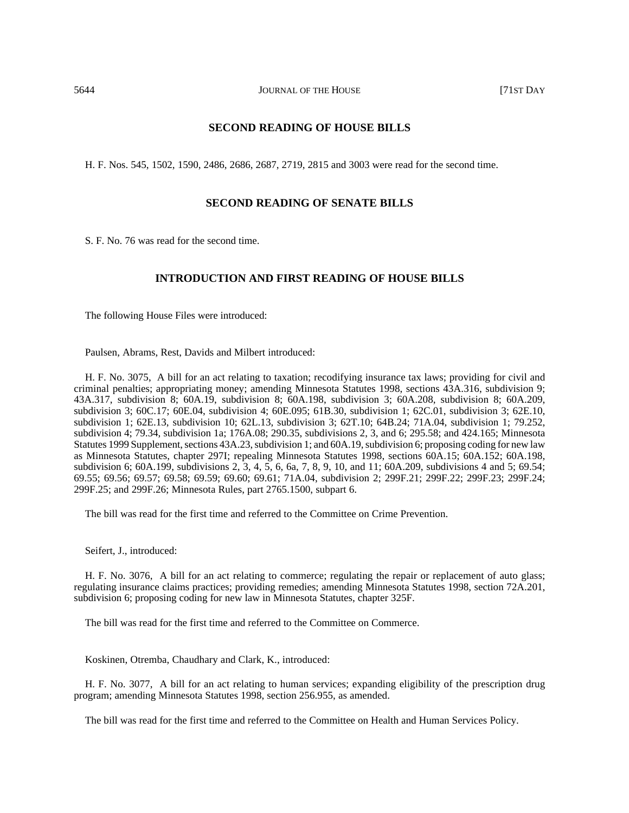## **SECOND READING OF HOUSE BILLS**

H. F. Nos. 545, 1502, 1590, 2486, 2686, 2687, 2719, 2815 and 3003 were read for the second time.

# **SECOND READING OF SENATE BILLS**

S. F. No. 76 was read for the second time.

# **INTRODUCTION AND FIRST READING OF HOUSE BILLS**

The following House Files were introduced:

Paulsen, Abrams, Rest, Davids and Milbert introduced:

H. F. No. 3075, A bill for an act relating to taxation; recodifying insurance tax laws; providing for civil and criminal penalties; appropriating money; amending Minnesota Statutes 1998, sections 43A.316, subdivision 9; 43A.317, subdivision 8; 60A.19, subdivision 8; 60A.198, subdivision 3; 60A.208, subdivision 8; 60A.209, subdivision 3; 60C.17; 60E.04, subdivision 4; 60E.095; 61B.30, subdivision 1; 62C.01, subdivision 3; 62E.10, subdivision 1; 62E.13, subdivision 10; 62L.13, subdivision 3; 62T.10; 64B.24; 71A.04, subdivision 1; 79.252, subdivision 4; 79.34, subdivision 1a; 176A.08; 290.35, subdivisions 2, 3, and 6; 295.58; and 424.165; Minnesota Statutes 1999 Supplement, sections 43A.23, subdivision 1; and 60A.19, subdivision 6; proposing coding for new law as Minnesota Statutes, chapter 297I; repealing Minnesota Statutes 1998, sections 60A.15; 60A.152; 60A.198, subdivision 6; 60A.199, subdivisions 2, 3, 4, 5, 6, 6a, 7, 8, 9, 10, and 11; 60A.209, subdivisions 4 and 5; 69.54; 69.55; 69.56; 69.57; 69.58; 69.59; 69.60; 69.61; 71A.04, subdivision 2; 299F.21; 299F.22; 299F.23; 299F.24; 299F.25; and 299F.26; Minnesota Rules, part 2765.1500, subpart 6.

The bill was read for the first time and referred to the Committee on Crime Prevention.

Seifert, J., introduced:

H. F. No. 3076, A bill for an act relating to commerce; regulating the repair or replacement of auto glass; regulating insurance claims practices; providing remedies; amending Minnesota Statutes 1998, section 72A.201, subdivision 6; proposing coding for new law in Minnesota Statutes, chapter 325F.

The bill was read for the first time and referred to the Committee on Commerce.

Koskinen, Otremba, Chaudhary and Clark, K., introduced:

H. F. No. 3077, A bill for an act relating to human services; expanding eligibility of the prescription drug program; amending Minnesota Statutes 1998, section 256.955, as amended.

The bill was read for the first time and referred to the Committee on Health and Human Services Policy.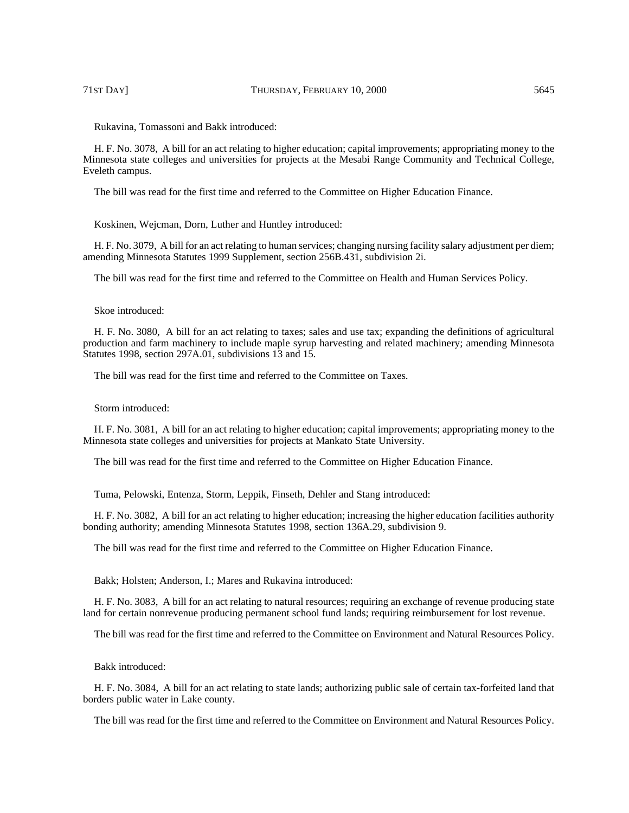Rukavina, Tomassoni and Bakk introduced:

H. F. No. 3078, A bill for an act relating to higher education; capital improvements; appropriating money to the Minnesota state colleges and universities for projects at the Mesabi Range Community and Technical College, Eveleth campus.

The bill was read for the first time and referred to the Committee on Higher Education Finance.

Koskinen, Wejcman, Dorn, Luther and Huntley introduced:

H. F. No. 3079, A bill for an act relating to human services; changing nursing facility salary adjustment per diem; amending Minnesota Statutes 1999 Supplement, section 256B.431, subdivision 2i.

The bill was read for the first time and referred to the Committee on Health and Human Services Policy.

Skoe introduced:

H. F. No. 3080, A bill for an act relating to taxes; sales and use tax; expanding the definitions of agricultural production and farm machinery to include maple syrup harvesting and related machinery; amending Minnesota Statutes 1998, section 297A.01, subdivisions 13 and 15.

The bill was read for the first time and referred to the Committee on Taxes.

Storm introduced:

H. F. No. 3081, A bill for an act relating to higher education; capital improvements; appropriating money to the Minnesota state colleges and universities for projects at Mankato State University.

The bill was read for the first time and referred to the Committee on Higher Education Finance.

Tuma, Pelowski, Entenza, Storm, Leppik, Finseth, Dehler and Stang introduced:

H. F. No. 3082, A bill for an act relating to higher education; increasing the higher education facilities authority bonding authority; amending Minnesota Statutes 1998, section 136A.29, subdivision 9.

The bill was read for the first time and referred to the Committee on Higher Education Finance.

Bakk; Holsten; Anderson, I.; Mares and Rukavina introduced:

H. F. No. 3083, A bill for an act relating to natural resources; requiring an exchange of revenue producing state land for certain nonrevenue producing permanent school fund lands; requiring reimbursement for lost revenue.

The bill was read for the first time and referred to the Committee on Environment and Natural Resources Policy.

Bakk introduced:

H. F. No. 3084, A bill for an act relating to state lands; authorizing public sale of certain tax-forfeited land that borders public water in Lake county.

The bill was read for the first time and referred to the Committee on Environment and Natural Resources Policy.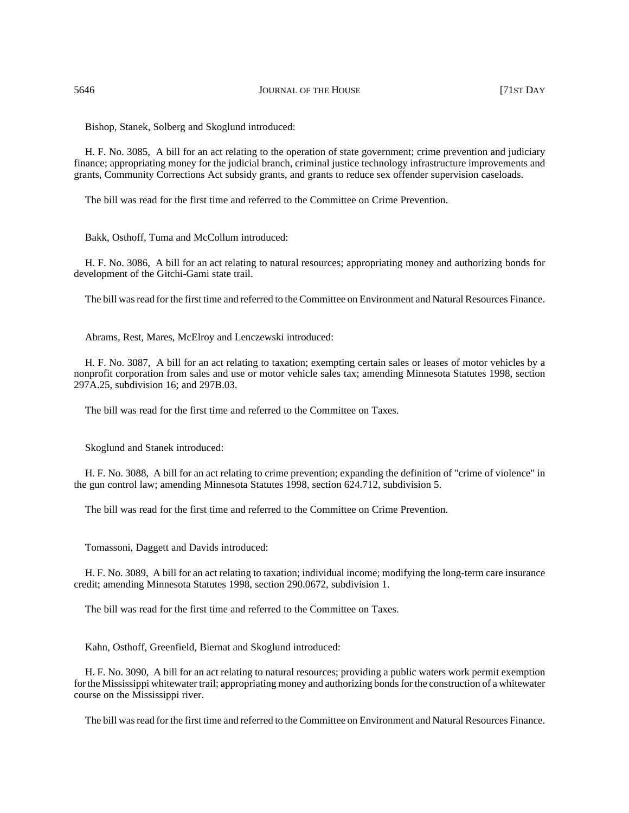Bishop, Stanek, Solberg and Skoglund introduced:

H. F. No. 3085, A bill for an act relating to the operation of state government; crime prevention and judiciary finance; appropriating money for the judicial branch, criminal justice technology infrastructure improvements and grants, Community Corrections Act subsidy grants, and grants to reduce sex offender supervision caseloads.

The bill was read for the first time and referred to the Committee on Crime Prevention.

Bakk, Osthoff, Tuma and McCollum introduced:

H. F. No. 3086, A bill for an act relating to natural resources; appropriating money and authorizing bonds for development of the Gitchi-Gami state trail.

The bill was read for the first time and referred to the Committee on Environment and Natural Resources Finance.

Abrams, Rest, Mares, McElroy and Lenczewski introduced:

H. F. No. 3087, A bill for an act relating to taxation; exempting certain sales or leases of motor vehicles by a nonprofit corporation from sales and use or motor vehicle sales tax; amending Minnesota Statutes 1998, section 297A.25, subdivision 16; and 297B.03.

The bill was read for the first time and referred to the Committee on Taxes.

Skoglund and Stanek introduced:

H. F. No. 3088, A bill for an act relating to crime prevention; expanding the definition of "crime of violence" in the gun control law; amending Minnesota Statutes 1998, section 624.712, subdivision 5.

The bill was read for the first time and referred to the Committee on Crime Prevention.

Tomassoni, Daggett and Davids introduced:

H. F. No. 3089, A bill for an act relating to taxation; individual income; modifying the long-term care insurance credit; amending Minnesota Statutes 1998, section 290.0672, subdivision 1.

The bill was read for the first time and referred to the Committee on Taxes.

Kahn, Osthoff, Greenfield, Biernat and Skoglund introduced:

H. F. No. 3090, A bill for an act relating to natural resources; providing a public waters work permit exemption for the Mississippi whitewater trail; appropriating money and authorizing bonds for the construction of a whitewater course on the Mississippi river.

The bill was read for the first time and referred to the Committee on Environment and Natural Resources Finance.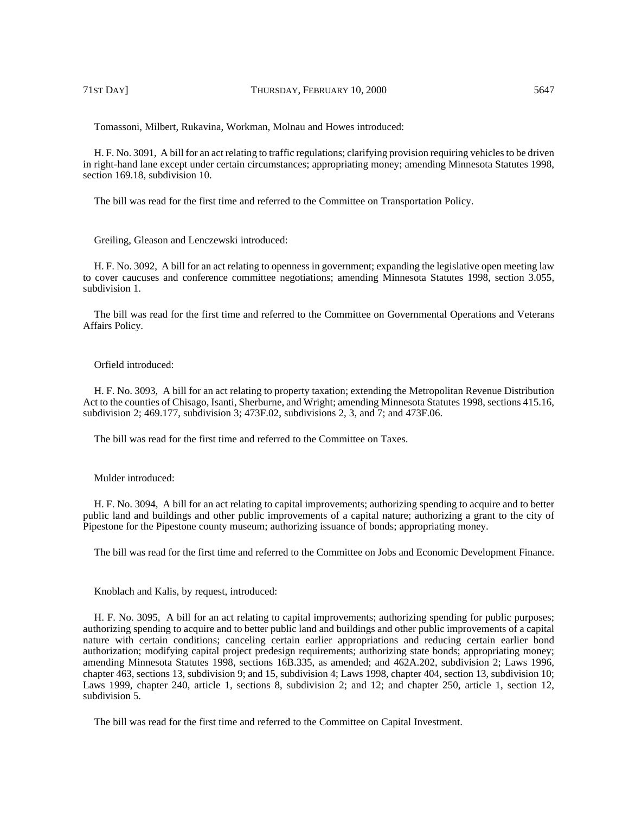Tomassoni, Milbert, Rukavina, Workman, Molnau and Howes introduced:

H. F. No. 3091, A bill for an act relating to traffic regulations; clarifying provision requiring vehicles to be driven in right-hand lane except under certain circumstances; appropriating money; amending Minnesota Statutes 1998, section 169.18, subdivision 10.

The bill was read for the first time and referred to the Committee on Transportation Policy.

Greiling, Gleason and Lenczewski introduced:

H. F. No. 3092, A bill for an act relating to openness in government; expanding the legislative open meeting law to cover caucuses and conference committee negotiations; amending Minnesota Statutes 1998, section 3.055, subdivision 1.

The bill was read for the first time and referred to the Committee on Governmental Operations and Veterans Affairs Policy.

## Orfield introduced:

H. F. No. 3093, A bill for an act relating to property taxation; extending the Metropolitan Revenue Distribution Act to the counties of Chisago, Isanti, Sherburne, and Wright; amending Minnesota Statutes 1998, sections 415.16, subdivision 2; 469.177, subdivision 3; 473F.02, subdivisions 2, 3, and 7; and 473F.06.

The bill was read for the first time and referred to the Committee on Taxes.

#### Mulder introduced:

H. F. No. 3094, A bill for an act relating to capital improvements; authorizing spending to acquire and to better public land and buildings and other public improvements of a capital nature; authorizing a grant to the city of Pipestone for the Pipestone county museum; authorizing issuance of bonds; appropriating money.

The bill was read for the first time and referred to the Committee on Jobs and Economic Development Finance.

Knoblach and Kalis, by request, introduced:

H. F. No. 3095, A bill for an act relating to capital improvements; authorizing spending for public purposes; authorizing spending to acquire and to better public land and buildings and other public improvements of a capital nature with certain conditions; canceling certain earlier appropriations and reducing certain earlier bond authorization; modifying capital project predesign requirements; authorizing state bonds; appropriating money; amending Minnesota Statutes 1998, sections 16B.335, as amended; and 462A.202, subdivision 2; Laws 1996, chapter 463, sections 13, subdivision 9; and 15, subdivision 4; Laws 1998, chapter 404, section 13, subdivision 10; Laws 1999, chapter 240, article 1, sections 8, subdivision 2; and 12; and chapter 250, article 1, section 12, subdivision 5.

The bill was read for the first time and referred to the Committee on Capital Investment.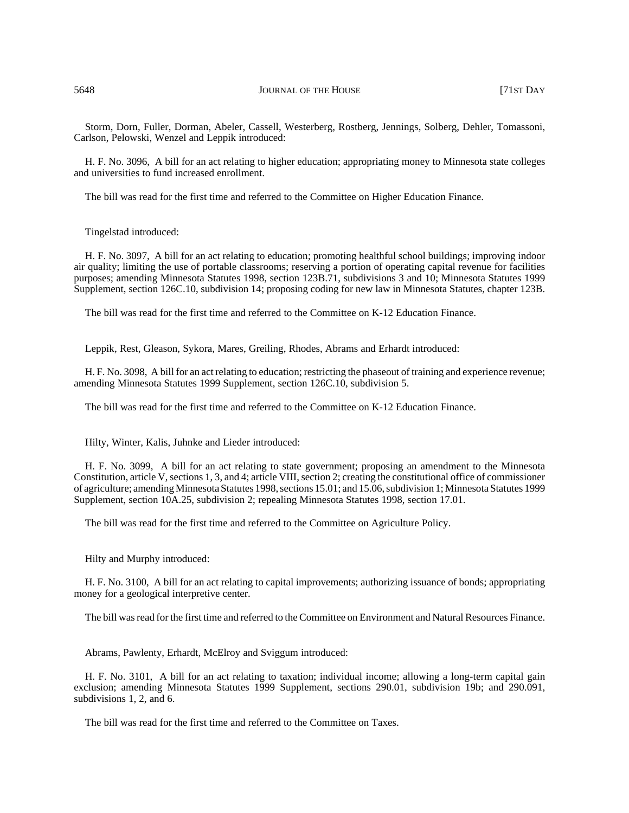5648 JOURNAL OF THE HOUSE 171ST DAY

Storm, Dorn, Fuller, Dorman, Abeler, Cassell, Westerberg, Rostberg, Jennings, Solberg, Dehler, Tomassoni, Carlson, Pelowski, Wenzel and Leppik introduced:

H. F. No. 3096, A bill for an act relating to higher education; appropriating money to Minnesota state colleges and universities to fund increased enrollment.

The bill was read for the first time and referred to the Committee on Higher Education Finance.

Tingelstad introduced:

H. F. No. 3097, A bill for an act relating to education; promoting healthful school buildings; improving indoor air quality; limiting the use of portable classrooms; reserving a portion of operating capital revenue for facilities purposes; amending Minnesota Statutes 1998, section 123B.71, subdivisions 3 and 10; Minnesota Statutes 1999 Supplement, section 126C.10, subdivision 14; proposing coding for new law in Minnesota Statutes, chapter 123B.

The bill was read for the first time and referred to the Committee on K-12 Education Finance.

Leppik, Rest, Gleason, Sykora, Mares, Greiling, Rhodes, Abrams and Erhardt introduced:

H. F. No. 3098, A bill for an act relating to education; restricting the phaseout of training and experience revenue; amending Minnesota Statutes 1999 Supplement, section 126C.10, subdivision 5.

The bill was read for the first time and referred to the Committee on K-12 Education Finance.

Hilty, Winter, Kalis, Juhnke and Lieder introduced:

H. F. No. 3099, A bill for an act relating to state government; proposing an amendment to the Minnesota Constitution, article V, sections 1, 3, and 4; article VIII, section 2; creating the constitutional office of commissioner of agriculture; amending Minnesota Statutes 1998, sections 15.01; and 15.06, subdivision 1; Minnesota Statutes 1999 Supplement, section 10A.25, subdivision 2; repealing Minnesota Statutes 1998, section 17.01.

The bill was read for the first time and referred to the Committee on Agriculture Policy.

Hilty and Murphy introduced:

H. F. No. 3100, A bill for an act relating to capital improvements; authorizing issuance of bonds; appropriating money for a geological interpretive center.

The bill was read for the first time and referred to the Committee on Environment and Natural Resources Finance.

Abrams, Pawlenty, Erhardt, McElroy and Sviggum introduced:

H. F. No. 3101, A bill for an act relating to taxation; individual income; allowing a long-term capital gain exclusion; amending Minnesota Statutes 1999 Supplement, sections 290.01, subdivision 19b; and 290.091, subdivisions 1, 2, and 6.

The bill was read for the first time and referred to the Committee on Taxes.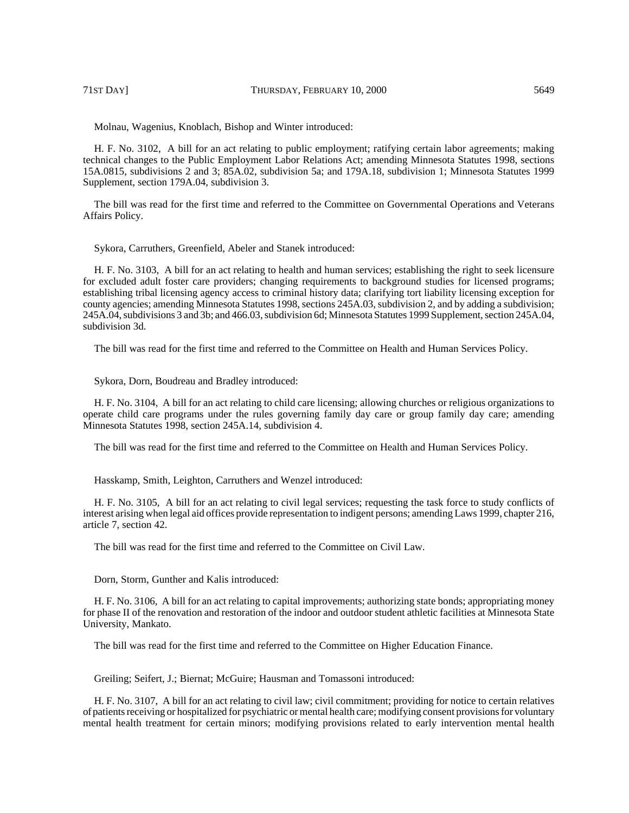Molnau, Wagenius, Knoblach, Bishop and Winter introduced:

H. F. No. 3102, A bill for an act relating to public employment; ratifying certain labor agreements; making technical changes to the Public Employment Labor Relations Act; amending Minnesota Statutes 1998, sections 15A.0815, subdivisions 2 and 3; 85A.02, subdivision 5a; and 179A.18, subdivision 1; Minnesota Statutes 1999 Supplement, section 179A.04, subdivision 3.

The bill was read for the first time and referred to the Committee on Governmental Operations and Veterans Affairs Policy.

Sykora, Carruthers, Greenfield, Abeler and Stanek introduced:

H. F. No. 3103, A bill for an act relating to health and human services; establishing the right to seek licensure for excluded adult foster care providers; changing requirements to background studies for licensed programs; establishing tribal licensing agency access to criminal history data; clarifying tort liability licensing exception for county agencies; amending Minnesota Statutes 1998, sections 245A.03, subdivision 2, and by adding a subdivision; 245A.04, subdivisions 3 and 3b; and 466.03, subdivision 6d; Minnesota Statutes 1999 Supplement, section 245A.04, subdivision 3d.

The bill was read for the first time and referred to the Committee on Health and Human Services Policy.

Sykora, Dorn, Boudreau and Bradley introduced:

H. F. No. 3104, A bill for an act relating to child care licensing; allowing churches or religious organizations to operate child care programs under the rules governing family day care or group family day care; amending Minnesota Statutes 1998, section 245A.14, subdivision 4.

The bill was read for the first time and referred to the Committee on Health and Human Services Policy.

Hasskamp, Smith, Leighton, Carruthers and Wenzel introduced:

H. F. No. 3105, A bill for an act relating to civil legal services; requesting the task force to study conflicts of interest arising when legal aid offices provide representation to indigent persons; amending Laws 1999, chapter 216, article 7, section 42.

The bill was read for the first time and referred to the Committee on Civil Law.

Dorn, Storm, Gunther and Kalis introduced:

H. F. No. 3106, A bill for an act relating to capital improvements; authorizing state bonds; appropriating money for phase II of the renovation and restoration of the indoor and outdoor student athletic facilities at Minnesota State University, Mankato.

The bill was read for the first time and referred to the Committee on Higher Education Finance.

Greiling; Seifert, J.; Biernat; McGuire; Hausman and Tomassoni introduced:

H. F. No. 3107, A bill for an act relating to civil law; civil commitment; providing for notice to certain relatives of patients receiving or hospitalized for psychiatric or mental health care; modifying consent provisions for voluntary mental health treatment for certain minors; modifying provisions related to early intervention mental health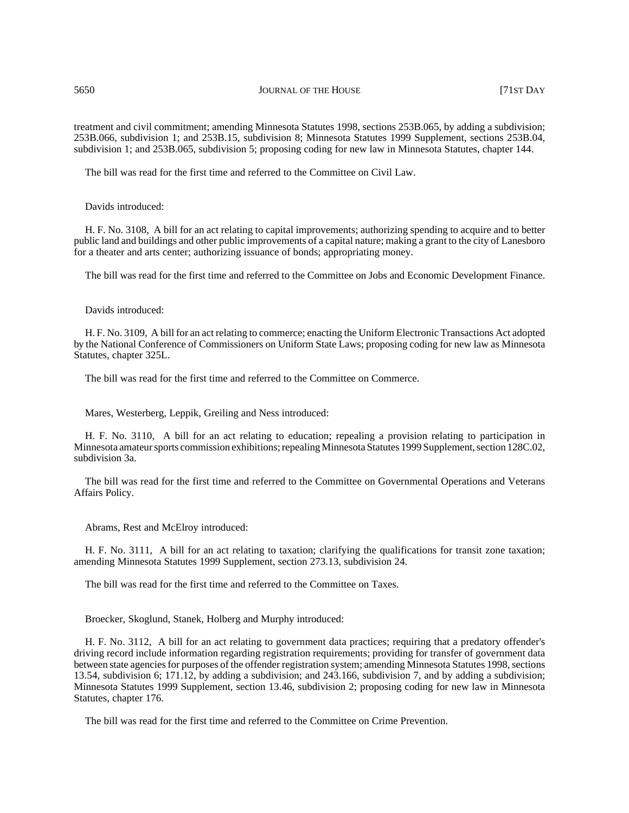## 5650 JOURNAL OF THE HOUSE 5650 [71ST DAY

treatment and civil commitment; amending Minnesota Statutes 1998, sections 253B.065, by adding a subdivision; 253B.066, subdivision 1; and 253B.15, subdivision 8; Minnesota Statutes 1999 Supplement, sections 253B.04, subdivision 1; and 253B.065, subdivision 5; proposing coding for new law in Minnesota Statutes, chapter 144.

The bill was read for the first time and referred to the Committee on Civil Law.

Davids introduced:

H. F. No. 3108, A bill for an act relating to capital improvements; authorizing spending to acquire and to better public land and buildings and other public improvements of a capital nature; making a grant to the city of Lanesboro for a theater and arts center; authorizing issuance of bonds; appropriating money.

The bill was read for the first time and referred to the Committee on Jobs and Economic Development Finance.

## Davids introduced:

H. F. No. 3109, A bill for an act relating to commerce; enacting the Uniform Electronic Transactions Act adopted by the National Conference of Commissioners on Uniform State Laws; proposing coding for new law as Minnesota Statutes, chapter 325L.

The bill was read for the first time and referred to the Committee on Commerce.

Mares, Westerberg, Leppik, Greiling and Ness introduced:

H. F. No. 3110, A bill for an act relating to education; repealing a provision relating to participation in Minnesota amateur sports commission exhibitions; repealing Minnesota Statutes 1999 Supplement, section 128C.02, subdivision 3a.

The bill was read for the first time and referred to the Committee on Governmental Operations and Veterans Affairs Policy.

Abrams, Rest and McElroy introduced:

H. F. No. 3111, A bill for an act relating to taxation; clarifying the qualifications for transit zone taxation; amending Minnesota Statutes 1999 Supplement, section 273.13, subdivision 24.

The bill was read for the first time and referred to the Committee on Taxes.

Broecker, Skoglund, Stanek, Holberg and Murphy introduced:

H. F. No. 3112, A bill for an act relating to government data practices; requiring that a predatory offender's driving record include information regarding registration requirements; providing for transfer of government data between state agencies for purposes of the offender registration system; amending Minnesota Statutes 1998, sections 13.54, subdivision 6; 171.12, by adding a subdivision; and 243.166, subdivision 7, and by adding a subdivision; Minnesota Statutes 1999 Supplement, section 13.46, subdivision 2; proposing coding for new law in Minnesota Statutes, chapter 176.

The bill was read for the first time and referred to the Committee on Crime Prevention.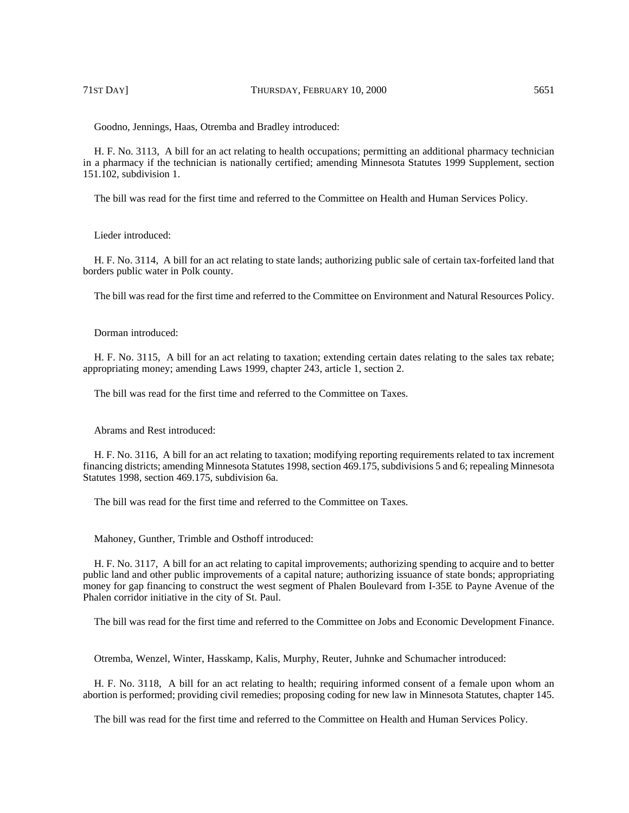Goodno, Jennings, Haas, Otremba and Bradley introduced:

H. F. No. 3113, A bill for an act relating to health occupations; permitting an additional pharmacy technician in a pharmacy if the technician is nationally certified; amending Minnesota Statutes 1999 Supplement, section 151.102, subdivision 1.

The bill was read for the first time and referred to the Committee on Health and Human Services Policy.

Lieder introduced:

H. F. No. 3114, A bill for an act relating to state lands; authorizing public sale of certain tax-forfeited land that borders public water in Polk county.

The bill was read for the first time and referred to the Committee on Environment and Natural Resources Policy.

#### Dorman introduced:

H. F. No. 3115, A bill for an act relating to taxation; extending certain dates relating to the sales tax rebate; appropriating money; amending Laws 1999, chapter 243, article 1, section 2.

The bill was read for the first time and referred to the Committee on Taxes.

Abrams and Rest introduced:

H. F. No. 3116, A bill for an act relating to taxation; modifying reporting requirements related to tax increment financing districts; amending Minnesota Statutes 1998, section 469.175, subdivisions 5 and 6; repealing Minnesota Statutes 1998, section 469.175, subdivision 6a.

The bill was read for the first time and referred to the Committee on Taxes.

Mahoney, Gunther, Trimble and Osthoff introduced:

H. F. No. 3117, A bill for an act relating to capital improvements; authorizing spending to acquire and to better public land and other public improvements of a capital nature; authorizing issuance of state bonds; appropriating money for gap financing to construct the west segment of Phalen Boulevard from I-35E to Payne Avenue of the Phalen corridor initiative in the city of St. Paul.

The bill was read for the first time and referred to the Committee on Jobs and Economic Development Finance.

Otremba, Wenzel, Winter, Hasskamp, Kalis, Murphy, Reuter, Juhnke and Schumacher introduced:

H. F. No. 3118, A bill for an act relating to health; requiring informed consent of a female upon whom an abortion is performed; providing civil remedies; proposing coding for new law in Minnesota Statutes, chapter 145.

The bill was read for the first time and referred to the Committee on Health and Human Services Policy.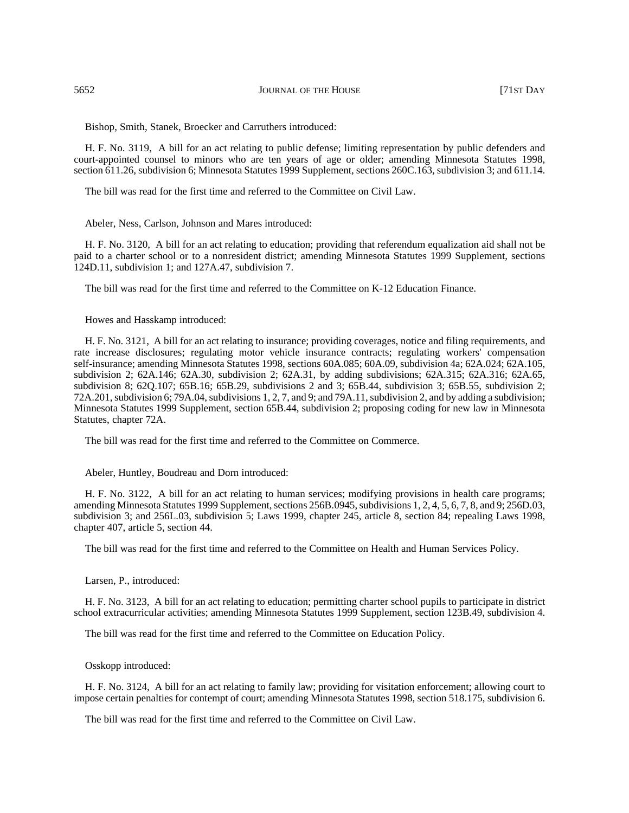5652 JOURNAL OF THE HOUSE 5652 [71ST DAY

Bishop, Smith, Stanek, Broecker and Carruthers introduced:

H. F. No. 3119, A bill for an act relating to public defense; limiting representation by public defenders and court-appointed counsel to minors who are ten years of age or older; amending Minnesota Statutes 1998, section 611.26, subdivision 6; Minnesota Statutes 1999 Supplement, sections 260C.163, subdivision 3; and 611.14.

The bill was read for the first time and referred to the Committee on Civil Law.

Abeler, Ness, Carlson, Johnson and Mares introduced:

H. F. No. 3120, A bill for an act relating to education; providing that referendum equalization aid shall not be paid to a charter school or to a nonresident district; amending Minnesota Statutes 1999 Supplement, sections 124D.11, subdivision 1; and 127A.47, subdivision 7.

The bill was read for the first time and referred to the Committee on K-12 Education Finance.

Howes and Hasskamp introduced:

H. F. No. 3121, A bill for an act relating to insurance; providing coverages, notice and filing requirements, and rate increase disclosures; regulating motor vehicle insurance contracts; regulating workers' compensation self-insurance; amending Minnesota Statutes 1998, sections 60A.085; 60A.09, subdivision 4a; 62A.024; 62A.105, subdivision 2; 62A.146; 62A.30, subdivision 2; 62A.31, by adding subdivisions; 62A.315; 62A.316; 62A.65, subdivision 8; 62Q.107; 65B.16; 65B.29, subdivisions 2 and 3; 65B.44, subdivision 3; 65B.55, subdivision 2; 72A.201, subdivision 6; 79A.04, subdivisions 1, 2, 7, and 9; and 79A.11, subdivision 2, and by adding a subdivision; Minnesota Statutes 1999 Supplement, section 65B.44, subdivision 2; proposing coding for new law in Minnesota Statutes, chapter 72A.

The bill was read for the first time and referred to the Committee on Commerce.

Abeler, Huntley, Boudreau and Dorn introduced:

H. F. No. 3122, A bill for an act relating to human services; modifying provisions in health care programs; amending Minnesota Statutes 1999 Supplement, sections 256B.0945, subdivisions 1, 2, 4, 5, 6, 7, 8, and 9; 256D.03, subdivision 3; and 256L.03, subdivision 5; Laws 1999, chapter 245, article 8, section 84; repealing Laws 1998, chapter 407, article 5, section 44.

The bill was read for the first time and referred to the Committee on Health and Human Services Policy.

Larsen, P., introduced:

H. F. No. 3123, A bill for an act relating to education; permitting charter school pupils to participate in district school extracurricular activities; amending Minnesota Statutes 1999 Supplement, section 123B.49, subdivision 4.

The bill was read for the first time and referred to the Committee on Education Policy.

Osskopp introduced:

H. F. No. 3124, A bill for an act relating to family law; providing for visitation enforcement; allowing court to impose certain penalties for contempt of court; amending Minnesota Statutes 1998, section 518.175, subdivision 6.

The bill was read for the first time and referred to the Committee on Civil Law.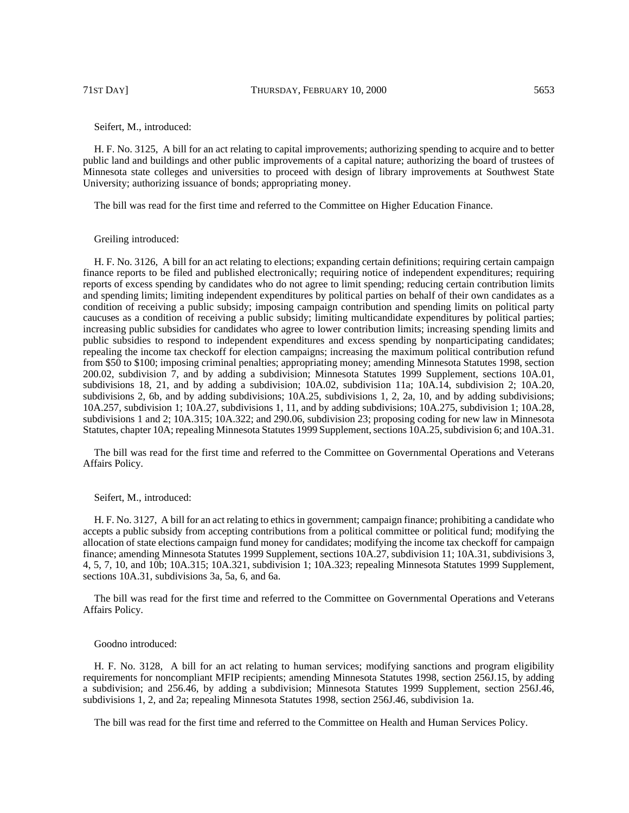71ST DAY] THURSDAY, FEBRUARY 10, 2000 5653

Seifert, M., introduced:

H. F. No. 3125, A bill for an act relating to capital improvements; authorizing spending to acquire and to better public land and buildings and other public improvements of a capital nature; authorizing the board of trustees of Minnesota state colleges and universities to proceed with design of library improvements at Southwest State University; authorizing issuance of bonds; appropriating money.

The bill was read for the first time and referred to the Committee on Higher Education Finance.

## Greiling introduced:

H. F. No. 3126, A bill for an act relating to elections; expanding certain definitions; requiring certain campaign finance reports to be filed and published electronically; requiring notice of independent expenditures; requiring reports of excess spending by candidates who do not agree to limit spending; reducing certain contribution limits and spending limits; limiting independent expenditures by political parties on behalf of their own candidates as a condition of receiving a public subsidy; imposing campaign contribution and spending limits on political party caucuses as a condition of receiving a public subsidy; limiting multicandidate expenditures by political parties; increasing public subsidies for candidates who agree to lower contribution limits; increasing spending limits and public subsidies to respond to independent expenditures and excess spending by nonparticipating candidates; repealing the income tax checkoff for election campaigns; increasing the maximum political contribution refund from \$50 to \$100; imposing criminal penalties; appropriating money; amending Minnesota Statutes 1998, section 200.02, subdivision 7, and by adding a subdivision; Minnesota Statutes 1999 Supplement, sections 10A.01, subdivisions 18, 21, and by adding a subdivision; 10A.02, subdivision 11a; 10A.14, subdivision 2; 10A.20, subdivisions 2, 6b, and by adding subdivisions; 10A.25, subdivisions 1, 2, 2a, 10, and by adding subdivisions; 10A.257, subdivision 1; 10A.27, subdivisions 1, 11, and by adding subdivisions; 10A.275, subdivision 1; 10A.28, subdivisions 1 and 2; 10A.315; 10A.322; and 290.06, subdivision 23; proposing coding for new law in Minnesota Statutes, chapter 10A; repealing Minnesota Statutes 1999 Supplement, sections 10A.25, subdivision 6; and 10A.31.

The bill was read for the first time and referred to the Committee on Governmental Operations and Veterans Affairs Policy.

#### Seifert, M., introduced:

H. F. No. 3127, A bill for an act relating to ethics in government; campaign finance; prohibiting a candidate who accepts a public subsidy from accepting contributions from a political committee or political fund; modifying the allocation of state elections campaign fund money for candidates; modifying the income tax checkoff for campaign finance; amending Minnesota Statutes 1999 Supplement, sections 10A.27, subdivision 11; 10A.31, subdivisions 3, 4, 5, 7, 10, and 10b; 10A.315; 10A.321, subdivision 1; 10A.323; repealing Minnesota Statutes 1999 Supplement, sections 10A.31, subdivisions 3a, 5a, 6, and 6a.

The bill was read for the first time and referred to the Committee on Governmental Operations and Veterans Affairs Policy.

#### Goodno introduced:

H. F. No. 3128, A bill for an act relating to human services; modifying sanctions and program eligibility requirements for noncompliant MFIP recipients; amending Minnesota Statutes 1998, section 256J.15, by adding a subdivision; and 256.46, by adding a subdivision; Minnesota Statutes 1999 Supplement, section 256J.46, subdivisions 1, 2, and 2a; repealing Minnesota Statutes 1998, section 256J.46, subdivision 1a.

The bill was read for the first time and referred to the Committee on Health and Human Services Policy.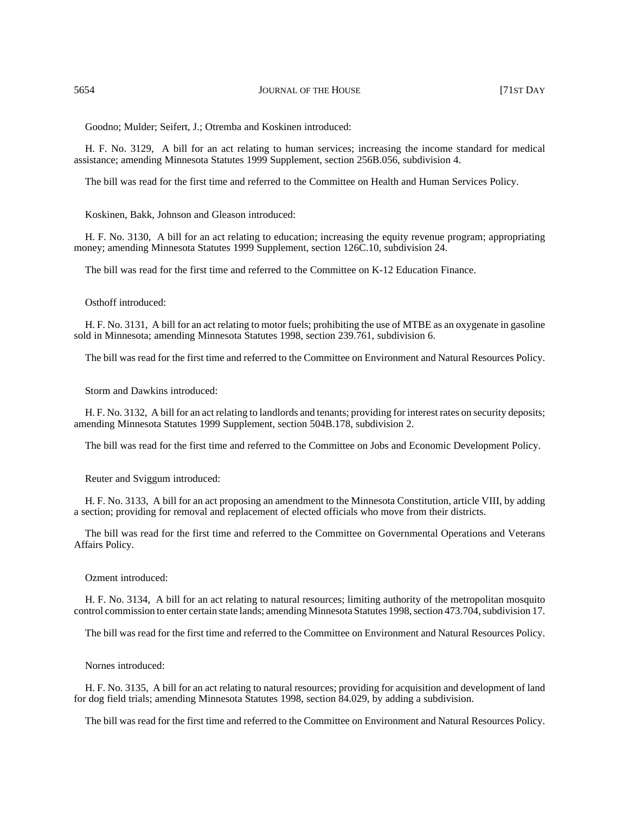## 5654 JOURNAL OF THE HOUSE 5654 [71ST DAY

Goodno; Mulder; Seifert, J.; Otremba and Koskinen introduced:

H. F. No. 3129, A bill for an act relating to human services; increasing the income standard for medical assistance; amending Minnesota Statutes 1999 Supplement, section 256B.056, subdivision 4.

The bill was read for the first time and referred to the Committee on Health and Human Services Policy.

Koskinen, Bakk, Johnson and Gleason introduced:

H. F. No. 3130, A bill for an act relating to education; increasing the equity revenue program; appropriating money; amending Minnesota Statutes 1999 Supplement, section 126C.10, subdivision 24.

The bill was read for the first time and referred to the Committee on K-12 Education Finance.

Osthoff introduced:

H. F. No. 3131, A bill for an act relating to motor fuels; prohibiting the use of MTBE as an oxygenate in gasoline sold in Minnesota; amending Minnesota Statutes 1998, section 239.761, subdivision 6.

The bill was read for the first time and referred to the Committee on Environment and Natural Resources Policy.

Storm and Dawkins introduced:

H. F. No. 3132, A bill for an act relating to landlords and tenants; providing for interest rates on security deposits; amending Minnesota Statutes 1999 Supplement, section 504B.178, subdivision 2.

The bill was read for the first time and referred to the Committee on Jobs and Economic Development Policy.

Reuter and Sviggum introduced:

H. F. No. 3133, A bill for an act proposing an amendment to the Minnesota Constitution, article VIII, by adding a section; providing for removal and replacement of elected officials who move from their districts.

The bill was read for the first time and referred to the Committee on Governmental Operations and Veterans Affairs Policy.

Ozment introduced:

H. F. No. 3134, A bill for an act relating to natural resources; limiting authority of the metropolitan mosquito control commission to enter certain state lands; amending Minnesota Statutes 1998, section 473.704, subdivision 17.

The bill was read for the first time and referred to the Committee on Environment and Natural Resources Policy.

Nornes introduced:

H. F. No. 3135, A bill for an act relating to natural resources; providing for acquisition and development of land for dog field trials; amending Minnesota Statutes 1998, section 84.029, by adding a subdivision.

The bill was read for the first time and referred to the Committee on Environment and Natural Resources Policy.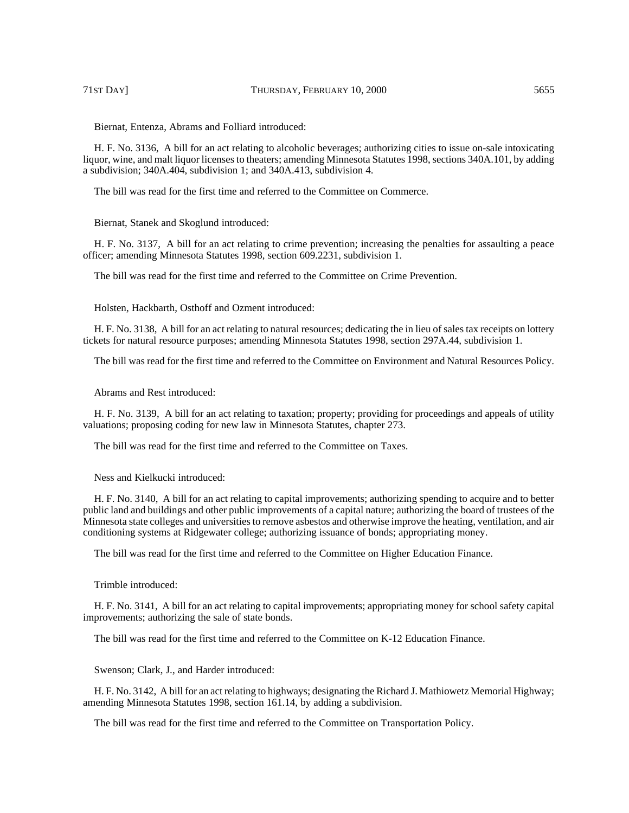Biernat, Entenza, Abrams and Folliard introduced:

H. F. No. 3136, A bill for an act relating to alcoholic beverages; authorizing cities to issue on-sale intoxicating liquor, wine, and malt liquor licenses to theaters; amending Minnesota Statutes 1998, sections 340A.101, by adding a subdivision; 340A.404, subdivision 1; and 340A.413, subdivision 4.

The bill was read for the first time and referred to the Committee on Commerce.

Biernat, Stanek and Skoglund introduced:

H. F. No. 3137, A bill for an act relating to crime prevention; increasing the penalties for assaulting a peace officer; amending Minnesota Statutes 1998, section 609.2231, subdivision 1.

The bill was read for the first time and referred to the Committee on Crime Prevention.

Holsten, Hackbarth, Osthoff and Ozment introduced:

H. F. No. 3138, A bill for an act relating to natural resources; dedicating the in lieu of sales tax receipts on lottery tickets for natural resource purposes; amending Minnesota Statutes 1998, section 297A.44, subdivision 1.

The bill was read for the first time and referred to the Committee on Environment and Natural Resources Policy.

Abrams and Rest introduced:

H. F. No. 3139, A bill for an act relating to taxation; property; providing for proceedings and appeals of utility valuations; proposing coding for new law in Minnesota Statutes, chapter 273.

The bill was read for the first time and referred to the Committee on Taxes.

Ness and Kielkucki introduced:

H. F. No. 3140, A bill for an act relating to capital improvements; authorizing spending to acquire and to better public land and buildings and other public improvements of a capital nature; authorizing the board of trustees of the Minnesota state colleges and universities to remove asbestos and otherwise improve the heating, ventilation, and air conditioning systems at Ridgewater college; authorizing issuance of bonds; appropriating money.

The bill was read for the first time and referred to the Committee on Higher Education Finance.

Trimble introduced:

H. F. No. 3141, A bill for an act relating to capital improvements; appropriating money for school safety capital improvements; authorizing the sale of state bonds.

The bill was read for the first time and referred to the Committee on K-12 Education Finance.

Swenson; Clark, J., and Harder introduced:

H. F. No. 3142, A bill for an act relating to highways; designating the Richard J. Mathiowetz Memorial Highway; amending Minnesota Statutes 1998, section 161.14, by adding a subdivision.

The bill was read for the first time and referred to the Committee on Transportation Policy.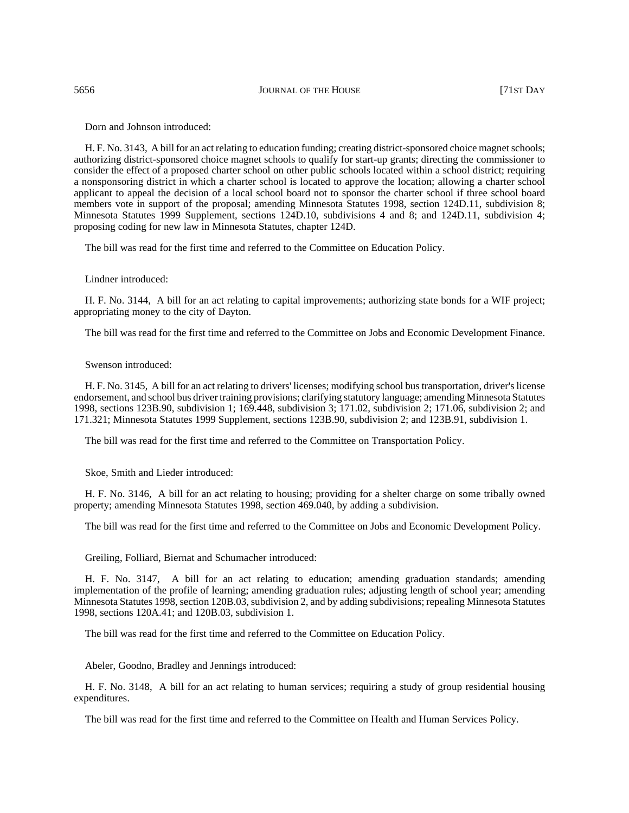Dorn and Johnson introduced:

H. F. No. 3143, A bill for an act relating to education funding; creating district-sponsored choice magnet schools; authorizing district-sponsored choice magnet schools to qualify for start-up grants; directing the commissioner to consider the effect of a proposed charter school on other public schools located within a school district; requiring a nonsponsoring district in which a charter school is located to approve the location; allowing a charter school applicant to appeal the decision of a local school board not to sponsor the charter school if three school board members vote in support of the proposal; amending Minnesota Statutes 1998, section 124D.11, subdivision 8; Minnesota Statutes 1999 Supplement, sections 124D.10, subdivisions 4 and 8; and 124D.11, subdivision 4; proposing coding for new law in Minnesota Statutes, chapter 124D.

The bill was read for the first time and referred to the Committee on Education Policy.

#### Lindner introduced:

H. F. No. 3144, A bill for an act relating to capital improvements; authorizing state bonds for a WIF project; appropriating money to the city of Dayton.

The bill was read for the first time and referred to the Committee on Jobs and Economic Development Finance.

#### Swenson introduced:

H. F. No. 3145, A bill for an act relating to drivers' licenses; modifying school bus transportation, driver's license endorsement, and school bus driver training provisions; clarifying statutory language; amending Minnesota Statutes 1998, sections 123B.90, subdivision 1; 169.448, subdivision 3; 171.02, subdivision 2; 171.06, subdivision 2; and 171.321; Minnesota Statutes 1999 Supplement, sections 123B.90, subdivision 2; and 123B.91, subdivision 1.

The bill was read for the first time and referred to the Committee on Transportation Policy.

Skoe, Smith and Lieder introduced:

H. F. No. 3146, A bill for an act relating to housing; providing for a shelter charge on some tribally owned property; amending Minnesota Statutes 1998, section 469.040, by adding a subdivision.

The bill was read for the first time and referred to the Committee on Jobs and Economic Development Policy.

Greiling, Folliard, Biernat and Schumacher introduced:

H. F. No. 3147, A bill for an act relating to education; amending graduation standards; amending implementation of the profile of learning; amending graduation rules; adjusting length of school year; amending Minnesota Statutes 1998, section 120B.03, subdivision 2, and by adding subdivisions; repealing Minnesota Statutes 1998, sections 120A.41; and 120B.03, subdivision 1.

The bill was read for the first time and referred to the Committee on Education Policy.

Abeler, Goodno, Bradley and Jennings introduced:

H. F. No. 3148, A bill for an act relating to human services; requiring a study of group residential housing expenditures.

The bill was read for the first time and referred to the Committee on Health and Human Services Policy.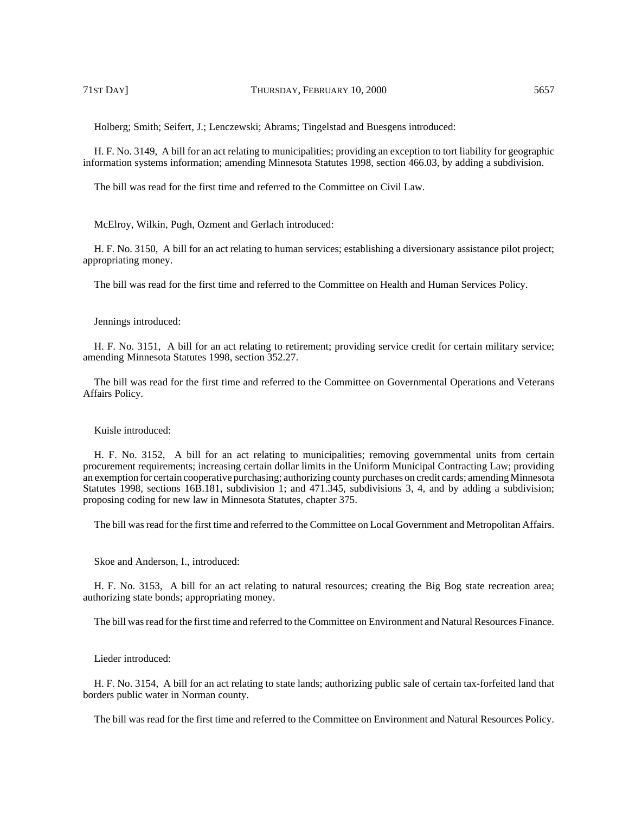Holberg; Smith; Seifert, J.; Lenczewski; Abrams; Tingelstad and Buesgens introduced:

H. F. No. 3149, A bill for an act relating to municipalities; providing an exception to tort liability for geographic information systems information; amending Minnesota Statutes 1998, section 466.03, by adding a subdivision.

The bill was read for the first time and referred to the Committee on Civil Law.

McElroy, Wilkin, Pugh, Ozment and Gerlach introduced:

H. F. No. 3150, A bill for an act relating to human services; establishing a diversionary assistance pilot project; appropriating money.

The bill was read for the first time and referred to the Committee on Health and Human Services Policy.

## Jennings introduced:

H. F. No. 3151, A bill for an act relating to retirement; providing service credit for certain military service; amending Minnesota Statutes 1998, section 352.27.

The bill was read for the first time and referred to the Committee on Governmental Operations and Veterans Affairs Policy.

#### Kuisle introduced:

H. F. No. 3152, A bill for an act relating to municipalities; removing governmental units from certain procurement requirements; increasing certain dollar limits in the Uniform Municipal Contracting Law; providing an exemption for certain cooperative purchasing; authorizing county purchases on credit cards; amending Minnesota Statutes 1998, sections 16B.181, subdivision 1; and 471.345, subdivisions 3, 4, and by adding a subdivision; proposing coding for new law in Minnesota Statutes, chapter 375.

The bill was read for the first time and referred to the Committee on Local Government and Metropolitan Affairs.

## Skoe and Anderson, I., introduced:

H. F. No. 3153, A bill for an act relating to natural resources; creating the Big Bog state recreation area; authorizing state bonds; appropriating money.

The bill was read for the first time and referred to the Committee on Environment and Natural Resources Finance.

### Lieder introduced:

H. F. No. 3154, A bill for an act relating to state lands; authorizing public sale of certain tax-forfeited land that borders public water in Norman county.

The bill was read for the first time and referred to the Committee on Environment and Natural Resources Policy.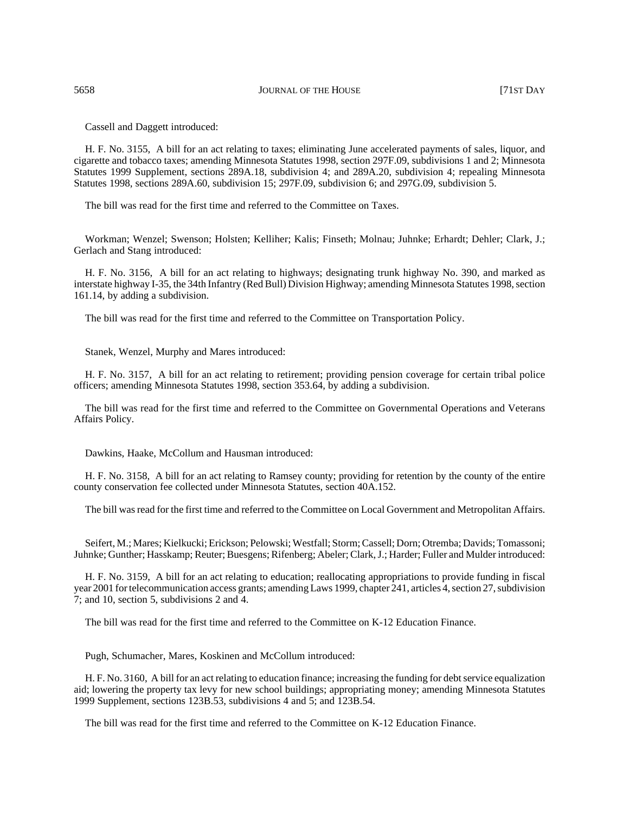Cassell and Daggett introduced:

H. F. No. 3155, A bill for an act relating to taxes; eliminating June accelerated payments of sales, liquor, and cigarette and tobacco taxes; amending Minnesota Statutes 1998, section 297F.09, subdivisions 1 and 2; Minnesota Statutes 1999 Supplement, sections 289A.18, subdivision 4; and 289A.20, subdivision 4; repealing Minnesota Statutes 1998, sections 289A.60, subdivision 15; 297F.09, subdivision 6; and 297G.09, subdivision 5.

The bill was read for the first time and referred to the Committee on Taxes.

Workman; Wenzel; Swenson; Holsten; Kelliher; Kalis; Finseth; Molnau; Juhnke; Erhardt; Dehler; Clark, J.; Gerlach and Stang introduced:

H. F. No. 3156, A bill for an act relating to highways; designating trunk highway No. 390, and marked as interstate highway I-35, the 34th Infantry (Red Bull) Division Highway; amending Minnesota Statutes 1998, section 161.14, by adding a subdivision.

The bill was read for the first time and referred to the Committee on Transportation Policy.

Stanek, Wenzel, Murphy and Mares introduced:

H. F. No. 3157, A bill for an act relating to retirement; providing pension coverage for certain tribal police officers; amending Minnesota Statutes 1998, section 353.64, by adding a subdivision.

The bill was read for the first time and referred to the Committee on Governmental Operations and Veterans Affairs Policy.

Dawkins, Haake, McCollum and Hausman introduced:

H. F. No. 3158, A bill for an act relating to Ramsey county; providing for retention by the county of the entire county conservation fee collected under Minnesota Statutes, section 40A.152.

The bill was read for the first time and referred to the Committee on Local Government and Metropolitan Affairs.

Seifert, M.; Mares; Kielkucki; Erickson; Pelowski; Westfall; Storm; Cassell; Dorn; Otremba; Davids; Tomassoni; Juhnke; Gunther; Hasskamp; Reuter; Buesgens; Rifenberg; Abeler; Clark, J.; Harder; Fuller and Mulder introduced:

H. F. No. 3159, A bill for an act relating to education; reallocating appropriations to provide funding in fiscal year 2001 for telecommunication access grants; amending Laws 1999, chapter 241, articles 4, section 27, subdivision 7; and 10, section 5, subdivisions 2 and 4.

The bill was read for the first time and referred to the Committee on K-12 Education Finance.

Pugh, Schumacher, Mares, Koskinen and McCollum introduced:

H. F. No. 3160, A bill for an act relating to education finance; increasing the funding for debt service equalization aid; lowering the property tax levy for new school buildings; appropriating money; amending Minnesota Statutes 1999 Supplement, sections 123B.53, subdivisions 4 and 5; and 123B.54.

The bill was read for the first time and referred to the Committee on K-12 Education Finance.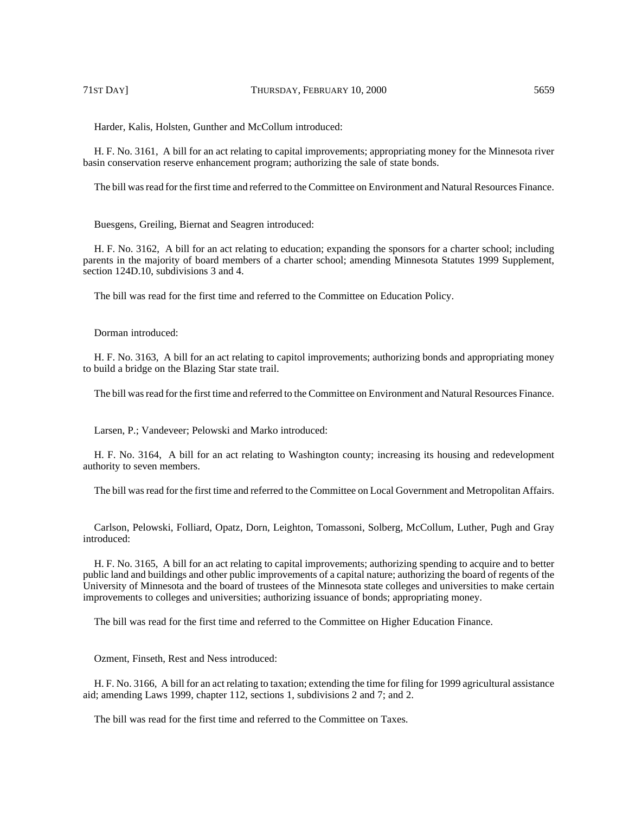Harder, Kalis, Holsten, Gunther and McCollum introduced:

H. F. No. 3161, A bill for an act relating to capital improvements; appropriating money for the Minnesota river basin conservation reserve enhancement program; authorizing the sale of state bonds.

The bill was read for the first time and referred to the Committee on Environment and Natural Resources Finance.

Buesgens, Greiling, Biernat and Seagren introduced:

H. F. No. 3162, A bill for an act relating to education; expanding the sponsors for a charter school; including parents in the majority of board members of a charter school; amending Minnesota Statutes 1999 Supplement, section 124D.10, subdivisions 3 and 4.

The bill was read for the first time and referred to the Committee on Education Policy.

Dorman introduced:

H. F. No. 3163, A bill for an act relating to capitol improvements; authorizing bonds and appropriating money to build a bridge on the Blazing Star state trail.

The bill was read for the first time and referred to the Committee on Environment and Natural Resources Finance.

Larsen, P.; Vandeveer; Pelowski and Marko introduced:

H. F. No. 3164, A bill for an act relating to Washington county; increasing its housing and redevelopment authority to seven members.

The bill was read for the first time and referred to the Committee on Local Government and Metropolitan Affairs.

Carlson, Pelowski, Folliard, Opatz, Dorn, Leighton, Tomassoni, Solberg, McCollum, Luther, Pugh and Gray introduced:

H. F. No. 3165, A bill for an act relating to capital improvements; authorizing spending to acquire and to better public land and buildings and other public improvements of a capital nature; authorizing the board of regents of the University of Minnesota and the board of trustees of the Minnesota state colleges and universities to make certain improvements to colleges and universities; authorizing issuance of bonds; appropriating money.

The bill was read for the first time and referred to the Committee on Higher Education Finance.

Ozment, Finseth, Rest and Ness introduced:

H. F. No. 3166, A bill for an act relating to taxation; extending the time for filing for 1999 agricultural assistance aid; amending Laws 1999, chapter 112, sections 1, subdivisions 2 and 7; and 2.

The bill was read for the first time and referred to the Committee on Taxes.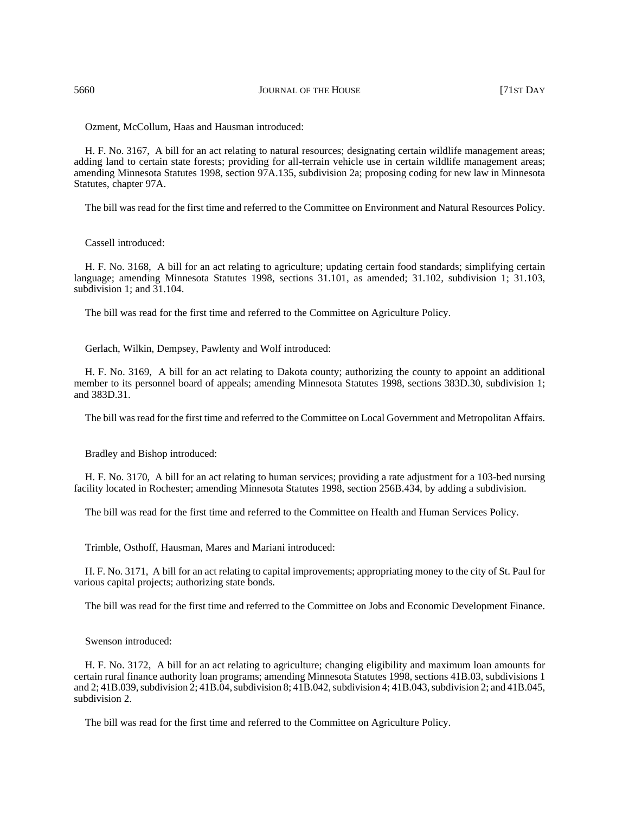5660 JOURNAL OF THE HOUSE 5660 [71ST DAY

Ozment, McCollum, Haas and Hausman introduced:

H. F. No. 3167, A bill for an act relating to natural resources; designating certain wildlife management areas; adding land to certain state forests; providing for all-terrain vehicle use in certain wildlife management areas; amending Minnesota Statutes 1998, section 97A.135, subdivision 2a; proposing coding for new law in Minnesota Statutes, chapter 97A.

The bill was read for the first time and referred to the Committee on Environment and Natural Resources Policy.

Cassell introduced:

H. F. No. 3168, A bill for an act relating to agriculture; updating certain food standards; simplifying certain language; amending Minnesota Statutes 1998, sections 31.101, as amended; 31.102, subdivision 1; 31.103, subdivision 1; and 31.104.

The bill was read for the first time and referred to the Committee on Agriculture Policy.

Gerlach, Wilkin, Dempsey, Pawlenty and Wolf introduced:

H. F. No. 3169, A bill for an act relating to Dakota county; authorizing the county to appoint an additional member to its personnel board of appeals; amending Minnesota Statutes 1998, sections 383D.30, subdivision 1; and 383D.31.

The bill was read for the first time and referred to the Committee on Local Government and Metropolitan Affairs.

Bradley and Bishop introduced:

H. F. No. 3170, A bill for an act relating to human services; providing a rate adjustment for a 103-bed nursing facility located in Rochester; amending Minnesota Statutes 1998, section 256B.434, by adding a subdivision.

The bill was read for the first time and referred to the Committee on Health and Human Services Policy.

Trimble, Osthoff, Hausman, Mares and Mariani introduced:

H. F. No. 3171, A bill for an act relating to capital improvements; appropriating money to the city of St. Paul for various capital projects; authorizing state bonds.

The bill was read for the first time and referred to the Committee on Jobs and Economic Development Finance.

Swenson introduced:

H. F. No. 3172, A bill for an act relating to agriculture; changing eligibility and maximum loan amounts for certain rural finance authority loan programs; amending Minnesota Statutes 1998, sections 41B.03, subdivisions 1 and 2; 41B.039, subdivision 2; 41B.04, subdivision 8; 41B.042, subdivision 4; 41B.043, subdivision 2; and 41B.045, subdivision 2.

The bill was read for the first time and referred to the Committee on Agriculture Policy.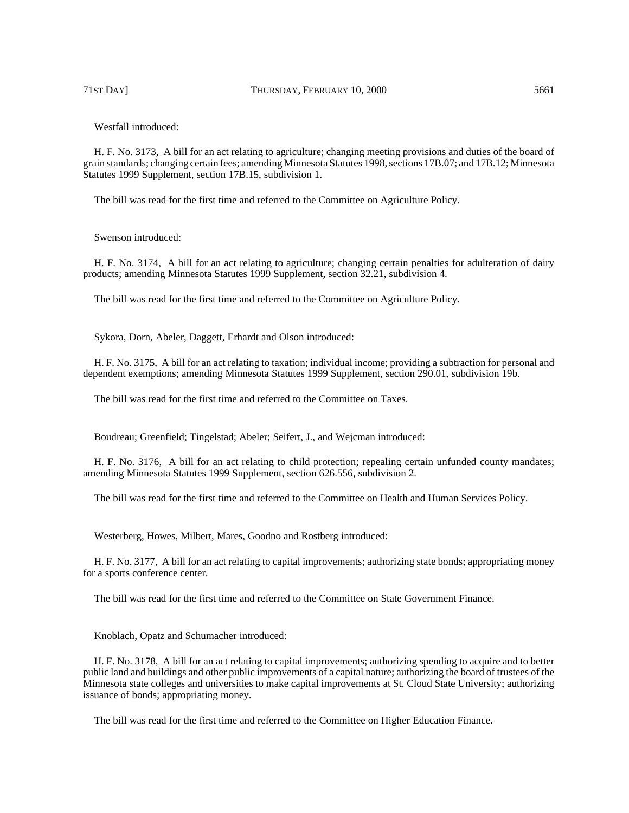Westfall introduced:

H. F. No. 3173, A bill for an act relating to agriculture; changing meeting provisions and duties of the board of grain standards; changing certain fees; amending Minnesota Statutes 1998, sections 17B.07; and 17B.12; Minnesota Statutes 1999 Supplement, section 17B.15, subdivision 1.

The bill was read for the first time and referred to the Committee on Agriculture Policy.

Swenson introduced:

H. F. No. 3174, A bill for an act relating to agriculture; changing certain penalties for adulteration of dairy products; amending Minnesota Statutes 1999 Supplement, section 32.21, subdivision 4.

The bill was read for the first time and referred to the Committee on Agriculture Policy.

Sykora, Dorn, Abeler, Daggett, Erhardt and Olson introduced:

H. F. No. 3175, A bill for an act relating to taxation; individual income; providing a subtraction for personal and dependent exemptions; amending Minnesota Statutes 1999 Supplement, section 290.01, subdivision 19b.

The bill was read for the first time and referred to the Committee on Taxes.

Boudreau; Greenfield; Tingelstad; Abeler; Seifert, J., and Wejcman introduced:

H. F. No. 3176, A bill for an act relating to child protection; repealing certain unfunded county mandates; amending Minnesota Statutes 1999 Supplement, section 626.556, subdivision 2.

The bill was read for the first time and referred to the Committee on Health and Human Services Policy.

Westerberg, Howes, Milbert, Mares, Goodno and Rostberg introduced:

H. F. No. 3177, A bill for an act relating to capital improvements; authorizing state bonds; appropriating money for a sports conference center.

The bill was read for the first time and referred to the Committee on State Government Finance.

Knoblach, Opatz and Schumacher introduced:

H. F. No. 3178, A bill for an act relating to capital improvements; authorizing spending to acquire and to better public land and buildings and other public improvements of a capital nature; authorizing the board of trustees of the Minnesota state colleges and universities to make capital improvements at St. Cloud State University; authorizing issuance of bonds; appropriating money.

The bill was read for the first time and referred to the Committee on Higher Education Finance.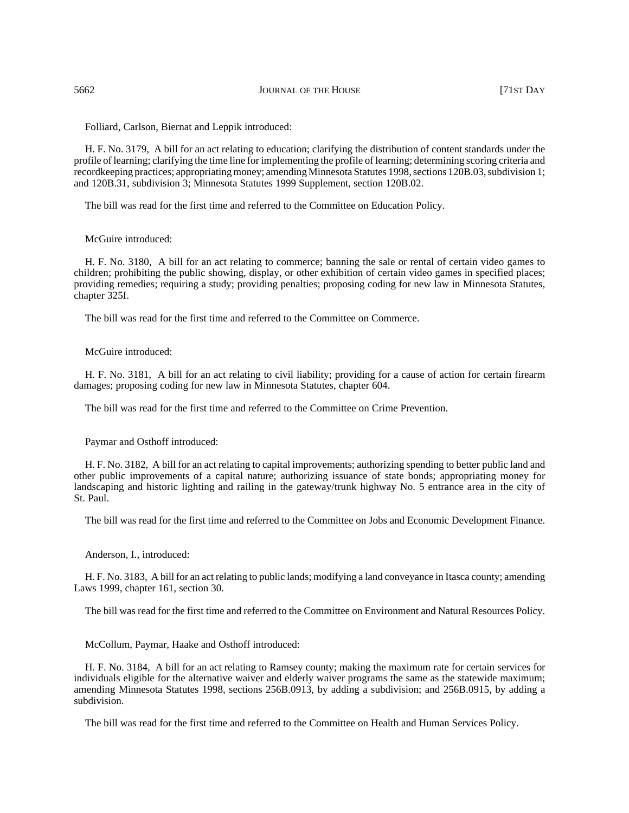5662 JOURNAL OF THE HOUSE 171ST DAY

Folliard, Carlson, Biernat and Leppik introduced:

H. F. No. 3179, A bill for an act relating to education; clarifying the distribution of content standards under the profile of learning; clarifying the time line for implementing the profile of learning; determining scoring criteria and recordkeeping practices; appropriating money; amending Minnesota Statutes 1998, sections 120B.03, subdivision 1; and 120B.31, subdivision 3; Minnesota Statutes 1999 Supplement, section 120B.02.

The bill was read for the first time and referred to the Committee on Education Policy.

McGuire introduced:

H. F. No. 3180, A bill for an act relating to commerce; banning the sale or rental of certain video games to children; prohibiting the public showing, display, or other exhibition of certain video games in specified places; providing remedies; requiring a study; providing penalties; proposing coding for new law in Minnesota Statutes, chapter 325I.

The bill was read for the first time and referred to the Committee on Commerce.

McGuire introduced:

H. F. No. 3181, A bill for an act relating to civil liability; providing for a cause of action for certain firearm damages; proposing coding for new law in Minnesota Statutes, chapter 604.

The bill was read for the first time and referred to the Committee on Crime Prevention.

Paymar and Osthoff introduced:

H. F. No. 3182, A bill for an act relating to capital improvements; authorizing spending to better public land and other public improvements of a capital nature; authorizing issuance of state bonds; appropriating money for landscaping and historic lighting and railing in the gateway/trunk highway No. 5 entrance area in the city of St. Paul.

The bill was read for the first time and referred to the Committee on Jobs and Economic Development Finance.

Anderson, I., introduced:

H. F. No. 3183, A bill for an act relating to public lands; modifying a land conveyance in Itasca county; amending Laws 1999, chapter 161, section 30.

The bill was read for the first time and referred to the Committee on Environment and Natural Resources Policy.

McCollum, Paymar, Haake and Osthoff introduced:

H. F. No. 3184, A bill for an act relating to Ramsey county; making the maximum rate for certain services for individuals eligible for the alternative waiver and elderly waiver programs the same as the statewide maximum; amending Minnesota Statutes 1998, sections 256B.0913, by adding a subdivision; and 256B.0915, by adding a subdivision.

The bill was read for the first time and referred to the Committee on Health and Human Services Policy.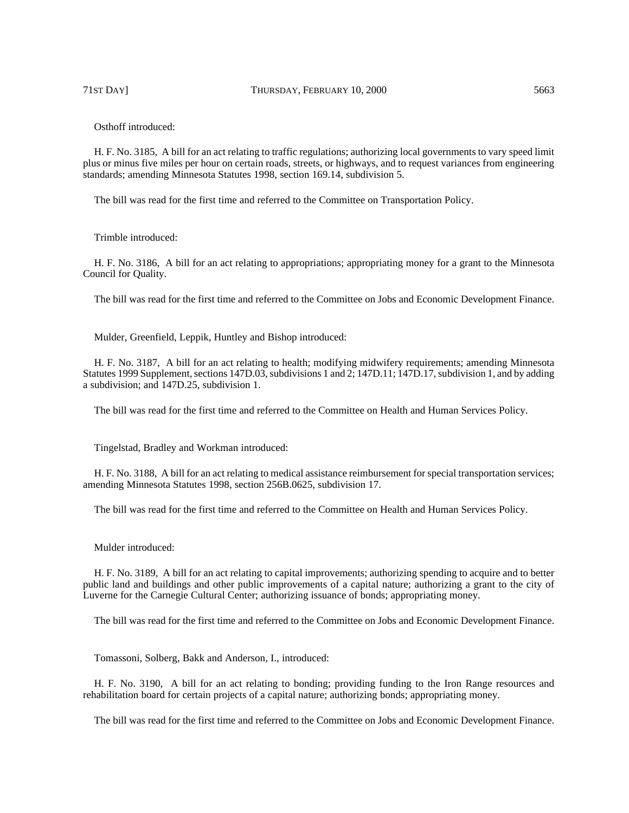71ST DAY] THURSDAY, FEBRUARY 10, 2000 5663

Osthoff introduced:

H. F. No. 3185, A bill for an act relating to traffic regulations; authorizing local governments to vary speed limit plus or minus five miles per hour on certain roads, streets, or highways, and to request variances from engineering standards; amending Minnesota Statutes 1998, section 169.14, subdivision 5.

The bill was read for the first time and referred to the Committee on Transportation Policy.

Trimble introduced:

H. F. No. 3186, A bill for an act relating to appropriations; appropriating money for a grant to the Minnesota Council for Quality.

The bill was read for the first time and referred to the Committee on Jobs and Economic Development Finance.

Mulder, Greenfield, Leppik, Huntley and Bishop introduced:

H. F. No. 3187, A bill for an act relating to health; modifying midwifery requirements; amending Minnesota Statutes 1999 Supplement, sections 147D.03, subdivisions 1 and 2; 147D.11; 147D.17, subdivision 1, and by adding a subdivision; and 147D.25, subdivision 1.

The bill was read for the first time and referred to the Committee on Health and Human Services Policy.

Tingelstad, Bradley and Workman introduced:

H. F. No. 3188, A bill for an act relating to medical assistance reimbursement for special transportation services; amending Minnesota Statutes 1998, section 256B.0625, subdivision 17.

The bill was read for the first time and referred to the Committee on Health and Human Services Policy.

Mulder introduced:

H. F. No. 3189, A bill for an act relating to capital improvements; authorizing spending to acquire and to better public land and buildings and other public improvements of a capital nature; authorizing a grant to the city of Luverne for the Carnegie Cultural Center; authorizing issuance of bonds; appropriating money.

The bill was read for the first time and referred to the Committee on Jobs and Economic Development Finance.

Tomassoni, Solberg, Bakk and Anderson, I., introduced:

H. F. No. 3190, A bill for an act relating to bonding; providing funding to the Iron Range resources and rehabilitation board for certain projects of a capital nature; authorizing bonds; appropriating money.

The bill was read for the first time and referred to the Committee on Jobs and Economic Development Finance.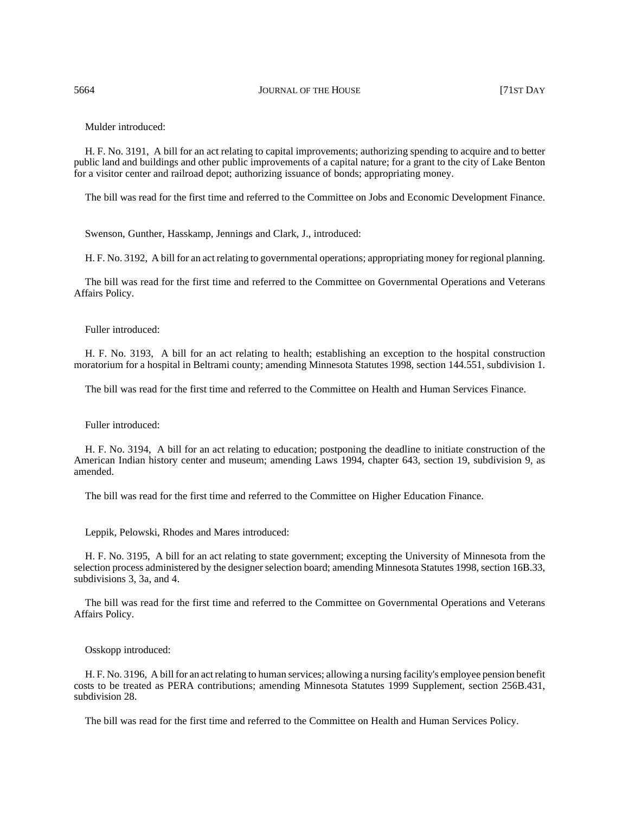Mulder introduced:

H. F. No. 3191, A bill for an act relating to capital improvements; authorizing spending to acquire and to better public land and buildings and other public improvements of a capital nature; for a grant to the city of Lake Benton for a visitor center and railroad depot; authorizing issuance of bonds; appropriating money.

The bill was read for the first time and referred to the Committee on Jobs and Economic Development Finance.

Swenson, Gunther, Hasskamp, Jennings and Clark, J., introduced:

H. F. No. 3192, A bill for an act relating to governmental operations; appropriating money for regional planning.

The bill was read for the first time and referred to the Committee on Governmental Operations and Veterans Affairs Policy.

Fuller introduced:

H. F. No. 3193, A bill for an act relating to health; establishing an exception to the hospital construction moratorium for a hospital in Beltrami county; amending Minnesota Statutes 1998, section 144.551, subdivision 1.

The bill was read for the first time and referred to the Committee on Health and Human Services Finance.

Fuller introduced:

H. F. No. 3194, A bill for an act relating to education; postponing the deadline to initiate construction of the American Indian history center and museum; amending Laws 1994, chapter 643, section 19, subdivision 9, as amended.

The bill was read for the first time and referred to the Committee on Higher Education Finance.

Leppik, Pelowski, Rhodes and Mares introduced:

H. F. No. 3195, A bill for an act relating to state government; excepting the University of Minnesota from the selection process administered by the designer selection board; amending Minnesota Statutes 1998, section 16B.33, subdivisions 3, 3a, and 4.

The bill was read for the first time and referred to the Committee on Governmental Operations and Veterans Affairs Policy.

Osskopp introduced:

H. F. No. 3196, A bill for an act relating to human services; allowing a nursing facility's employee pension benefit costs to be treated as PERA contributions; amending Minnesota Statutes 1999 Supplement, section 256B.431, subdivision 28.

The bill was read for the first time and referred to the Committee on Health and Human Services Policy.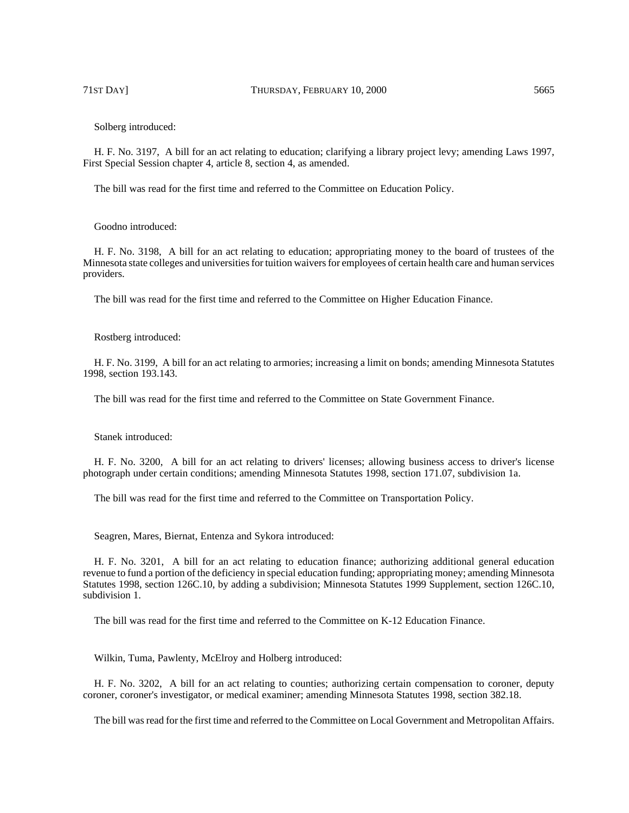Solberg introduced:

H. F. No. 3197, A bill for an act relating to education; clarifying a library project levy; amending Laws 1997, First Special Session chapter 4, article 8, section 4, as amended.

The bill was read for the first time and referred to the Committee on Education Policy.

Goodno introduced:

H. F. No. 3198, A bill for an act relating to education; appropriating money to the board of trustees of the Minnesota state colleges and universities for tuition waivers for employees of certain health care and human services providers.

The bill was read for the first time and referred to the Committee on Higher Education Finance.

## Rostberg introduced:

H. F. No. 3199, A bill for an act relating to armories; increasing a limit on bonds; amending Minnesota Statutes 1998, section 193.143.

The bill was read for the first time and referred to the Committee on State Government Finance.

Stanek introduced:

H. F. No. 3200, A bill for an act relating to drivers' licenses; allowing business access to driver's license photograph under certain conditions; amending Minnesota Statutes 1998, section 171.07, subdivision 1a.

The bill was read for the first time and referred to the Committee on Transportation Policy.

Seagren, Mares, Biernat, Entenza and Sykora introduced:

H. F. No. 3201, A bill for an act relating to education finance; authorizing additional general education revenue to fund a portion of the deficiency in special education funding; appropriating money; amending Minnesota Statutes 1998, section 126C.10, by adding a subdivision; Minnesota Statutes 1999 Supplement, section 126C.10, subdivision 1.

The bill was read for the first time and referred to the Committee on K-12 Education Finance.

Wilkin, Tuma, Pawlenty, McElroy and Holberg introduced:

H. F. No. 3202, A bill for an act relating to counties; authorizing certain compensation to coroner, deputy coroner, coroner's investigator, or medical examiner; amending Minnesota Statutes 1998, section 382.18.

The bill was read for the first time and referred to the Committee on Local Government and Metropolitan Affairs.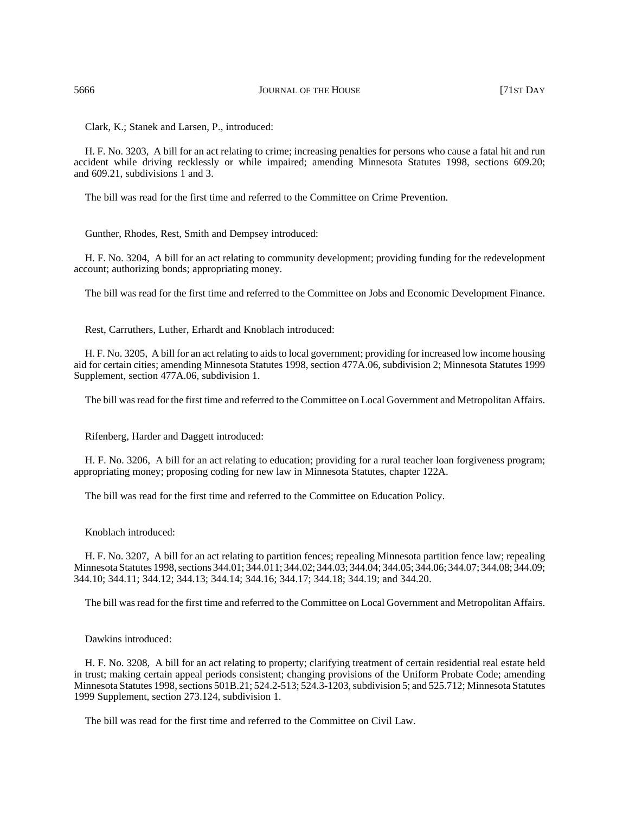Clark, K.; Stanek and Larsen, P., introduced:

H. F. No. 3203, A bill for an act relating to crime; increasing penalties for persons who cause a fatal hit and run accident while driving recklessly or while impaired; amending Minnesota Statutes 1998, sections 609.20; and 609.21, subdivisions 1 and 3.

The bill was read for the first time and referred to the Committee on Crime Prevention.

Gunther, Rhodes, Rest, Smith and Dempsey introduced:

H. F. No. 3204, A bill for an act relating to community development; providing funding for the redevelopment account; authorizing bonds; appropriating money.

The bill was read for the first time and referred to the Committee on Jobs and Economic Development Finance.

Rest, Carruthers, Luther, Erhardt and Knoblach introduced:

H. F. No. 3205, A bill for an act relating to aids to local government; providing for increased low income housing aid for certain cities; amending Minnesota Statutes 1998, section 477A.06, subdivision 2; Minnesota Statutes 1999 Supplement, section 477A.06, subdivision 1.

The bill was read for the first time and referred to the Committee on Local Government and Metropolitan Affairs.

Rifenberg, Harder and Daggett introduced:

H. F. No. 3206, A bill for an act relating to education; providing for a rural teacher loan forgiveness program; appropriating money; proposing coding for new law in Minnesota Statutes, chapter 122A.

The bill was read for the first time and referred to the Committee on Education Policy.

Knoblach introduced:

H. F. No. 3207, A bill for an act relating to partition fences; repealing Minnesota partition fence law; repealing Minnesota Statutes 1998, sections 344.01; 344.011; 344.02; 344.03; 344.04; 344.05; 344.06; 344.07; 344.08; 344.09; 344.10; 344.11; 344.12; 344.13; 344.14; 344.16; 344.17; 344.18; 344.19; and 344.20.

The bill was read for the first time and referred to the Committee on Local Government and Metropolitan Affairs.

Dawkins introduced:

H. F. No. 3208, A bill for an act relating to property; clarifying treatment of certain residential real estate held in trust; making certain appeal periods consistent; changing provisions of the Uniform Probate Code; amending Minnesota Statutes 1998, sections 501B.21; 524.2-513; 524.3-1203, subdivision 5; and 525.712; Minnesota Statutes 1999 Supplement, section 273.124, subdivision 1.

The bill was read for the first time and referred to the Committee on Civil Law.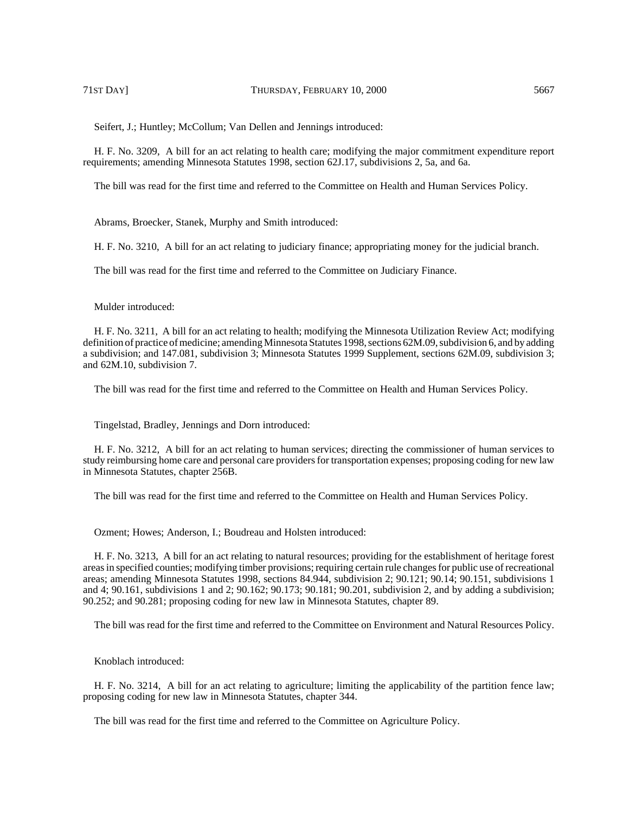Seifert, J.; Huntley; McCollum; Van Dellen and Jennings introduced:

H. F. No. 3209, A bill for an act relating to health care; modifying the major commitment expenditure report requirements; amending Minnesota Statutes 1998, section 62J.17, subdivisions 2, 5a, and 6a.

The bill was read for the first time and referred to the Committee on Health and Human Services Policy.

Abrams, Broecker, Stanek, Murphy and Smith introduced:

H. F. No. 3210, A bill for an act relating to judiciary finance; appropriating money for the judicial branch.

The bill was read for the first time and referred to the Committee on Judiciary Finance.

Mulder introduced:

H. F. No. 3211, A bill for an act relating to health; modifying the Minnesota Utilization Review Act; modifying definition of practice of medicine; amending Minnesota Statutes 1998, sections 62M.09, subdivision 6, and by adding a subdivision; and 147.081, subdivision 3; Minnesota Statutes 1999 Supplement, sections 62M.09, subdivision 3; and 62M.10, subdivision 7.

The bill was read for the first time and referred to the Committee on Health and Human Services Policy.

Tingelstad, Bradley, Jennings and Dorn introduced:

H. F. No. 3212, A bill for an act relating to human services; directing the commissioner of human services to study reimbursing home care and personal care providers for transportation expenses; proposing coding for new law in Minnesota Statutes, chapter 256B.

The bill was read for the first time and referred to the Committee on Health and Human Services Policy.

Ozment; Howes; Anderson, I.; Boudreau and Holsten introduced:

H. F. No. 3213, A bill for an act relating to natural resources; providing for the establishment of heritage forest areas in specified counties; modifying timber provisions; requiring certain rule changes for public use of recreational areas; amending Minnesota Statutes 1998, sections 84.944, subdivision 2; 90.121; 90.14; 90.151, subdivisions 1 and 4; 90.161, subdivisions 1 and 2; 90.162; 90.173; 90.181; 90.201, subdivision 2, and by adding a subdivision; 90.252; and 90.281; proposing coding for new law in Minnesota Statutes, chapter 89.

The bill was read for the first time and referred to the Committee on Environment and Natural Resources Policy.

Knoblach introduced:

H. F. No. 3214, A bill for an act relating to agriculture; limiting the applicability of the partition fence law; proposing coding for new law in Minnesota Statutes, chapter 344.

The bill was read for the first time and referred to the Committee on Agriculture Policy.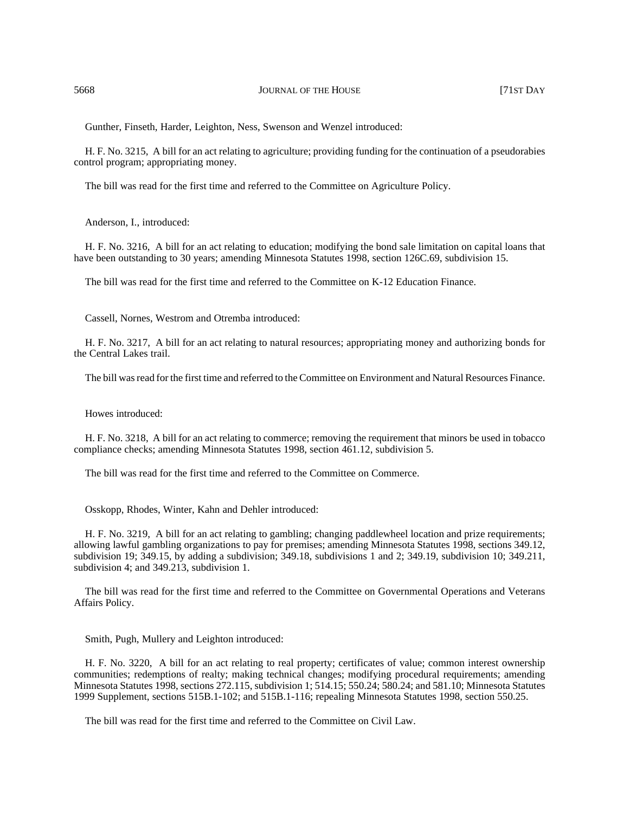Gunther, Finseth, Harder, Leighton, Ness, Swenson and Wenzel introduced:

H. F. No. 3215, A bill for an act relating to agriculture; providing funding for the continuation of a pseudorabies control program; appropriating money.

The bill was read for the first time and referred to the Committee on Agriculture Policy.

Anderson, I., introduced:

H. F. No. 3216, A bill for an act relating to education; modifying the bond sale limitation on capital loans that have been outstanding to 30 years; amending Minnesota Statutes 1998, section 126C.69, subdivision 15.

The bill was read for the first time and referred to the Committee on K-12 Education Finance.

Cassell, Nornes, Westrom and Otremba introduced:

H. F. No. 3217, A bill for an act relating to natural resources; appropriating money and authorizing bonds for the Central Lakes trail.

The bill was read for the first time and referred to the Committee on Environment and Natural Resources Finance.

Howes introduced:

H. F. No. 3218, A bill for an act relating to commerce; removing the requirement that minors be used in tobacco compliance checks; amending Minnesota Statutes 1998, section 461.12, subdivision 5.

The bill was read for the first time and referred to the Committee on Commerce.

Osskopp, Rhodes, Winter, Kahn and Dehler introduced:

H. F. No. 3219, A bill for an act relating to gambling; changing paddlewheel location and prize requirements; allowing lawful gambling organizations to pay for premises; amending Minnesota Statutes 1998, sections 349.12, subdivision 19; 349.15, by adding a subdivision; 349.18, subdivisions 1 and 2; 349.19, subdivision 10; 349.211, subdivision 4; and 349.213, subdivision 1.

The bill was read for the first time and referred to the Committee on Governmental Operations and Veterans Affairs Policy.

Smith, Pugh, Mullery and Leighton introduced:

H. F. No. 3220, A bill for an act relating to real property; certificates of value; common interest ownership communities; redemptions of realty; making technical changes; modifying procedural requirements; amending Minnesota Statutes 1998, sections 272.115, subdivision 1; 514.15; 550.24; 580.24; and 581.10; Minnesota Statutes 1999 Supplement, sections 515B.1-102; and 515B.1-116; repealing Minnesota Statutes 1998, section 550.25.

The bill was read for the first time and referred to the Committee on Civil Law.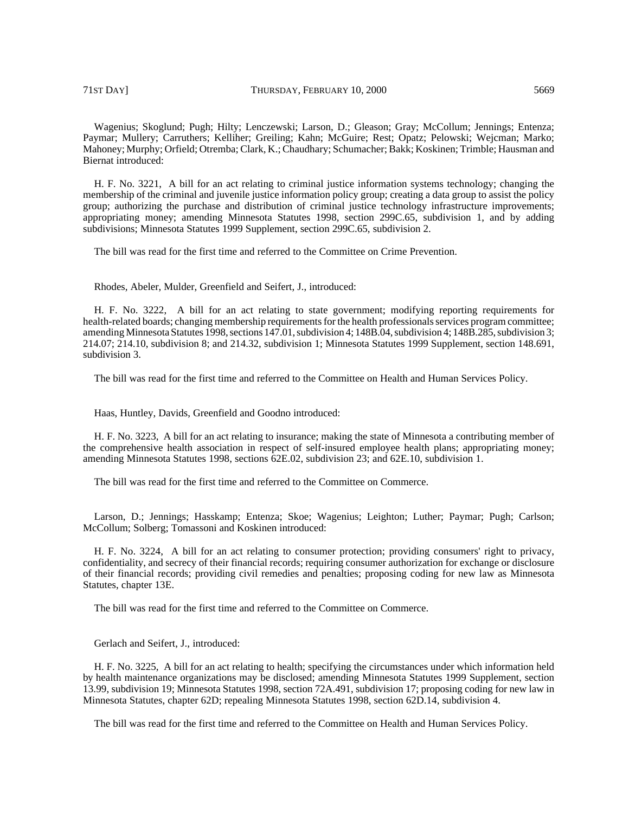H. F. No. 3221, A bill for an act relating to criminal justice information systems technology; changing the membership of the criminal and juvenile justice information policy group; creating a data group to assist the policy group; authorizing the purchase and distribution of criminal justice technology infrastructure improvements; appropriating money; amending Minnesota Statutes 1998, section 299C.65, subdivision 1, and by adding subdivisions; Minnesota Statutes 1999 Supplement, section 299C.65, subdivision 2.

The bill was read for the first time and referred to the Committee on Crime Prevention.

Rhodes, Abeler, Mulder, Greenfield and Seifert, J., introduced:

H. F. No. 3222, A bill for an act relating to state government; modifying reporting requirements for health-related boards; changing membership requirements for the health professionals services program committee; amending Minnesota Statutes 1998, sections 147.01, subdivision 4; 148B.04, subdivision 4; 148B.285, subdivision 3; 214.07; 214.10, subdivision 8; and 214.32, subdivision 1; Minnesota Statutes 1999 Supplement, section 148.691, subdivision 3.

The bill was read for the first time and referred to the Committee on Health and Human Services Policy.

Haas, Huntley, Davids, Greenfield and Goodno introduced:

H. F. No. 3223, A bill for an act relating to insurance; making the state of Minnesota a contributing member of the comprehensive health association in respect of self-insured employee health plans; appropriating money; amending Minnesota Statutes 1998, sections 62E.02, subdivision 23; and 62E.10, subdivision 1.

The bill was read for the first time and referred to the Committee on Commerce.

Larson, D.; Jennings; Hasskamp; Entenza; Skoe; Wagenius; Leighton; Luther; Paymar; Pugh; Carlson; McCollum; Solberg; Tomassoni and Koskinen introduced:

H. F. No. 3224, A bill for an act relating to consumer protection; providing consumers' right to privacy, confidentiality, and secrecy of their financial records; requiring consumer authorization for exchange or disclosure of their financial records; providing civil remedies and penalties; proposing coding for new law as Minnesota Statutes, chapter 13E.

The bill was read for the first time and referred to the Committee on Commerce.

Gerlach and Seifert, J., introduced:

H. F. No. 3225, A bill for an act relating to health; specifying the circumstances under which information held by health maintenance organizations may be disclosed; amending Minnesota Statutes 1999 Supplement, section 13.99, subdivision 19; Minnesota Statutes 1998, section 72A.491, subdivision 17; proposing coding for new law in Minnesota Statutes, chapter 62D; repealing Minnesota Statutes 1998, section 62D.14, subdivision 4.

The bill was read for the first time and referred to the Committee on Health and Human Services Policy.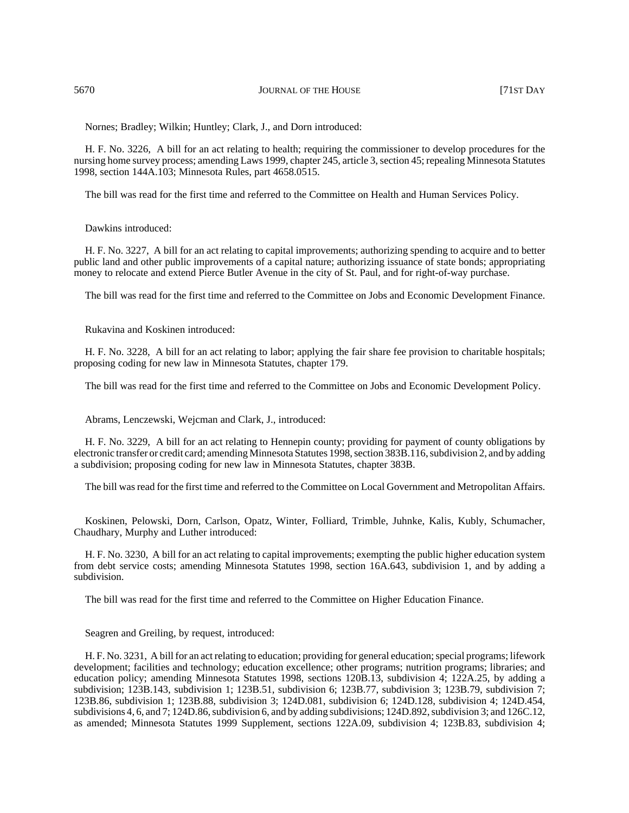5670 JOURNAL OF THE HOUSE 5670 [71ST DAY

Nornes; Bradley; Wilkin; Huntley; Clark, J., and Dorn introduced:

H. F. No. 3226, A bill for an act relating to health; requiring the commissioner to develop procedures for the nursing home survey process; amending Laws 1999, chapter 245, article 3, section 45; repealing Minnesota Statutes 1998, section 144A.103; Minnesota Rules, part 4658.0515.

The bill was read for the first time and referred to the Committee on Health and Human Services Policy.

Dawkins introduced:

H. F. No. 3227, A bill for an act relating to capital improvements; authorizing spending to acquire and to better public land and other public improvements of a capital nature; authorizing issuance of state bonds; appropriating money to relocate and extend Pierce Butler Avenue in the city of St. Paul, and for right-of-way purchase.

The bill was read for the first time and referred to the Committee on Jobs and Economic Development Finance.

Rukavina and Koskinen introduced:

H. F. No. 3228, A bill for an act relating to labor; applying the fair share fee provision to charitable hospitals; proposing coding for new law in Minnesota Statutes, chapter 179.

The bill was read for the first time and referred to the Committee on Jobs and Economic Development Policy.

Abrams, Lenczewski, Wejcman and Clark, J., introduced:

H. F. No. 3229, A bill for an act relating to Hennepin county; providing for payment of county obligations by electronic transfer or credit card; amending Minnesota Statutes 1998, section 383B.116, subdivision 2, and by adding a subdivision; proposing coding for new law in Minnesota Statutes, chapter 383B.

The bill was read for the first time and referred to the Committee on Local Government and Metropolitan Affairs.

Koskinen, Pelowski, Dorn, Carlson, Opatz, Winter, Folliard, Trimble, Juhnke, Kalis, Kubly, Schumacher, Chaudhary, Murphy and Luther introduced:

H. F. No. 3230, A bill for an act relating to capital improvements; exempting the public higher education system from debt service costs; amending Minnesota Statutes 1998, section 16A.643, subdivision 1, and by adding a subdivision.

The bill was read for the first time and referred to the Committee on Higher Education Finance.

Seagren and Greiling, by request, introduced:

H. F. No. 3231, A bill for an act relating to education; providing for general education; special programs; lifework development; facilities and technology; education excellence; other programs; nutrition programs; libraries; and education policy; amending Minnesota Statutes 1998, sections 120B.13, subdivision 4; 122A.25, by adding a subdivision; 123B.143, subdivision 1; 123B.51, subdivision 6; 123B.77, subdivision 3; 123B.79, subdivision 7; 123B.86, subdivision 1; 123B.88, subdivision 3; 124D.081, subdivision 6; 124D.128, subdivision 4; 124D.454, subdivisions 4, 6, and 7; 124D.86, subdivision 6, and by adding subdivisions; 124D.892, subdivision 3; and 126C.12, as amended; Minnesota Statutes 1999 Supplement, sections 122A.09, subdivision 4; 123B.83, subdivision 4;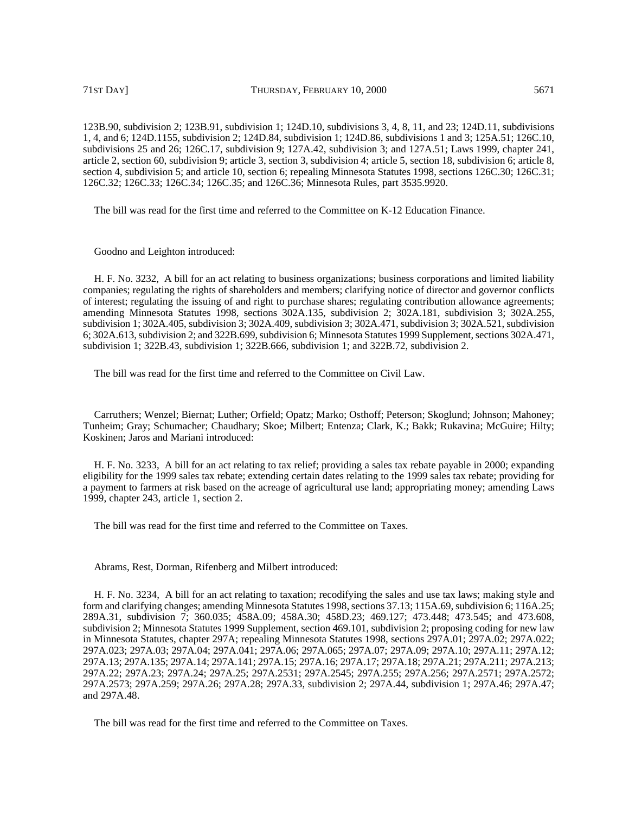123B.90, subdivision 2; 123B.91, subdivision 1; 124D.10, subdivisions 3, 4, 8, 11, and 23; 124D.11, subdivisions 1, 4, and 6; 124D.1155, subdivision 2; 124D.84, subdivision 1; 124D.86, subdivisions 1 and 3; 125A.51; 126C.10, subdivisions 25 and 26; 126C.17, subdivision 9; 127A.42, subdivision 3; and 127A.51; Laws 1999, chapter 241, article 2, section 60, subdivision 9; article 3, section 3, subdivision 4; article 5, section 18, subdivision 6; article 8, section 4, subdivision 5; and article 10, section 6; repealing Minnesota Statutes 1998, sections 126C.30; 126C.31; 126C.32; 126C.33; 126C.34; 126C.35; and 126C.36; Minnesota Rules, part 3535.9920.

The bill was read for the first time and referred to the Committee on K-12 Education Finance.

Goodno and Leighton introduced:

H. F. No. 3232, A bill for an act relating to business organizations; business corporations and limited liability companies; regulating the rights of shareholders and members; clarifying notice of director and governor conflicts of interest; regulating the issuing of and right to purchase shares; regulating contribution allowance agreements; amending Minnesota Statutes 1998, sections 302A.135, subdivision 2; 302A.181, subdivision 3; 302A.255, subdivision 1; 302A.405, subdivision 3; 302A.409, subdivision 3; 302A.471, subdivision 3; 302A.521, subdivision 6; 302A.613, subdivision 2; and 322B.699, subdivision 6; Minnesota Statutes 1999 Supplement, sections 302A.471, subdivision 1; 322B.43, subdivision 1; 322B.666, subdivision 1; and 322B.72, subdivision 2.

The bill was read for the first time and referred to the Committee on Civil Law.

Carruthers; Wenzel; Biernat; Luther; Orfield; Opatz; Marko; Osthoff; Peterson; Skoglund; Johnson; Mahoney; Tunheim; Gray; Schumacher; Chaudhary; Skoe; Milbert; Entenza; Clark, K.; Bakk; Rukavina; McGuire; Hilty; Koskinen; Jaros and Mariani introduced:

H. F. No. 3233, A bill for an act relating to tax relief; providing a sales tax rebate payable in 2000; expanding eligibility for the 1999 sales tax rebate; extending certain dates relating to the 1999 sales tax rebate; providing for a payment to farmers at risk based on the acreage of agricultural use land; appropriating money; amending Laws 1999, chapter 243, article 1, section 2.

The bill was read for the first time and referred to the Committee on Taxes.

Abrams, Rest, Dorman, Rifenberg and Milbert introduced:

H. F. No. 3234, A bill for an act relating to taxation; recodifying the sales and use tax laws; making style and form and clarifying changes; amending Minnesota Statutes 1998, sections 37.13; 115A.69, subdivision 6; 116A.25; 289A.31, subdivision 7; 360.035; 458A.09; 458A.30; 458D.23; 469.127; 473.448; 473.545; and 473.608, subdivision 2; Minnesota Statutes 1999 Supplement, section 469.101, subdivision 2; proposing coding for new law in Minnesota Statutes, chapter 297A; repealing Minnesota Statutes 1998, sections 297A.01; 297A.02; 297A.022; 297A.023; 297A.03; 297A.04; 297A.041; 297A.06; 297A.065; 297A.07; 297A.09; 297A.10; 297A.11; 297A.12; 297A.13; 297A.135; 297A.14; 297A.141; 297A.15; 297A.16; 297A.17; 297A.18; 297A.21; 297A.211; 297A.213; 297A.22; 297A.23; 297A.24; 297A.25; 297A.2531; 297A.2545; 297A.255; 297A.256; 297A.2571; 297A.2572; 297A.2573; 297A.259; 297A.26; 297A.28; 297A.33, subdivision 2; 297A.44, subdivision 1; 297A.46; 297A.47; and 297A.48.

The bill was read for the first time and referred to the Committee on Taxes.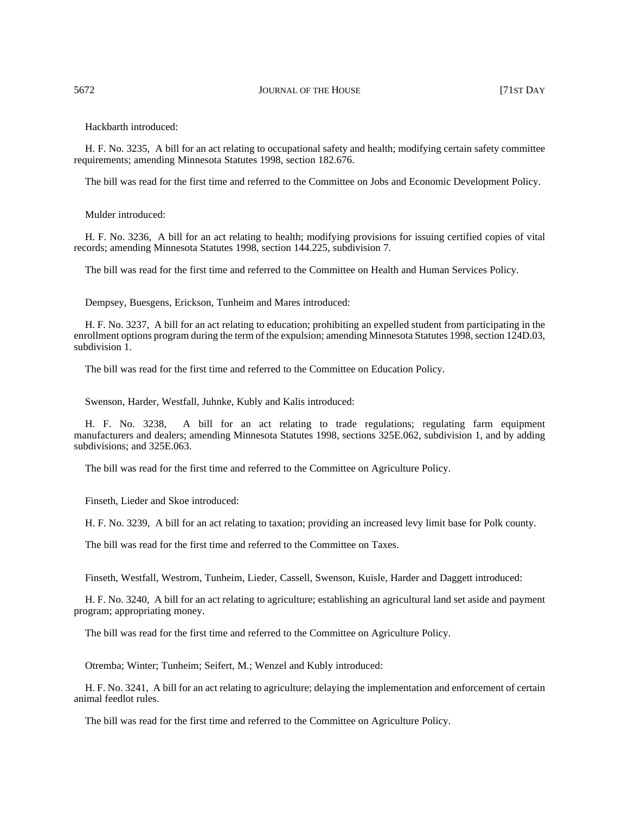Hackbarth introduced:

H. F. No. 3235, A bill for an act relating to occupational safety and health; modifying certain safety committee requirements; amending Minnesota Statutes 1998, section 182.676.

The bill was read for the first time and referred to the Committee on Jobs and Economic Development Policy.

Mulder introduced:

H. F. No. 3236, A bill for an act relating to health; modifying provisions for issuing certified copies of vital records; amending Minnesota Statutes 1998, section 144.225, subdivision 7.

The bill was read for the first time and referred to the Committee on Health and Human Services Policy.

Dempsey, Buesgens, Erickson, Tunheim and Mares introduced:

H. F. No. 3237, A bill for an act relating to education; prohibiting an expelled student from participating in the enrollment options program during the term of the expulsion; amending Minnesota Statutes 1998, section 124D.03, subdivision 1.

The bill was read for the first time and referred to the Committee on Education Policy.

Swenson, Harder, Westfall, Juhnke, Kubly and Kalis introduced:

H. F. No. 3238, A bill for an act relating to trade regulations; regulating farm equipment manufacturers and dealers; amending Minnesota Statutes 1998, sections 325E.062, subdivision 1, and by adding subdivisions; and 325E.063.

The bill was read for the first time and referred to the Committee on Agriculture Policy.

Finseth, Lieder and Skoe introduced:

H. F. No. 3239, A bill for an act relating to taxation; providing an increased levy limit base for Polk county.

The bill was read for the first time and referred to the Committee on Taxes.

Finseth, Westfall, Westrom, Tunheim, Lieder, Cassell, Swenson, Kuisle, Harder and Daggett introduced:

H. F. No. 3240, A bill for an act relating to agriculture; establishing an agricultural land set aside and payment program; appropriating money.

The bill was read for the first time and referred to the Committee on Agriculture Policy.

Otremba; Winter; Tunheim; Seifert, M.; Wenzel and Kubly introduced:

H. F. No. 3241, A bill for an act relating to agriculture; delaying the implementation and enforcement of certain animal feedlot rules.

The bill was read for the first time and referred to the Committee on Agriculture Policy.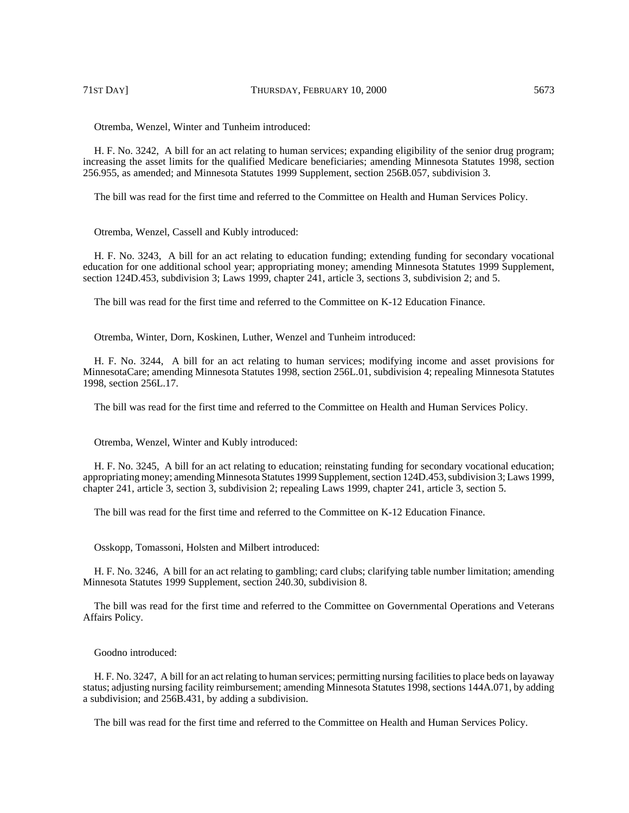H. F. No. 3242, A bill for an act relating to human services; expanding eligibility of the senior drug program; increasing the asset limits for the qualified Medicare beneficiaries; amending Minnesota Statutes 1998, section 256.955, as amended; and Minnesota Statutes 1999 Supplement, section 256B.057, subdivision 3.

The bill was read for the first time and referred to the Committee on Health and Human Services Policy.

Otremba, Wenzel, Cassell and Kubly introduced:

H. F. No. 3243, A bill for an act relating to education funding; extending funding for secondary vocational education for one additional school year; appropriating money; amending Minnesota Statutes 1999 Supplement, section 124D.453, subdivision 3; Laws 1999, chapter 241, article 3, sections 3, subdivision 2; and 5.

The bill was read for the first time and referred to the Committee on K-12 Education Finance.

Otremba, Winter, Dorn, Koskinen, Luther, Wenzel and Tunheim introduced:

H. F. No. 3244, A bill for an act relating to human services; modifying income and asset provisions for MinnesotaCare; amending Minnesota Statutes 1998, section 256L.01, subdivision 4; repealing Minnesota Statutes 1998, section 256L.17.

The bill was read for the first time and referred to the Committee on Health and Human Services Policy.

Otremba, Wenzel, Winter and Kubly introduced:

H. F. No. 3245, A bill for an act relating to education; reinstating funding for secondary vocational education; appropriating money; amending Minnesota Statutes 1999 Supplement, section 124D.453, subdivision 3; Laws 1999, chapter 241, article 3, section 3, subdivision 2; repealing Laws 1999, chapter 241, article 3, section 5.

The bill was read for the first time and referred to the Committee on K-12 Education Finance.

Osskopp, Tomassoni, Holsten and Milbert introduced:

H. F. No. 3246, A bill for an act relating to gambling; card clubs; clarifying table number limitation; amending Minnesota Statutes 1999 Supplement, section 240.30, subdivision 8.

The bill was read for the first time and referred to the Committee on Governmental Operations and Veterans Affairs Policy.

Goodno introduced:

H. F. No. 3247, A bill for an act relating to human services; permitting nursing facilities to place beds on layaway status; adjusting nursing facility reimbursement; amending Minnesota Statutes 1998, sections 144A.071, by adding a subdivision; and 256B.431, by adding a subdivision.

The bill was read for the first time and referred to the Committee on Health and Human Services Policy.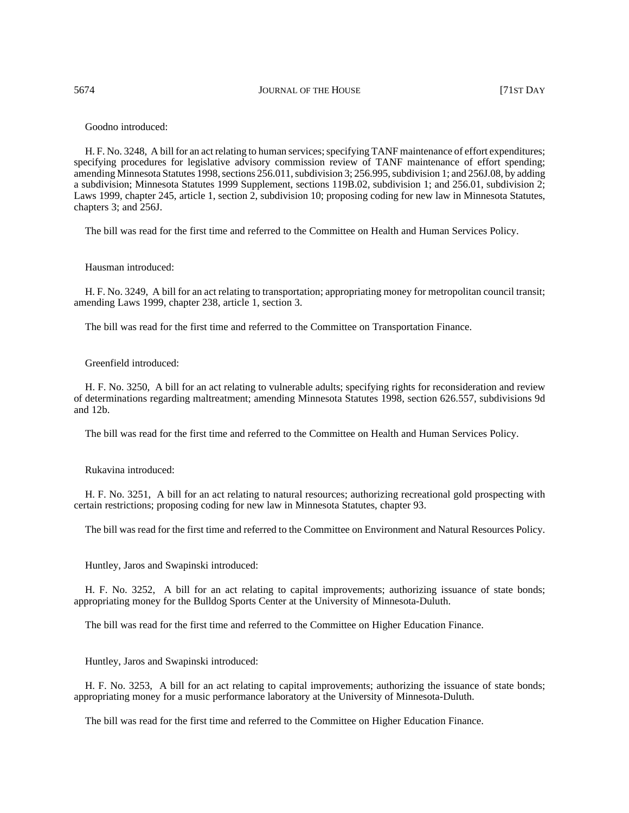Goodno introduced:

H. F. No. 3248, A bill for an act relating to human services; specifying TANF maintenance of effort expenditures; specifying procedures for legislative advisory commission review of TANF maintenance of effort spending; amending Minnesota Statutes 1998, sections 256.011, subdivision 3; 256.995, subdivision 1; and 256J.08, by adding a subdivision; Minnesota Statutes 1999 Supplement, sections 119B.02, subdivision 1; and 256.01, subdivision 2; Laws 1999, chapter 245, article 1, section 2, subdivision 10; proposing coding for new law in Minnesota Statutes, chapters 3; and 256J.

The bill was read for the first time and referred to the Committee on Health and Human Services Policy.

#### Hausman introduced:

H. F. No. 3249, A bill for an act relating to transportation; appropriating money for metropolitan council transit; amending Laws 1999, chapter 238, article 1, section 3.

The bill was read for the first time and referred to the Committee on Transportation Finance.

#### Greenfield introduced:

H. F. No. 3250, A bill for an act relating to vulnerable adults; specifying rights for reconsideration and review of determinations regarding maltreatment; amending Minnesota Statutes 1998, section 626.557, subdivisions 9d and 12b.

The bill was read for the first time and referred to the Committee on Health and Human Services Policy.

Rukavina introduced:

H. F. No. 3251, A bill for an act relating to natural resources; authorizing recreational gold prospecting with certain restrictions; proposing coding for new law in Minnesota Statutes, chapter 93.

The bill was read for the first time and referred to the Committee on Environment and Natural Resources Policy.

Huntley, Jaros and Swapinski introduced:

H. F. No. 3252, A bill for an act relating to capital improvements; authorizing issuance of state bonds; appropriating money for the Bulldog Sports Center at the University of Minnesota-Duluth.

The bill was read for the first time and referred to the Committee on Higher Education Finance.

Huntley, Jaros and Swapinski introduced:

H. F. No. 3253, A bill for an act relating to capital improvements; authorizing the issuance of state bonds; appropriating money for a music performance laboratory at the University of Minnesota-Duluth.

The bill was read for the first time and referred to the Committee on Higher Education Finance.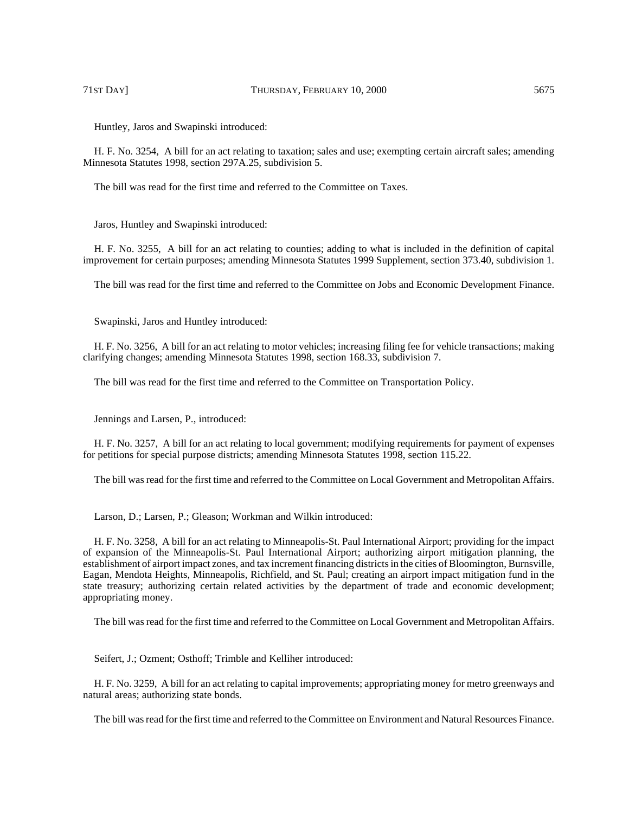Huntley, Jaros and Swapinski introduced:

H. F. No. 3254, A bill for an act relating to taxation; sales and use; exempting certain aircraft sales; amending Minnesota Statutes 1998, section 297A.25, subdivision 5.

The bill was read for the first time and referred to the Committee on Taxes.

Jaros, Huntley and Swapinski introduced:

H. F. No. 3255, A bill for an act relating to counties; adding to what is included in the definition of capital improvement for certain purposes; amending Minnesota Statutes 1999 Supplement, section 373.40, subdivision 1.

The bill was read for the first time and referred to the Committee on Jobs and Economic Development Finance.

Swapinski, Jaros and Huntley introduced:

H. F. No. 3256, A bill for an act relating to motor vehicles; increasing filing fee for vehicle transactions; making clarifying changes; amending Minnesota Statutes 1998, section 168.33, subdivision 7.

The bill was read for the first time and referred to the Committee on Transportation Policy.

Jennings and Larsen, P., introduced:

H. F. No. 3257, A bill for an act relating to local government; modifying requirements for payment of expenses for petitions for special purpose districts; amending Minnesota Statutes 1998, section 115.22.

The bill was read for the first time and referred to the Committee on Local Government and Metropolitan Affairs.

Larson, D.; Larsen, P.; Gleason; Workman and Wilkin introduced:

H. F. No. 3258, A bill for an act relating to Minneapolis-St. Paul International Airport; providing for the impact of expansion of the Minneapolis-St. Paul International Airport; authorizing airport mitigation planning, the establishment of airport impact zones, and tax increment financing districts in the cities of Bloomington, Burnsville, Eagan, Mendota Heights, Minneapolis, Richfield, and St. Paul; creating an airport impact mitigation fund in the state treasury; authorizing certain related activities by the department of trade and economic development; appropriating money.

The bill was read for the first time and referred to the Committee on Local Government and Metropolitan Affairs.

Seifert, J.; Ozment; Osthoff; Trimble and Kelliher introduced:

H. F. No. 3259, A bill for an act relating to capital improvements; appropriating money for metro greenways and natural areas; authorizing state bonds.

The bill was read for the first time and referred to the Committee on Environment and Natural Resources Finance.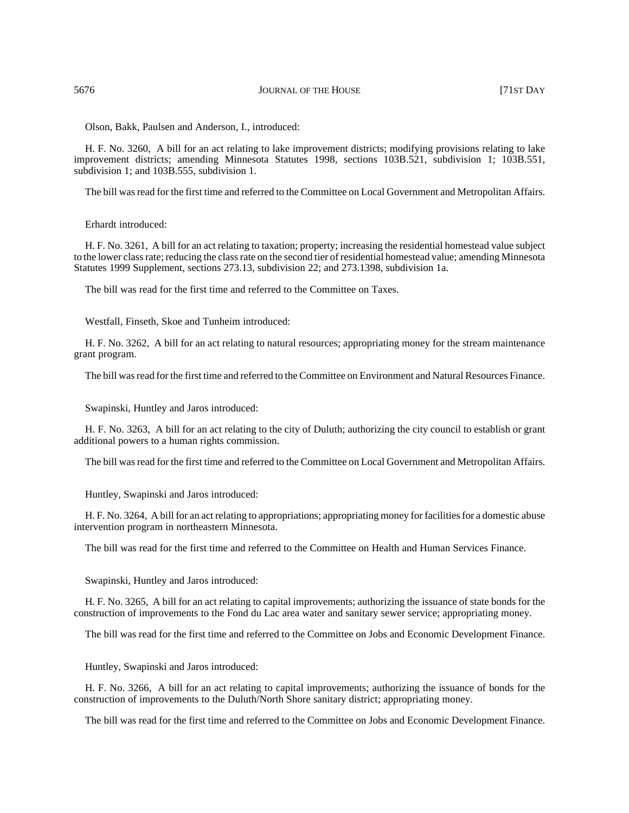Olson, Bakk, Paulsen and Anderson, I., introduced:

H. F. No. 3260, A bill for an act relating to lake improvement districts; modifying provisions relating to lake improvement districts; amending Minnesota Statutes 1998, sections 103B.521, subdivision 1; 103B.551, subdivision 1; and 103B.555, subdivision 1.

The bill was read for the first time and referred to the Committee on Local Government and Metropolitan Affairs.

Erhardt introduced:

H. F. No. 3261, A bill for an act relating to taxation; property; increasing the residential homestead value subject to the lower class rate; reducing the class rate on the second tier of residential homestead value; amending Minnesota Statutes 1999 Supplement, sections 273.13, subdivision 22; and 273.1398, subdivision 1a.

The bill was read for the first time and referred to the Committee on Taxes.

Westfall, Finseth, Skoe and Tunheim introduced:

H. F. No. 3262, A bill for an act relating to natural resources; appropriating money for the stream maintenance grant program.

The bill was read for the first time and referred to the Committee on Environment and Natural Resources Finance.

Swapinski, Huntley and Jaros introduced:

H. F. No. 3263, A bill for an act relating to the city of Duluth; authorizing the city council to establish or grant additional powers to a human rights commission.

The bill was read for the first time and referred to the Committee on Local Government and Metropolitan Affairs.

Huntley, Swapinski and Jaros introduced:

H. F. No. 3264, A bill for an act relating to appropriations; appropriating money for facilities for a domestic abuse intervention program in northeastern Minnesota.

The bill was read for the first time and referred to the Committee on Health and Human Services Finance.

Swapinski, Huntley and Jaros introduced:

H. F. No. 3265, A bill for an act relating to capital improvements; authorizing the issuance of state bonds for the construction of improvements to the Fond du Lac area water and sanitary sewer service; appropriating money.

The bill was read for the first time and referred to the Committee on Jobs and Economic Development Finance.

Huntley, Swapinski and Jaros introduced:

H. F. No. 3266, A bill for an act relating to capital improvements; authorizing the issuance of bonds for the construction of improvements to the Duluth/North Shore sanitary district; appropriating money.

The bill was read for the first time and referred to the Committee on Jobs and Economic Development Finance.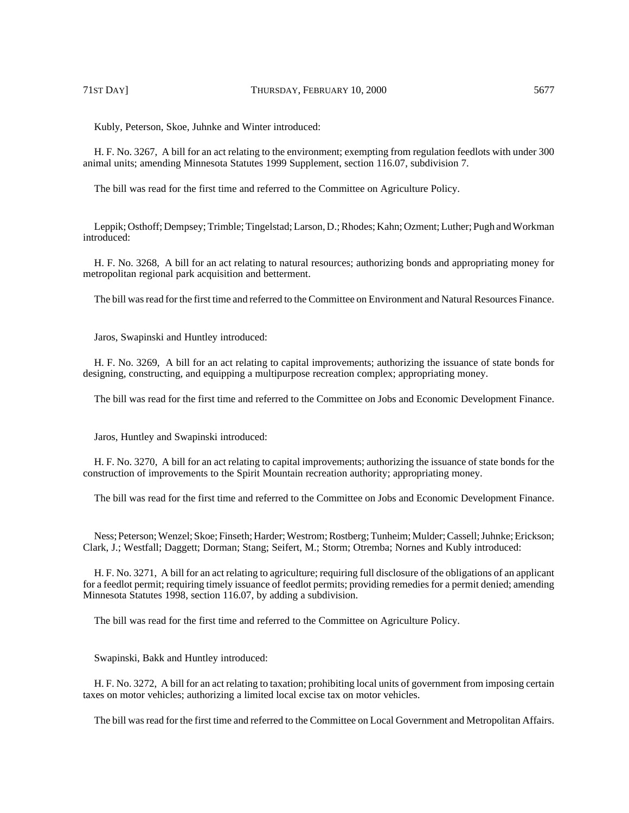Kubly, Peterson, Skoe, Juhnke and Winter introduced:

H. F. No. 3267, A bill for an act relating to the environment; exempting from regulation feedlots with under 300 animal units; amending Minnesota Statutes 1999 Supplement, section 116.07, subdivision 7.

The bill was read for the first time and referred to the Committee on Agriculture Policy.

Leppik; Osthoff; Dempsey; Trimble; Tingelstad; Larson, D.; Rhodes; Kahn; Ozment; Luther; Pugh and Workman introduced:

H. F. No. 3268, A bill for an act relating to natural resources; authorizing bonds and appropriating money for metropolitan regional park acquisition and betterment.

The bill was read for the first time and referred to the Committee on Environment and Natural Resources Finance.

Jaros, Swapinski and Huntley introduced:

H. F. No. 3269, A bill for an act relating to capital improvements; authorizing the issuance of state bonds for designing, constructing, and equipping a multipurpose recreation complex; appropriating money.

The bill was read for the first time and referred to the Committee on Jobs and Economic Development Finance.

Jaros, Huntley and Swapinski introduced:

H. F. No. 3270, A bill for an act relating to capital improvements; authorizing the issuance of state bonds for the construction of improvements to the Spirit Mountain recreation authority; appropriating money.

The bill was read for the first time and referred to the Committee on Jobs and Economic Development Finance.

Ness; Peterson; Wenzel; Skoe; Finseth; Harder; Westrom; Rostberg; Tunheim; Mulder; Cassell; Juhnke; Erickson; Clark, J.; Westfall; Daggett; Dorman; Stang; Seifert, M.; Storm; Otremba; Nornes and Kubly introduced:

H. F. No. 3271, A bill for an act relating to agriculture; requiring full disclosure of the obligations of an applicant for a feedlot permit; requiring timely issuance of feedlot permits; providing remedies for a permit denied; amending Minnesota Statutes 1998, section 116.07, by adding a subdivision.

The bill was read for the first time and referred to the Committee on Agriculture Policy.

Swapinski, Bakk and Huntley introduced:

H. F. No. 3272, A bill for an act relating to taxation; prohibiting local units of government from imposing certain taxes on motor vehicles; authorizing a limited local excise tax on motor vehicles.

The bill was read for the first time and referred to the Committee on Local Government and Metropolitan Affairs.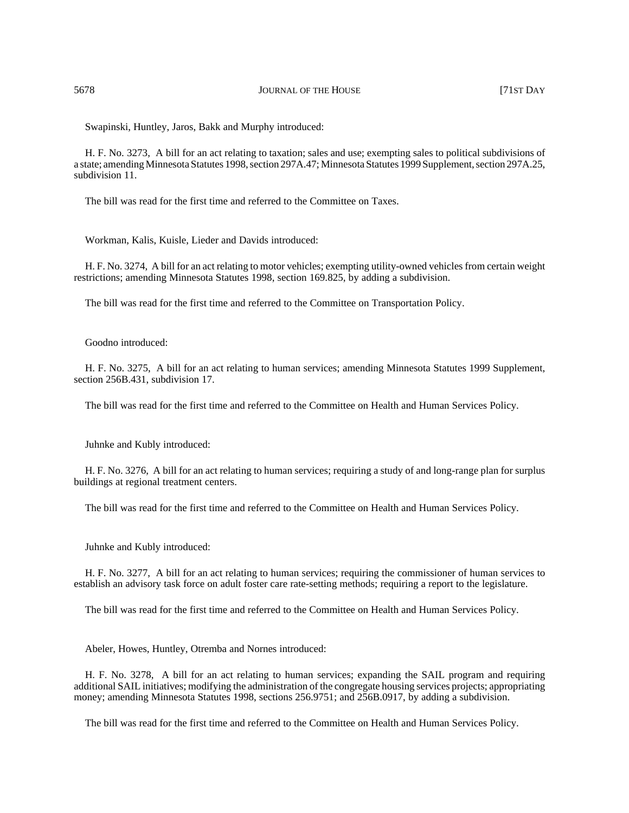Swapinski, Huntley, Jaros, Bakk and Murphy introduced:

H. F. No. 3273, A bill for an act relating to taxation; sales and use; exempting sales to political subdivisions of a state; amending Minnesota Statutes 1998, section 297A.47; Minnesota Statutes 1999 Supplement, section 297A.25, subdivision 11.

The bill was read for the first time and referred to the Committee on Taxes.

Workman, Kalis, Kuisle, Lieder and Davids introduced:

H. F. No. 3274, A bill for an act relating to motor vehicles; exempting utility-owned vehicles from certain weight restrictions; amending Minnesota Statutes 1998, section 169.825, by adding a subdivision.

The bill was read for the first time and referred to the Committee on Transportation Policy.

Goodno introduced:

H. F. No. 3275, A bill for an act relating to human services; amending Minnesota Statutes 1999 Supplement, section 256B.431, subdivision 17.

The bill was read for the first time and referred to the Committee on Health and Human Services Policy.

Juhnke and Kubly introduced:

H. F. No. 3276, A bill for an act relating to human services; requiring a study of and long-range plan for surplus buildings at regional treatment centers.

The bill was read for the first time and referred to the Committee on Health and Human Services Policy.

Juhnke and Kubly introduced:

H. F. No. 3277, A bill for an act relating to human services; requiring the commissioner of human services to establish an advisory task force on adult foster care rate-setting methods; requiring a report to the legislature.

The bill was read for the first time and referred to the Committee on Health and Human Services Policy.

Abeler, Howes, Huntley, Otremba and Nornes introduced:

H. F. No. 3278, A bill for an act relating to human services; expanding the SAIL program and requiring additional SAIL initiatives; modifying the administration of the congregate housing services projects; appropriating money; amending Minnesota Statutes 1998, sections 256.9751; and 256B.0917, by adding a subdivision.

The bill was read for the first time and referred to the Committee on Health and Human Services Policy.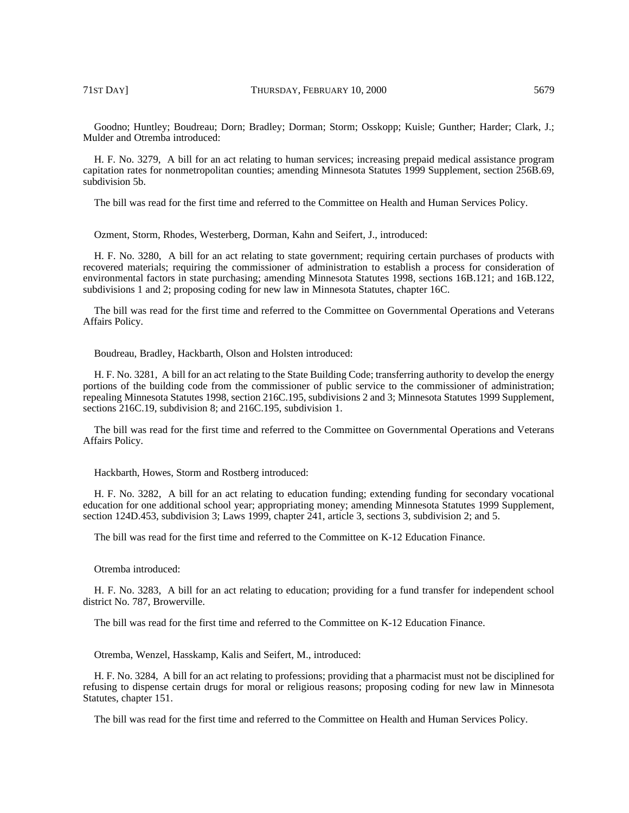Goodno; Huntley; Boudreau; Dorn; Bradley; Dorman; Storm; Osskopp; Kuisle; Gunther; Harder; Clark, J.; Mulder and Otremba introduced:

H. F. No. 3279, A bill for an act relating to human services; increasing prepaid medical assistance program capitation rates for nonmetropolitan counties; amending Minnesota Statutes 1999 Supplement, section 256B.69, subdivision 5b.

The bill was read for the first time and referred to the Committee on Health and Human Services Policy.

Ozment, Storm, Rhodes, Westerberg, Dorman, Kahn and Seifert, J., introduced:

H. F. No. 3280, A bill for an act relating to state government; requiring certain purchases of products with recovered materials; requiring the commissioner of administration to establish a process for consideration of environmental factors in state purchasing; amending Minnesota Statutes 1998, sections 16B.121; and 16B.122, subdivisions 1 and 2; proposing coding for new law in Minnesota Statutes, chapter 16C.

The bill was read for the first time and referred to the Committee on Governmental Operations and Veterans Affairs Policy.

Boudreau, Bradley, Hackbarth, Olson and Holsten introduced:

H. F. No. 3281, A bill for an act relating to the State Building Code; transferring authority to develop the energy portions of the building code from the commissioner of public service to the commissioner of administration; repealing Minnesota Statutes 1998, section 216C.195, subdivisions 2 and 3; Minnesota Statutes 1999 Supplement, sections 216C.19, subdivision 8; and 216C.195, subdivision 1.

The bill was read for the first time and referred to the Committee on Governmental Operations and Veterans Affairs Policy.

Hackbarth, Howes, Storm and Rostberg introduced:

H. F. No. 3282, A bill for an act relating to education funding; extending funding for secondary vocational education for one additional school year; appropriating money; amending Minnesota Statutes 1999 Supplement, section 124D.453, subdivision 3; Laws 1999, chapter 241, article 3, sections 3, subdivision 2; and 5.

The bill was read for the first time and referred to the Committee on K-12 Education Finance.

Otremba introduced:

H. F. No. 3283, A bill for an act relating to education; providing for a fund transfer for independent school district No. 787, Browerville.

The bill was read for the first time and referred to the Committee on K-12 Education Finance.

Otremba, Wenzel, Hasskamp, Kalis and Seifert, M., introduced:

H. F. No. 3284, A bill for an act relating to professions; providing that a pharmacist must not be disciplined for refusing to dispense certain drugs for moral or religious reasons; proposing coding for new law in Minnesota Statutes, chapter 151.

The bill was read for the first time and referred to the Committee on Health and Human Services Policy.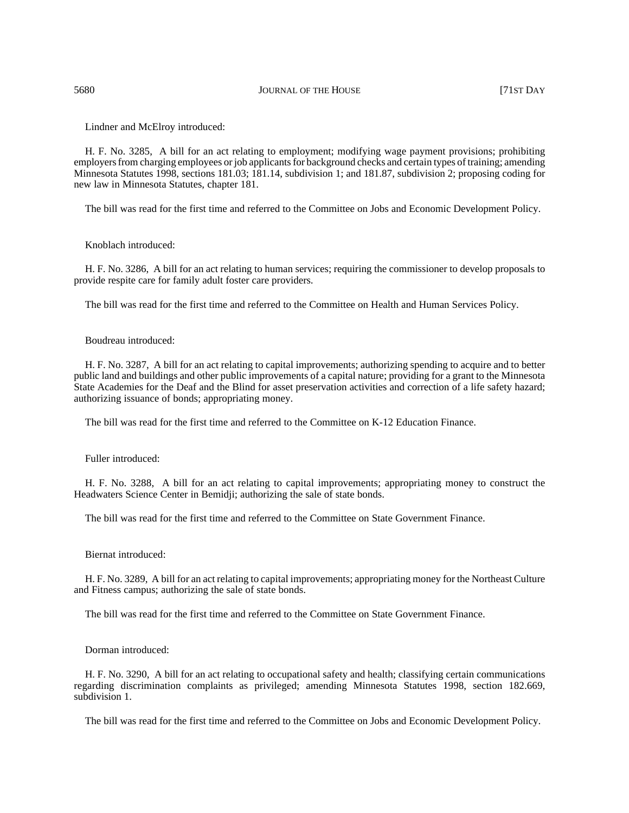5680 JOURNAL OF THE HOUSE 5680 [71ST DAY

Lindner and McElroy introduced:

H. F. No. 3285, A bill for an act relating to employment; modifying wage payment provisions; prohibiting employers from charging employees or job applicants for background checks and certain types of training; amending Minnesota Statutes 1998, sections 181.03; 181.14, subdivision 1; and 181.87, subdivision 2; proposing coding for new law in Minnesota Statutes, chapter 181.

The bill was read for the first time and referred to the Committee on Jobs and Economic Development Policy.

Knoblach introduced:

H. F. No. 3286, A bill for an act relating to human services; requiring the commissioner to develop proposals to provide respite care for family adult foster care providers.

The bill was read for the first time and referred to the Committee on Health and Human Services Policy.

## Boudreau introduced:

H. F. No. 3287, A bill for an act relating to capital improvements; authorizing spending to acquire and to better public land and buildings and other public improvements of a capital nature; providing for a grant to the Minnesota State Academies for the Deaf and the Blind for asset preservation activities and correction of a life safety hazard; authorizing issuance of bonds; appropriating money.

The bill was read for the first time and referred to the Committee on K-12 Education Finance.

Fuller introduced:

H. F. No. 3288, A bill for an act relating to capital improvements; appropriating money to construct the Headwaters Science Center in Bemidji; authorizing the sale of state bonds.

The bill was read for the first time and referred to the Committee on State Government Finance.

## Biernat introduced:

H. F. No. 3289, A bill for an act relating to capital improvements; appropriating money for the Northeast Culture and Fitness campus; authorizing the sale of state bonds.

The bill was read for the first time and referred to the Committee on State Government Finance.

Dorman introduced:

H. F. No. 3290, A bill for an act relating to occupational safety and health; classifying certain communications regarding discrimination complaints as privileged; amending Minnesota Statutes 1998, section 182.669, subdivision 1.

The bill was read for the first time and referred to the Committee on Jobs and Economic Development Policy.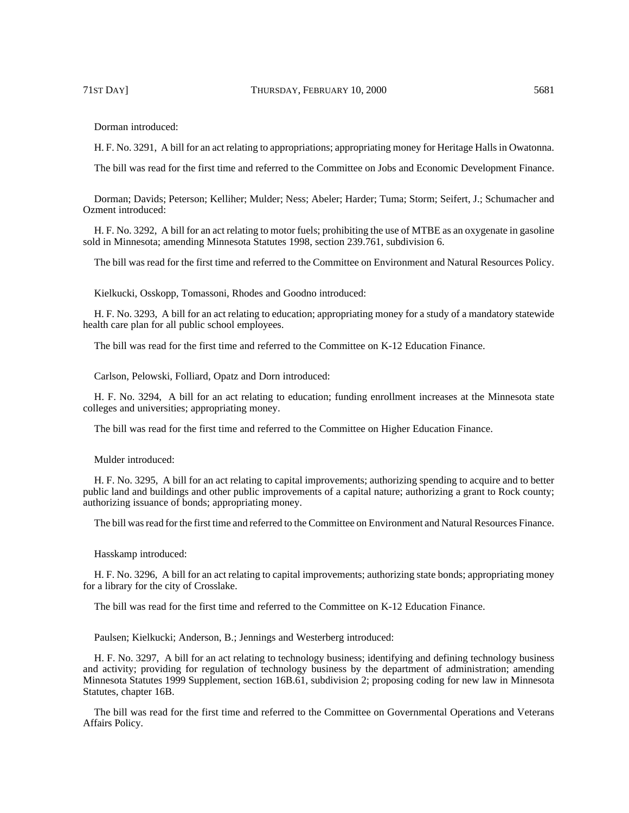Dorman introduced:

H. F. No. 3291, A bill for an act relating to appropriations; appropriating money for Heritage Halls in Owatonna.

The bill was read for the first time and referred to the Committee on Jobs and Economic Development Finance.

Dorman; Davids; Peterson; Kelliher; Mulder; Ness; Abeler; Harder; Tuma; Storm; Seifert, J.; Schumacher and Ozment introduced:

H. F. No. 3292, A bill for an act relating to motor fuels; prohibiting the use of MTBE as an oxygenate in gasoline sold in Minnesota; amending Minnesota Statutes 1998, section 239.761, subdivision 6.

The bill was read for the first time and referred to the Committee on Environment and Natural Resources Policy.

Kielkucki, Osskopp, Tomassoni, Rhodes and Goodno introduced:

H. F. No. 3293, A bill for an act relating to education; appropriating money for a study of a mandatory statewide health care plan for all public school employees.

The bill was read for the first time and referred to the Committee on K-12 Education Finance.

Carlson, Pelowski, Folliard, Opatz and Dorn introduced:

H. F. No. 3294, A bill for an act relating to education; funding enrollment increases at the Minnesota state colleges and universities; appropriating money.

The bill was read for the first time and referred to the Committee on Higher Education Finance.

Mulder introduced:

H. F. No. 3295, A bill for an act relating to capital improvements; authorizing spending to acquire and to better public land and buildings and other public improvements of a capital nature; authorizing a grant to Rock county; authorizing issuance of bonds; appropriating money.

The bill was read for the first time and referred to the Committee on Environment and Natural Resources Finance.

Hasskamp introduced:

H. F. No. 3296, A bill for an act relating to capital improvements; authorizing state bonds; appropriating money for a library for the city of Crosslake.

The bill was read for the first time and referred to the Committee on K-12 Education Finance.

Paulsen; Kielkucki; Anderson, B.; Jennings and Westerberg introduced:

H. F. No. 3297, A bill for an act relating to technology business; identifying and defining technology business and activity; providing for regulation of technology business by the department of administration; amending Minnesota Statutes 1999 Supplement, section 16B.61, subdivision 2; proposing coding for new law in Minnesota Statutes, chapter 16B.

The bill was read for the first time and referred to the Committee on Governmental Operations and Veterans Affairs Policy.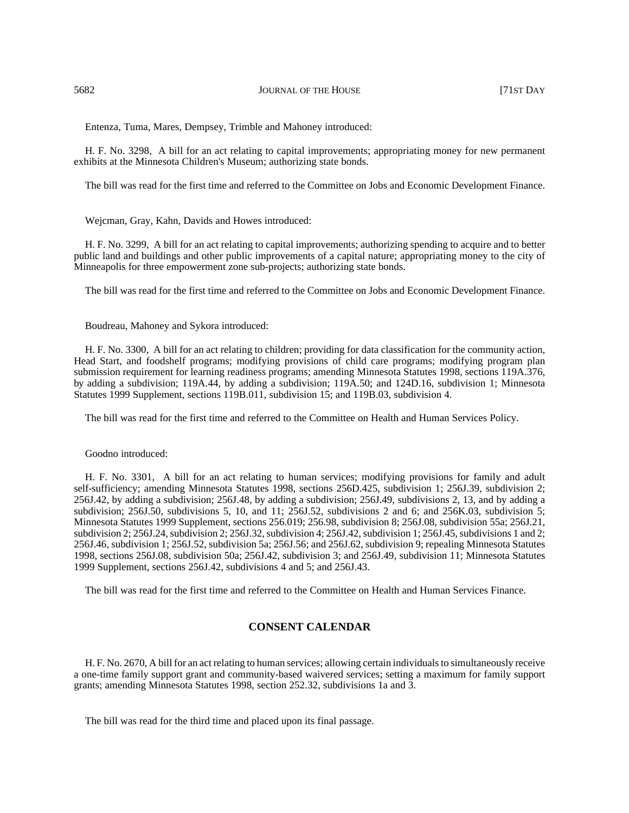Entenza, Tuma, Mares, Dempsey, Trimble and Mahoney introduced:

H. F. No. 3298, A bill for an act relating to capital improvements; appropriating money for new permanent exhibits at the Minnesota Children's Museum; authorizing state bonds.

The bill was read for the first time and referred to the Committee on Jobs and Economic Development Finance.

Wejcman, Gray, Kahn, Davids and Howes introduced:

H. F. No. 3299, A bill for an act relating to capital improvements; authorizing spending to acquire and to better public land and buildings and other public improvements of a capital nature; appropriating money to the city of Minneapolis for three empowerment zone sub-projects; authorizing state bonds.

The bill was read for the first time and referred to the Committee on Jobs and Economic Development Finance.

Boudreau, Mahoney and Sykora introduced:

H. F. No. 3300, A bill for an act relating to children; providing for data classification for the community action, Head Start, and foodshelf programs; modifying provisions of child care programs; modifying program plan submission requirement for learning readiness programs; amending Minnesota Statutes 1998, sections 119A.376, by adding a subdivision; 119A.44, by adding a subdivision; 119A.50; and 124D.16, subdivision 1; Minnesota Statutes 1999 Supplement, sections 119B.011, subdivision 15; and 119B.03, subdivision 4.

The bill was read for the first time and referred to the Committee on Health and Human Services Policy.

Goodno introduced:

H. F. No. 3301, A bill for an act relating to human services; modifying provisions for family and adult self-sufficiency; amending Minnesota Statutes 1998, sections 256D.425, subdivision 1; 256J.39, subdivision 2; 256J.42, by adding a subdivision; 256J.48, by adding a subdivision; 256J.49, subdivisions 2, 13, and by adding a subdivision; 256J.50, subdivisions 5, 10, and 11; 256J.52, subdivisions 2 and 6; and 256K.03, subdivision 5; Minnesota Statutes 1999 Supplement, sections 256.019; 256.98, subdivision 8; 256J.08, subdivision 55a; 256J.21, subdivision 2; 256J.24, subdivision 2; 256J.32, subdivision 4; 256J.42, subdivision 1; 256J.45, subdivisions 1 and 2; 256J.46, subdivision 1; 256J.52, subdivision 5a; 256J.56; and 256J.62, subdivision 9; repealing Minnesota Statutes 1998, sections 256J.08, subdivision 50a; 256J.42, subdivision 3; and 256J.49, subdivision 11; Minnesota Statutes 1999 Supplement, sections 256J.42, subdivisions 4 and 5; and 256J.43.

The bill was read for the first time and referred to the Committee on Health and Human Services Finance.

# **CONSENT CALENDAR**

H. F. No. 2670, A bill for an act relating to human services; allowing certain individuals to simultaneously receive a one-time family support grant and community-based waivered services; setting a maximum for family support grants; amending Minnesota Statutes 1998, section 252.32, subdivisions 1a and 3.

The bill was read for the third time and placed upon its final passage.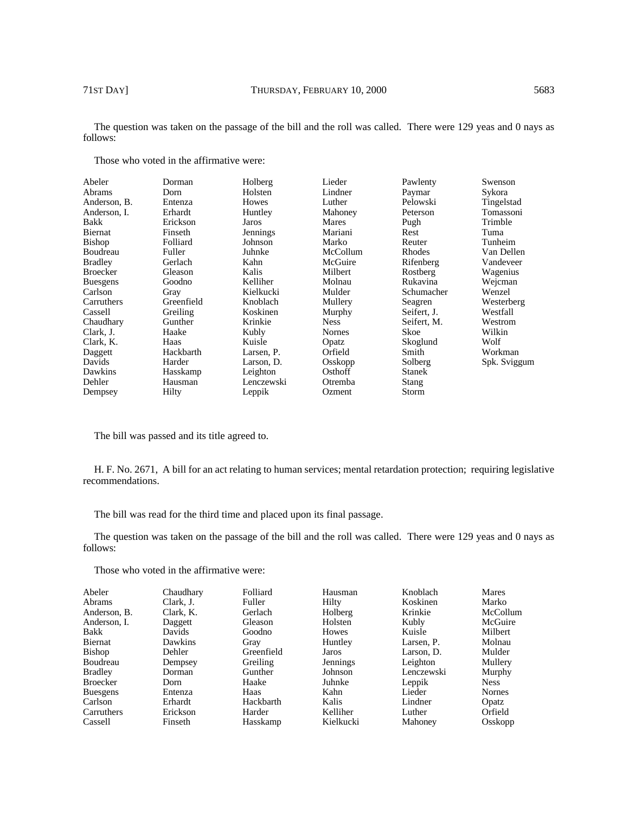The question was taken on the passage of the bill and the roll was called. There were 129 yeas and 0 nays as follows:

| Abeler          | Dorman     | Holberg    | Lieder        | Pawlenty      | Swenson      |
|-----------------|------------|------------|---------------|---------------|--------------|
| Abrams          | Dorn       | Holsten    | Lindner       | Paymar        | Sykora       |
| Anderson, B.    | Entenza    | Howes      | Luther        | Pelowski      | Tingelstad   |
| Anderson. I.    | Erhardt    | Huntley    | Mahoney       | Peterson      | Tomassoni    |
| Bakk            | Erickson   | Jaros      | Mares         | Pugh          | Trimble      |
| Biernat         | Finseth    | Jennings   | Mariani       | Rest          | Tuma         |
| Bishop          | Folliard   | Johnson    | Marko         | Reuter        | Tunheim      |
| Boudreau        | Fuller     | Juhnke     | McCollum      | Rhodes        | Van Dellen   |
| <b>Bradley</b>  | Gerlach    | Kahn       | McGuire       | Rifenberg     | Vandeveer    |
| <b>Broecker</b> | Gleason    | Kalis      | Milbert       | Rostberg      | Wagenius     |
| <b>Buesgens</b> | Goodno     | Kelliher   | Molnau        | Rukavina      | Wejcman      |
| Carlson         | Gray       | Kielkucki  | Mulder        | Schumacher    | Wenzel       |
| Carruthers      | Greenfield | Knoblach   | Mullery       | Seagren       | Westerberg   |
| Cassell         | Greiling   | Koskinen   | Murphy        | Seifert. J.   | Westfall     |
| Chaudhary       | Gunther    | Krinkie    | <b>Ness</b>   | Seifert, M.   | Westrom      |
| Clark, J.       | Haake      | Kubly      | <b>Nornes</b> | Skoe          | Wilkin       |
| Clark, K.       | Haas       | Kuisle     | Opatz         | Skoglund      | Wolf         |
| Daggett         | Hackbarth  | Larsen, P. | Orfield       | Smith         | Workman      |
| Davids          | Harder     | Larson, D. | Osskopp       | Solberg       | Spk. Sviggum |
| Dawkins         | Hasskamp   | Leighton   | Osthoff       | <b>Stanek</b> |              |
| Dehler          | Hausman    | Lenczewski | Otremba       | Stang         |              |
| Dempsey         | Hilty      | Leppik     | Ozment        | Storm         |              |

Those who voted in the affirmative were:

The bill was passed and its title agreed to.

H. F. No. 2671, A bill for an act relating to human services; mental retardation protection; requiring legislative recommendations.

The bill was read for the third time and placed upon its final passage.

The question was taken on the passage of the bill and the roll was called. There were 129 yeas and 0 nays as follows:

Those who voted in the affirmative were:

| Abeler          | Chaudhary | Folliard   | Hausman      | Knoblach   | Mares         |
|-----------------|-----------|------------|--------------|------------|---------------|
| <b>Abrams</b>   | Clark, J. | Fuller     | Hilty        | Koskinen   | Marko         |
| Anderson, B.    | Clark, K. | Gerlach    | Holberg      | Krinkie    | McCollum      |
| Anderson, I.    | Daggett   | Gleason    | Holsten      | Kubly      | McGuire       |
| Bakk            | Davids    | Goodno     | <b>Howes</b> | Kuisle     | Milbert       |
| Biernat         | Dawkins   | Gray       | Huntley      | Larsen, P. | Molnau        |
| Bishop          | Dehler    | Greenfield | Jaros        | Larson. D. | Mulder        |
| Boudreau        | Dempsey   | Greiling   | Jennings     | Leighton   | Mullery       |
| <b>Bradley</b>  | Dorman    | Gunther    | Johnson      | Lenczewski | Murphy        |
| <b>Broecker</b> | Dorn      | Haake      | Juhnke       | Leppik     | <b>Ness</b>   |
| <b>Buesgens</b> | Entenza   | Haas       | Kahn         | Lieder     | <b>Nornes</b> |
| Carlson         | Erhardt   | Hackbarth  | Kalis        | Lindner    | Opatz         |
| Carruthers      | Erickson  | Harder     | Kelliher     | Luther     | Orfield       |
| Cassell         | Finseth   | Hasskamp   | Kielkucki    | Mahoney    | Osskopp       |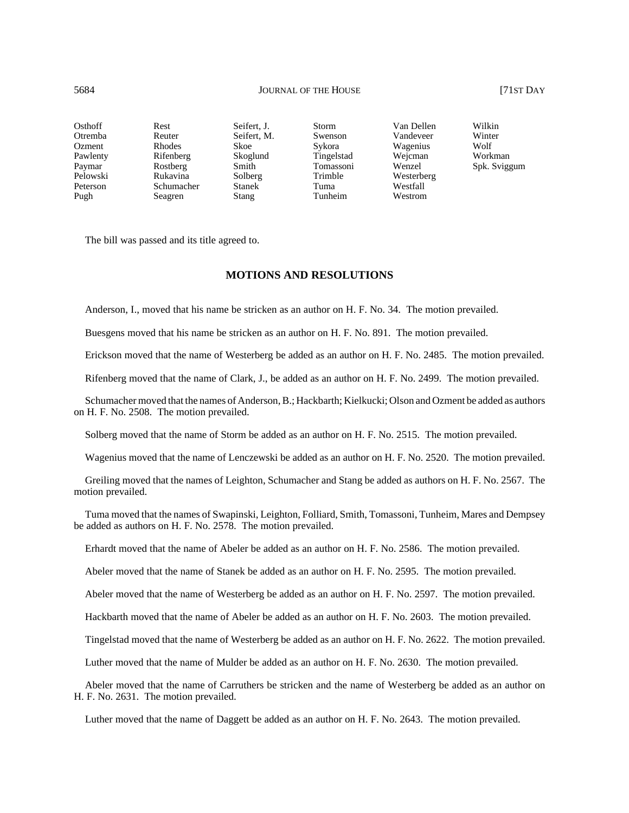|            |               |                            |            | Wilkin       |
|------------|---------------|----------------------------|------------|--------------|
| Reuter     |               | Swenson                    | Vandeveer  | Winter       |
| Rhodes     | Skoe          | Sykora                     | Wagenius   | Wolf         |
| Rifenberg  | Skoglund      | Tingelstad                 | Wejcman    | Workman      |
| Rostberg   | Smith         | Tomassoni                  | Wenzel     | Spk. Sviggum |
| Rukavina   | Solberg       | Trimble                    | Westerberg |              |
| Schumacher | <b>Stanek</b> | Tuma                       | Westfall   |              |
| Seagren    | Stang         | Tunheim                    | Westrom    |              |
|            | Rest          | Seifert, J.<br>Seifert, M. | Storm      | Van Dellen   |

The bill was passed and its title agreed to.

# **MOTIONS AND RESOLUTIONS**

Anderson, I., moved that his name be stricken as an author on H. F. No. 34. The motion prevailed.

Buesgens moved that his name be stricken as an author on H. F. No. 891. The motion prevailed.

Erickson moved that the name of Westerberg be added as an author on H. F. No. 2485. The motion prevailed.

Rifenberg moved that the name of Clark, J., be added as an author on H. F. No. 2499. The motion prevailed.

Schumacher moved that the names of Anderson, B.; Hackbarth; Kielkucki; Olson and Ozment be added as authors on H. F. No. 2508. The motion prevailed.

Solberg moved that the name of Storm be added as an author on H. F. No. 2515. The motion prevailed.

Wagenius moved that the name of Lenczewski be added as an author on H. F. No. 2520. The motion prevailed.

Greiling moved that the names of Leighton, Schumacher and Stang be added as authors on H. F. No. 2567. The motion prevailed.

Tuma moved that the names of Swapinski, Leighton, Folliard, Smith, Tomassoni, Tunheim, Mares and Dempsey be added as authors on H. F. No. 2578. The motion prevailed.

Erhardt moved that the name of Abeler be added as an author on H. F. No. 2586. The motion prevailed.

Abeler moved that the name of Stanek be added as an author on H. F. No. 2595. The motion prevailed.

Abeler moved that the name of Westerberg be added as an author on H. F. No. 2597. The motion prevailed.

Hackbarth moved that the name of Abeler be added as an author on H. F. No. 2603. The motion prevailed.

Tingelstad moved that the name of Westerberg be added as an author on H. F. No. 2622. The motion prevailed.

Luther moved that the name of Mulder be added as an author on H. F. No. 2630. The motion prevailed.

Abeler moved that the name of Carruthers be stricken and the name of Westerberg be added as an author on H. F. No. 2631. The motion prevailed.

Luther moved that the name of Daggett be added as an author on H. F. No. 2643. The motion prevailed.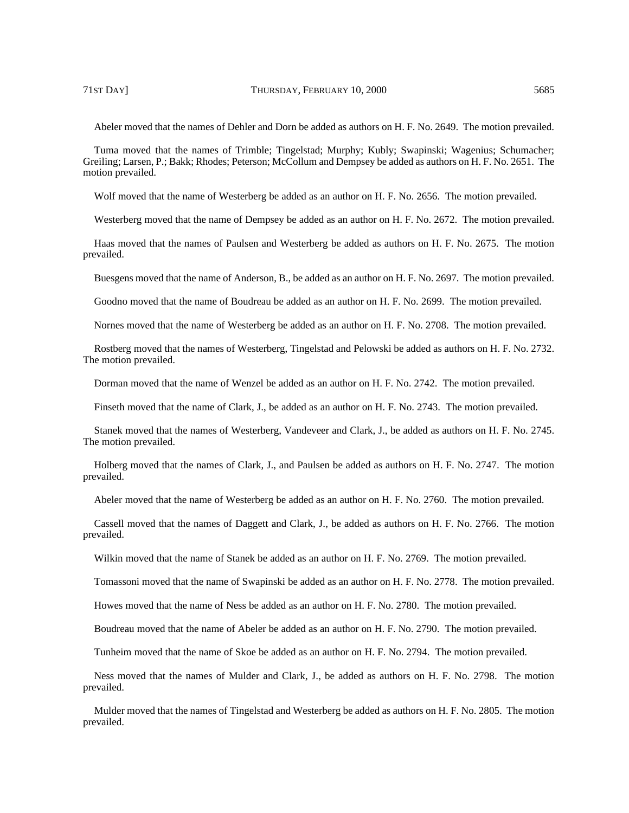Abeler moved that the names of Dehler and Dorn be added as authors on H. F. No. 2649. The motion prevailed.

Tuma moved that the names of Trimble; Tingelstad; Murphy; Kubly; Swapinski; Wagenius; Schumacher; Greiling; Larsen, P.; Bakk; Rhodes; Peterson; McCollum and Dempsey be added as authors on H. F. No. 2651. The motion prevailed.

Wolf moved that the name of Westerberg be added as an author on H. F. No. 2656. The motion prevailed.

Westerberg moved that the name of Dempsey be added as an author on H. F. No. 2672. The motion prevailed.

Haas moved that the names of Paulsen and Westerberg be added as authors on H. F. No. 2675. The motion prevailed.

Buesgens moved that the name of Anderson, B., be added as an author on H. F. No. 2697. The motion prevailed.

Goodno moved that the name of Boudreau be added as an author on H. F. No. 2699. The motion prevailed.

Nornes moved that the name of Westerberg be added as an author on H. F. No. 2708. The motion prevailed.

Rostberg moved that the names of Westerberg, Tingelstad and Pelowski be added as authors on H. F. No. 2732. The motion prevailed.

Dorman moved that the name of Wenzel be added as an author on H. F. No. 2742. The motion prevailed.

Finseth moved that the name of Clark, J., be added as an author on H. F. No. 2743. The motion prevailed.

Stanek moved that the names of Westerberg, Vandeveer and Clark, J., be added as authors on H. F. No. 2745. The motion prevailed.

Holberg moved that the names of Clark, J., and Paulsen be added as authors on H. F. No. 2747. The motion prevailed.

Abeler moved that the name of Westerberg be added as an author on H. F. No. 2760. The motion prevailed.

Cassell moved that the names of Daggett and Clark, J., be added as authors on H. F. No. 2766. The motion prevailed.

Wilkin moved that the name of Stanek be added as an author on H. F. No. 2769. The motion prevailed.

Tomassoni moved that the name of Swapinski be added as an author on H. F. No. 2778. The motion prevailed.

Howes moved that the name of Ness be added as an author on H. F. No. 2780. The motion prevailed.

Boudreau moved that the name of Abeler be added as an author on H. F. No. 2790. The motion prevailed.

Tunheim moved that the name of Skoe be added as an author on H. F. No. 2794. The motion prevailed.

Ness moved that the names of Mulder and Clark, J., be added as authors on H. F. No. 2798. The motion prevailed.

Mulder moved that the names of Tingelstad and Westerberg be added as authors on H. F. No. 2805. The motion prevailed.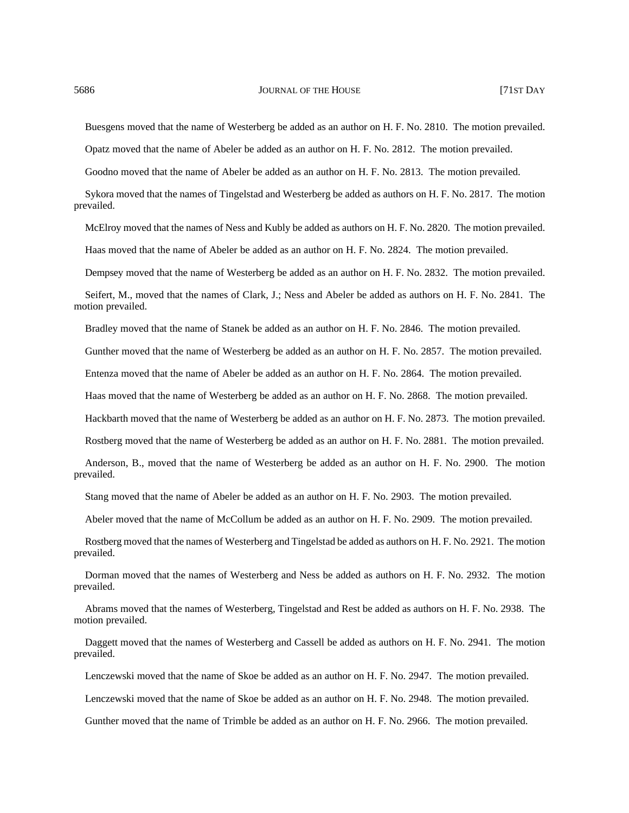Buesgens moved that the name of Westerberg be added as an author on H. F. No. 2810. The motion prevailed.

Opatz moved that the name of Abeler be added as an author on H. F. No. 2812. The motion prevailed.

Goodno moved that the name of Abeler be added as an author on H. F. No. 2813. The motion prevailed.

Sykora moved that the names of Tingelstad and Westerberg be added as authors on H. F. No. 2817. The motion prevailed.

McElroy moved that the names of Ness and Kubly be added as authors on H. F. No. 2820. The motion prevailed.

Haas moved that the name of Abeler be added as an author on H. F. No. 2824. The motion prevailed.

Dempsey moved that the name of Westerberg be added as an author on H. F. No. 2832. The motion prevailed.

Seifert, M., moved that the names of Clark, J.; Ness and Abeler be added as authors on H. F. No. 2841. The motion prevailed.

Bradley moved that the name of Stanek be added as an author on H. F. No. 2846. The motion prevailed.

Gunther moved that the name of Westerberg be added as an author on H. F. No. 2857. The motion prevailed.

Entenza moved that the name of Abeler be added as an author on H. F. No. 2864. The motion prevailed.

Haas moved that the name of Westerberg be added as an author on H. F. No. 2868. The motion prevailed.

Hackbarth moved that the name of Westerberg be added as an author on H. F. No. 2873. The motion prevailed.

Rostberg moved that the name of Westerberg be added as an author on H. F. No. 2881. The motion prevailed.

Anderson, B., moved that the name of Westerberg be added as an author on H. F. No. 2900. The motion prevailed.

Stang moved that the name of Abeler be added as an author on H. F. No. 2903. The motion prevailed.

Abeler moved that the name of McCollum be added as an author on H. F. No. 2909. The motion prevailed.

Rostberg moved that the names of Westerberg and Tingelstad be added as authors on H. F. No. 2921. The motion prevailed.

Dorman moved that the names of Westerberg and Ness be added as authors on H. F. No. 2932. The motion prevailed.

Abrams moved that the names of Westerberg, Tingelstad and Rest be added as authors on H. F. No. 2938. The motion prevailed.

Daggett moved that the names of Westerberg and Cassell be added as authors on H. F. No. 2941. The motion prevailed.

Lenczewski moved that the name of Skoe be added as an author on H. F. No. 2947. The motion prevailed.

Lenczewski moved that the name of Skoe be added as an author on H. F. No. 2948. The motion prevailed.

Gunther moved that the name of Trimble be added as an author on H. F. No. 2966. The motion prevailed.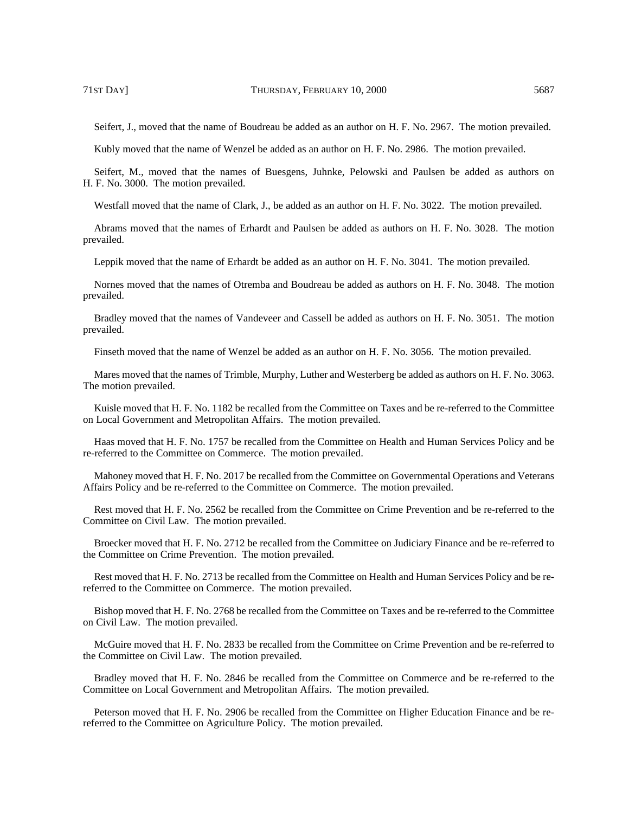Seifert, J., moved that the name of Boudreau be added as an author on H. F. No. 2967. The motion prevailed.

Kubly moved that the name of Wenzel be added as an author on H. F. No. 2986. The motion prevailed.

Seifert, M., moved that the names of Buesgens, Juhnke, Pelowski and Paulsen be added as authors on H. F. No. 3000. The motion prevailed.

Westfall moved that the name of Clark, J., be added as an author on H. F. No. 3022. The motion prevailed.

Abrams moved that the names of Erhardt and Paulsen be added as authors on H. F. No. 3028. The motion prevailed.

Leppik moved that the name of Erhardt be added as an author on H. F. No. 3041. The motion prevailed.

Nornes moved that the names of Otremba and Boudreau be added as authors on H. F. No. 3048. The motion prevailed.

Bradley moved that the names of Vandeveer and Cassell be added as authors on H. F. No. 3051. The motion prevailed.

Finseth moved that the name of Wenzel be added as an author on H. F. No. 3056. The motion prevailed.

Mares moved that the names of Trimble, Murphy, Luther and Westerberg be added as authors on H. F. No. 3063. The motion prevailed.

Kuisle moved that H. F. No. 1182 be recalled from the Committee on Taxes and be re-referred to the Committee on Local Government and Metropolitan Affairs. The motion prevailed.

Haas moved that H. F. No. 1757 be recalled from the Committee on Health and Human Services Policy and be re-referred to the Committee on Commerce. The motion prevailed.

Mahoney moved that H. F. No. 2017 be recalled from the Committee on Governmental Operations and Veterans Affairs Policy and be re-referred to the Committee on Commerce. The motion prevailed.

Rest moved that H. F. No. 2562 be recalled from the Committee on Crime Prevention and be re-referred to the Committee on Civil Law. The motion prevailed.

Broecker moved that H. F. No. 2712 be recalled from the Committee on Judiciary Finance and be re-referred to the Committee on Crime Prevention. The motion prevailed.

Rest moved that H. F. No. 2713 be recalled from the Committee on Health and Human Services Policy and be rereferred to the Committee on Commerce. The motion prevailed.

Bishop moved that H. F. No. 2768 be recalled from the Committee on Taxes and be re-referred to the Committee on Civil Law. The motion prevailed.

McGuire moved that H. F. No. 2833 be recalled from the Committee on Crime Prevention and be re-referred to the Committee on Civil Law. The motion prevailed.

Bradley moved that H. F. No. 2846 be recalled from the Committee on Commerce and be re-referred to the Committee on Local Government and Metropolitan Affairs. The motion prevailed.

Peterson moved that H. F. No. 2906 be recalled from the Committee on Higher Education Finance and be rereferred to the Committee on Agriculture Policy. The motion prevailed.